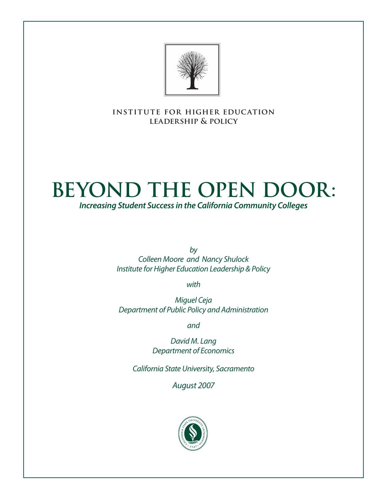

**institute for higher education leadership & policy**

# **Beyond the Open Door:**

*Increasing Student Success in the California Community Colleges*

*by Colleen Moore and Nancy Shulock Institute for Higher Education Leadership & Policy*

*with*

*Miguel Ceja Department of Public Policy and Administration*

*and*

*David M. Lang Department of Economics*

*California State University, Sacramento*

*August 2007*

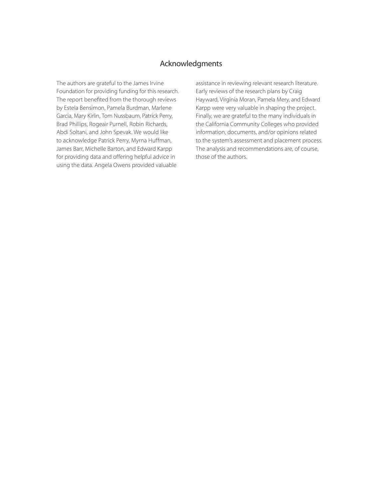## Acknowledgments

The authors are grateful to the James Irvine Foundation for providing funding for this research. The report benefited from the thorough reviews by Estela Bensimon, Pamela Burdman, Marlene Garcia, Mary Kirlin, Tom Nussbaum, Patrick Perry, Brad Phillips, Rogeair Purnell, Robin Richards, Abdi Soltani, and John Spevak. We would like to acknowledge Patrick Perry, Myrna Huffman, James Barr, Michelle Barton, and Edward Karpp for providing data and offering helpful advice in using the data. Angela Owens provided valuable

assistance in reviewing relevant research literature. Early reviews of the research plans by Craig Hayward, Virginia Moran, Pamela Mery, and Edward Karpp were very valuable in shaping the project. Finally, we are grateful to the many individuals in the California Community Colleges who provided information, documents, and/or opinions related to the system's assessment and placement process. The analysis and recommendations are, of course, those of the authors.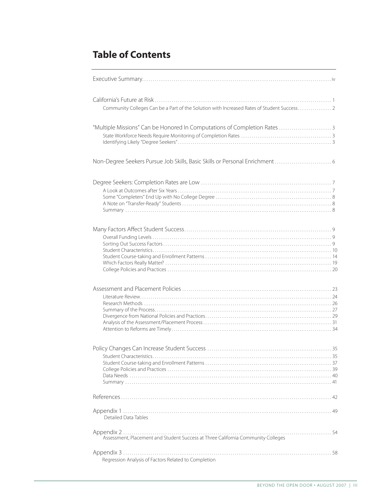## **Table of Contents**

| Community Colleges Can be a Part of the Solution with Increased Rates of Student Success 2 |
|--------------------------------------------------------------------------------------------|
| "Multiple Missions" Can be Honored In Computations of Completion Rates  3                  |
|                                                                                            |
|                                                                                            |
|                                                                                            |
|                                                                                            |
|                                                                                            |
|                                                                                            |
| Detailed Data Tables                                                                       |
|                                                                                            |
| Regression Analysis of Factors Related to Completion                                       |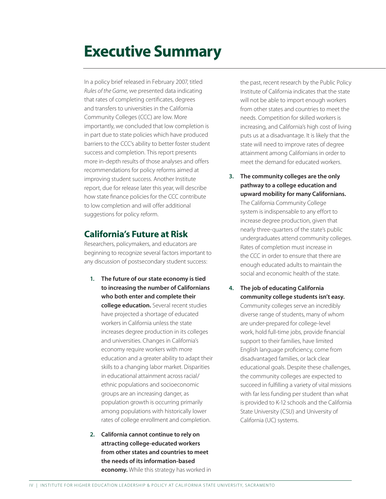## **Executive Summary**

In a policy brief released in February 2007, titled *Rules of the Game*, we presented data indicating that rates of completing certificates, degrees and transfers to universities in the California Community Colleges (CCC) are low. More importantly, we concluded that low completion is in part due to state policies which have produced barriers to the CCC's ability to better foster student success and completion. This report presents more in-depth results of those analyses and offers recommendations for policy reforms aimed at improving student success. Another Institute report, due for release later this year, will describe how state finance policies for the CCC contribute to low completion and will offer additional suggestions for policy reform.

## **California's Future at Risk**

Researchers, policymakers, and educators are beginning to recognize several factors important to any discussion of postsecondary student success:

- 1. The future of our state economy is tied to increasing the number of Californians who both enter and complete their college education. Several recent studies have projected a shortage of educated workers in California unless the state increases degree production in its colleges and universities. Changes in California's economy require workers with more education and a greater ability to adapt their skills to a changing labor market. Disparities in educational attainment across racial/ ethnic populations and socioeconomic groups are an increasing danger, as population growth is occurring primarily among populations with historically lower rates of college enrollment and completion.
- 2. California cannot continue to rely on attracting college-educated workers from other states and countries to meet the needs of its information-based **economy.** While this strategy has worked in

the past, recent research by the Public Policy Institute of California indicates that the state will not be able to import enough workers from other states and countries to meet the needs. Competition for skilled workers is increasing, and California's high cost of living puts us at a disadvantage. It is likely that the state will need to improve rates of degree attainment among Californians in order to meet the demand for educated workers.

3. The community colleges are the only pathway to a college education and upward mobility for many Californians.

The California Community College system is indispensable to any effort to increase degree production, given that nearly three-quarters of the state's public undergraduates attend community colleges. Rates of completion must increase in the CCC in order to ensure that there are enough educated adults to maintain the social and economic health of the state.

4. The job of educating California community college students isn't easy. Community colleges serve an incredibly diverse range of students, many of whom are under-prepared for college-level work, hold full-time jobs, provide financial support to their families, have limited English language proficiency, come from disadvantaged families, or lack clear educational goals. Despite these challenges, the community colleges are expected to succeed in fulfilling a variety of vital missions with far less funding per student than what is provided to K-12 schools and the California State University (CSU) and University of California (UC) systems.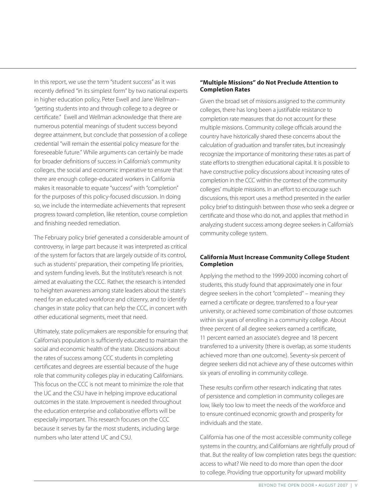In this report, we use the term "student success" as it was recently defined "in its simplest form" by two national experts in higher education policy, Peter Ewell and Jane Wellman– "getting students into and through college to a degree or certificate." Ewell and Wellman acknowledge that there are numerous potential meanings of student success beyond degree attainment, but conclude that possession of a college credential "will remain the essential policy measure for the foreseeable future." While arguments can certainly be made for broader definitions of success in California's community colleges, the social and economic imperative to ensure that there are enough college-educated workers in California makes it reasonable to equate "success" with "completion" for the purposes of this policy-focused discussion. In doing so, we include the intermediate achievements that represent progress toward completion, like retention, course completion and finishing needed remediation.

The February policy brief generated a considerable amount of controversy, in large part because it was interpreted as critical of the system for factors that are largely outside of its control, such as students' preparation, their competing life priorities, and system funding levels. But the Institute's research is not aimed at evaluating the CCC. Rather, the research is intended to heighten awareness among state leaders about the state's need for an educated workforce and citizenry, and to identify changes in state policy that can help the CCC, in concert with other educational segments, meet that need.

Ultimately, state policymakers are responsible for ensuring that California's population is sufficiently educated to maintain the social and economic health of the state. Discussions about the rates of success among CCC students in completing certificates and degrees are essential because of the huge role that community colleges play in educating Californians. This focus on the CCC is not meant to minimize the role that the UC and the CSU have in helping improve educational outcomes in the state. Improvement is needed throughout the education enterprise and collaborative efforts will be especially important. This research focuses on the CCC because it serves by far the most students, including large numbers who later attend UC and CSU.

#### **"Multiple Missions" do Not Preclude Attention to Completion Rates**

Given the broad set of missions assigned to the community colleges, there has long been a justifiable resistance to completion rate measures that do not account for these multiple missions. Community college officials around the country have historically shared these concerns about the calculation of graduation and transfer rates, but increasingly recognize the importance of monitoring these rates as part of state efforts to strengthen educational capital. It is possible to have constructive policy discussions about increasing rates of completion in the CCC within the context of the community colleges' multiple missions. In an effort to encourage such discussions, this report uses a method presented in the earlier policy brief to distinguish between those who seek a degree or certificate and those who do not, and applies that method in analyzing student success among degree seekers in California's community college system.

### **California Must Increase Community College Student Completion**

Applying the method to the 1999-2000 incoming cohort of students, this study found that approximately one in four degree seekers in the cohort "completed" – meaning they earned a certificate or degree, transferred to a four-year university, or achieved some combination of those outcomes within six years of enrolling in a community college. About three percent of all degree seekers earned a certificate, 11 percent earned an associate's degree and 18 percent transferred to a university (there is overlap, as some students achieved more than one outcome). Seventy-six percent of degree seekers did not achieve any of these outcomes within six years of enrolling in community college.

These results confirm other research indicating that rates of persistence and completion in community colleges are low, likely too low to meet the needs of the workforce and to ensure continued economic growth and prosperity for individuals and the state.

California has one of the most accessible community college systems in the country, and Californians are rightfully proud of that. But the reality of low completion rates begs the question: access to what? We need to do more than open the door to college. Providing true opportunity for upward mobility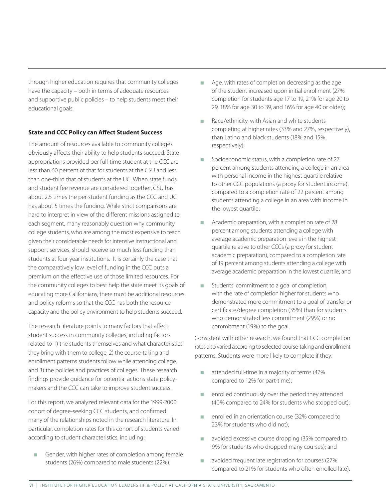through higher education requires that community colleges have the capacity – both in terms of adequate resources and supportive public policies – to help students meet their educational goals.

#### **State and CCC Policy can Affect Student Success**

The amount of resources available to community colleges obviously affects their ability to help students succeed. State appropriations provided per full-time student at the CCC are less than 60 percent of that for students at the CSU and less than one-third that of students at the UC. When state funds and student fee revenue are considered together, CSU has about 2.5 times the per-student funding as the CCC and UC has about 5 times the funding. While strict comparisons are hard to interpret in view of the different missions assigned to each segment, many reasonably question why community college students, who are among the most expensive to teach given their considerable needs for intensive instructional and support services, should receive so much less funding than students at four-year institutions. It is certainly the case that the comparatively low level of funding in the CCC puts a premium on the effective use of those limited resources. For the community colleges to best help the state meet its goals of educating more Californians, there must be additional resources and policy reforms so that the CCC has both the resource capacity and the policy environment to help students succeed.

The research literature points to many factors that affect student success in community colleges, including factors related to 1) the students themselves and what characteristics they bring with them to college, 2) the course-taking and enrollment patterns students follow while attending college, and 3) the policies and practices of colleges. These research findings provide guidance for potential actions state policymakers and the CCC can take to improve student success.

For this report, we analyzed relevant data for the 1999-2000 cohort of degree-seeking CCC students, and confirmed many of the relationships noted in the research literature. In particular, completion rates for this cohort of students varied according to student characteristics, including:

Gender, with higher rates of completion among female students (26%) compared to male students (22%);

- $\blacksquare$  Age, with rates of completion decreasing as the age of the student increased upon initial enrollment (27% completion for students age 17 to 19, 21% for age 20 to 29, 18% for age 30 to 39, and 16% for age 40 or older);
- Race/ethnicity, with Asian and white students completing at higher rates (33% and 27%, respectively), than Latino and black students (18% and 15%, respectively);
- Socioeconomic status, with a completion rate of 27 percent among students attending a college in an area with personal income in the highest quartile relative to other CCC populations (a proxy for student income), compared to a completion rate of 22 percent among students attending a college in an area with income in the lowest quartile;
- Academic preparation, with a completion rate of 28 percent among students attending a college with average academic preparation levels in the highest quartile relative to other CCCs (a proxy for student academic preparation), compared to a completion rate of 19 percent among students attending a college with average academic preparation in the lowest quartile; and
- Students' commitment to a goal of completion, with the rate of completion higher for students who demonstrated more commitment to a goal of transfer or certificate/degree completion (35%) than for students who demonstrated less commitment (29%) or no commitment (19%) to the goal.

Consistent with other research, we found that CCC completion rates also varied according to selected course-taking and enrollment patterns. Students were more likely to complete if they:

- attended full-time in a majority of terms (47% compared to 12% for part-time);
- <sup>n</sup> enrolled continuously over the period they attended (40% compared to 24% for students who stopped out);
- n enrolled in an orientation course (32% compared to 23% for students who did not);
- **n** avoided excessive course dropping (35% compared to 9% for students who dropped many courses); and
- avoided frequent late registration for courses (27% compared to 21% for students who often enrolled late).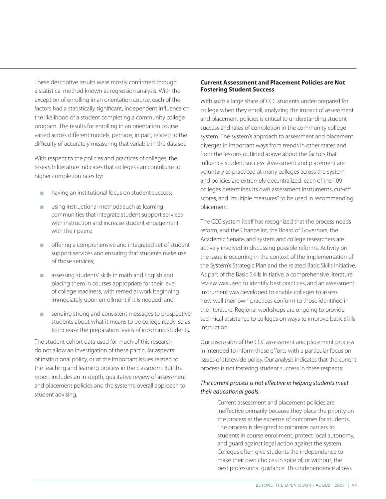These descriptive results were mostly confirmed through a statistical method known as regression analysis. With the exception of enrolling in an orientation course, each of the factors had a statistically significant, independent influence on the likelihood of a student completing a community college program. The results for enrolling in an orientation course varied across different models, perhaps, in part, related to the difficulty of accurately measuring that variable in the dataset.

With respect to the policies and practices of colleges, the research literature indicates that colleges can contribute to higher completion rates by:

- having an institutional focus on student success;
- $\Box$  using instructional methods such as learning communities that integrate student support services with instruction and increase student engagement with their peers;
- <sup>n</sup> offering a comprehensive and integrated set of student support services and ensuring that students make use of those services;
- assessing students' skills in math and English and placing them in courses appropriate for their level of college readiness, with remedial work beginning immediately upon enrollment if it is needed; and
- $\blacksquare$  sending strong and consistent messages to prospective students about what it means to be college ready, so as to increase the preparation levels of incoming students.

The student cohort data used for much of this research do not allow an investigation of these particular aspects of institutional policy, or of the important issues related to the teaching and learning process in the classroom. But the report includes an in-depth, qualitative review of assessment and placement policies and the system's overall approach to student advising.

### **Current Assessment and Placement Policies are Not Fostering Student Success**

With such a large share of CCC students under-prepared for college when they enroll, analyzing the impact of assessment and placement policies is critical to understanding student success and rates of completion in the community college system. The system's approach to assessment and placement diverges in important ways from trends in other states and from the lessons outlined above about the factors that influence student success. Assessment and placement are voluntary as practiced at many colleges across the system, and policies are extremely decentralized: each of the 109 colleges determines its own assessment instruments, cut-off scores, and "multiple measures" to be used in recommending placement.

The CCC system itself has recognized that the process needs reform, and the Chancellor, the Board of Governors, the Academic Senate, and system and college researchers are actively involved in discussing possible reforms. Activity on the issue is occurring in the context of the implementation of the System's Strategic Plan and the related Basic Skills Initiative. As part of the Basic Skills Initiative, a comprehensive literature review was used to identify best practices, and an assessment instrument was developed to enable colleges to assess how well their own practices conform to those identified in the literature. Regional workshops are ongoing to provide technical assistance to colleges on ways to improve basic skills instruction.

Our discussion of the CCC assessment and placement process in intended to inform these efforts with a particular focus on issues of statewide policy. Our analysis indicates that the current process is not fostering student success in three respects:

## *The current process is not effective in helping students meet their educational goals.*

Current assessment and placement policies are ineffective primarily because they place the priority on the process at the expense of outcomes for students. The process is designed to minimize barriers to students in course enrollment, protect local autonomy, and guard against legal action against the system. Colleges often give students the independence to make their own choices in spite of, or without, the best professional guidance. This independence allows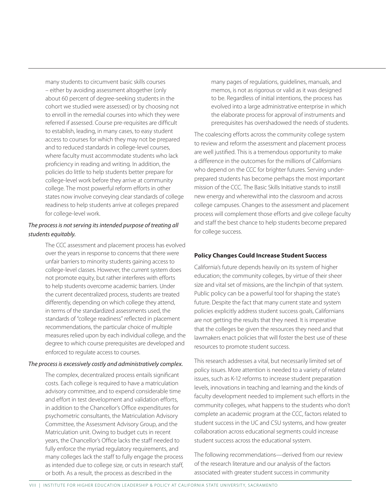many students to circumvent basic skills courses – either by avoiding assessment altogether (only about 60 percent of degree-seeking students in the cohort we studied were assessed) or by choosing not to enroll in the remedial courses into which they were referred if assessed. Course pre-requisites are difficult to establish, leading, in many cases, to easy student access to courses for which they may not be prepared and to reduced standards in college-level courses, where faculty must accommodate students who lack proficiency in reading and writing. In addition, the policies do little to help students better prepare for college-level work before they arrive at community college. The most powerful reform efforts in other states now involve conveying clear standards of college readiness to help students arrive at colleges prepared for college-level work.

### *The process is not serving its intended purpose of treating all students equitably.*

The CCC assessment and placement process has evolved over the years in response to concerns that there were unfair barriers to minority students gaining access to college-level classes. However, the current system does not promote equity, but rather interferes with efforts to help students overcome academic barriers. Under the current decentralized process, students are treated differently, depending on which college they attend, in terms of the standardized assessments used, the standards of "college readiness" reflected in placement recommendations, the particular choice of multiple measures relied upon by each individual college, and the degree to which course prerequisites are developed and enforced to regulate access to courses.

#### *The process is excessively costly and administratively complex.*

The complex, decentralized process entails significant costs. Each college is required to have a matriculation advisory committee, and to expend considerable time and effort in test development and validation efforts, in addition to the Chancellor's Office expenditures for psychometric consultants, the Matriculation Advisory Committee, the Assessment Advisory Group, and the Matriculation unit. Owing to budget cuts in recent years, the Chancellor's Office lacks the staff needed to fully enforce the myriad regulatory requirements, and many colleges lack the staff to fully engage the process as intended due to college size, or cuts in research staff, or both. As a result, the process as described in the

many pages of regulations, guidelines, manuals, and memos, is not as rigorous or valid as it was designed to be. Regardless of initial intentions, the process has evolved into a large administrative enterprise in which the elaborate process for approval of instruments and prerequisites has overshadowed the needs of students.

The coalescing efforts across the community college system to review and reform the assessment and placement process are well justified. This is a tremendous opportunity to make a difference in the outcomes for the millions of Californians who depend on the CCC for brighter futures. Serving underprepared students has become perhaps the most important mission of the CCC. The Basic Skills Initiative stands to instill new energy and wherewithal into the classroom and across college campuses. Changes to the assessment and placement process will complement those efforts and give college faculty and staff the best chance to help students become prepared for college success.

## **Policy Changes Could Increase Student Success**

California's future depends heavily on its system of higher education; the community colleges, by virtue of their sheer size and vital set of missions, are the linchpin of that system. Public policy can be a powerful tool for shaping the state's future. Despite the fact that many current state and system policies explicitly address student success goals, Californians are not getting the results that they need. It is imperative that the colleges be given the resources they need and that lawmakers enact policies that will foster the best use of these resources to promote student success.

This research addresses a vital, but necessarily limited set of policy issues. More attention is needed to a variety of related issues, such as K-12 reforms to increase student preparation levels, innovations in teaching and learning and the kinds of faculty development needed to implement such efforts in the community colleges, what happens to the students who don't complete an academic program at the CCC, factors related to student success in the UC and CSU systems, and how greater collaboration across educational segments could increase student success across the educational system.

The following recommendations—derived from our review of the research literature and our analysis of the factors associated with greater student success in community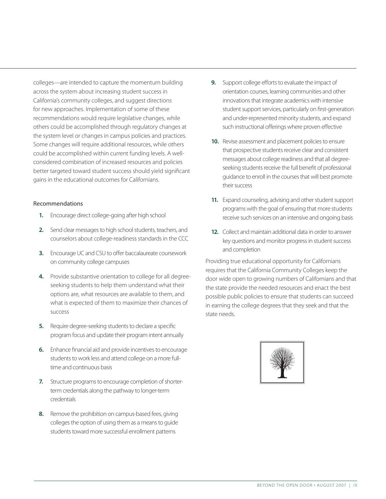colleges—are intended to capture the momentum building across the system about increasing student success in California's community colleges, and suggest directions for new approaches. Implementation of some of these recommendations would require legislative changes, while others could be accomplished through regulatory changes at the system level or changes in campus policies and practices. Some changes will require additional resources, while others could be accomplished within current funding levels. A wellconsidered combination of increased resources and policies better targeted toward student success should yield significant gains in the educational outcomes for Californians.

#### Recommendations

- 1. Encourage direct college-going after high school
- 2. Send clear messages to high school students, teachers, and counselors about college-readiness standards in the CCC
- **3.** Encourage UC and CSU to offer baccalaureate coursework on community college campuses
- **4.** Provide substantive orientation to college for all degreeseeking students to help them understand what their options are, what resources are available to them, and what is expected of them to maximize their chances of success
- **5.** Require degree-seeking students to declare a specific program focus and update their program intent annually
- **6.** Enhance financial aid and provide incentives to encourage students to work less and attend college on a more fulltime and continuous basis
- **7.** Structure programs to encourage completion of shorterterm credentials along the pathway to longer-term credentials
- 8. Remove the prohibition on campus-based fees, giving colleges the option of using them as a means to guide students toward more successful enrollment patterns
- **9.** Support college efforts to evaluate the impact of orientation courses, learning communities and other innovations that integrate academics with intensive student support services, particularly on first-generation and under-represented minority students, and expand such instructional offerings where proven effective
- 10. Revise assessment and placement policies to ensure that prospective students receive clear and consistent messages about college readiness and that all degreeseeking students receive the full benefit of professional guidance to enroll in the courses that will best promote their success
- 11. Expand counseling, advising and other student support programs with the goal of ensuring that more students receive such services on an intensive and ongoing basis
- 12. Collect and maintain additional data in order to answer key questions and monitor progress in student success and completion

Providing true educational opportunity for Californians requires that the California Community Colleges keep the door wide open to growing numbers of Californians and that the state provide the needed resources and enact the best possible public policies to ensure that students can succeed in earning the college degrees that they seek and that the state needs.

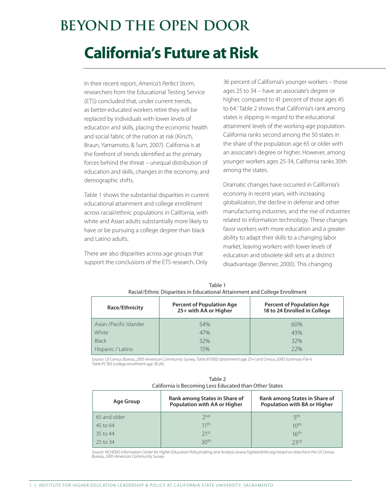## **Beyond the Open Door**

## **California's Future at Risk**

In their recent report, *America's Perfect Storm*, researchers from the Educational Testing Service (ETS) concluded that, under current trends, as better-educated workers retire they will be replaced by individuals with lower levels of education and skills, placing the economic health and social fabric of the nation at risk (Kirsch, Braun, Yamamoto, & Sum, 2007). California is at the forefront of trends identified as the primary forces behind the threat – unequal distribution of education and skills, changes in the economy, and demographic shifts.

Table 1 shows the substantial disparities in current educational attainment and college enrollment across racial/ethnic populations in California, with white and Asian adults substantially more likely to have or be pursuing a college degree than black and Latino adults.

There are also disparities across age groups that support the conclusions of the ETS research. Only

36 percent of California's younger workers – those ages 25 to 34 – have an associate's degree or higher, compared to 41 percent of those ages 45 to 64.<sup>1</sup> Table 2 shows that California's rank among states is slipping in regard to the educational attainment levels of the working-age population. California ranks second among the 50 states in the share of the population age 65 or older with an associate's degree or higher. However, among younger workers ages 25-34, California ranks 30th among the states.

Dramatic changes have occurred in California's economy in recent years, with increasing globalization, the decline in defense and other manufacturing industries, and the rise of industries related to information technology. These changes favor workers with more education and a greater ability to adapt their skills to a changing labor market, leaving workers with lower levels of education and obsolete skill sets at a distinct disadvantage (Benner, 2000). This changing

| Race/Ethnicity          | <b>Percent of Population Age</b><br>25+ with AA or Higher | <b>Percent of Population Age</b><br>18 to 24 Enrolled in College |
|-------------------------|-----------------------------------------------------------|------------------------------------------------------------------|
| Asian /Pacific Islander | 54%                                                       | 60%                                                              |
| White                   | 47%                                                       | 43%                                                              |
| <b>Black</b>            | 32%                                                       | 32%                                                              |
| Hispanic / Latino       | 15%                                                       | 22%                                                              |

Table 1 Racial/Ethnic Disparities in Educational Attainment and College Enrollment

*Source: US Census Bureau, 2005 American Community Survey, Table B15002 (attainment age 25+) and Census 2000 Summary File 4, Table PCT63 (college enrollment age 18-24)*

|                                                        | Table 2 |  |
|--------------------------------------------------------|---------|--|
| California is Becoming Less Educated than Other States |         |  |

| Age Group    | Rank among States in Share of<br>Population with AA or Higher | Rank among States in Share of<br>Population with BA or Higher |
|--------------|---------------------------------------------------------------|---------------------------------------------------------------|
| 65 and older | 2nd                                                           | ςth                                                           |
| 45 to 64     | 11th                                                          | 10 <sup>th</sup>                                              |
| 35 to 44     | 71st                                                          | 16 <sup>th</sup>                                              |
| 25 to 34     | 30 <sup>th</sup>                                              | 23rd                                                          |

*Source: NCHEMS Information Center for Higher Education Policymaking and Analysis (www.higheredinfo.org) based on data from the US Census Bureau, 2005 American Community Survey*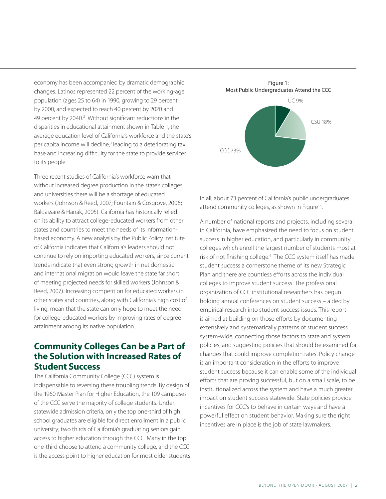economy has been accompanied by dramatic demographic changes. Latinos represented 22 percent of the working-age population (ages 25 to 64) in 1990, growing to 29 percent by 2000, and expected to reach 40 percent by 2020 and 49 percent by 2040.<sup>2</sup> Without significant reductions in the disparities in educational attainment shown in Table 1, the average education level of California's workforce and the state's per capita income will decline,<sup>3</sup> leading to a deteriorating tax base and increasing difficulty for the state to provide services to its people.

Three recent studies of California's workforce warn that without increased degree production in the state's colleges and universities there will be a shortage of educated workers (Johnson & Reed, 2007; Fountain & Cosgrove, 2006; Baldassare & Hanak, 2005). California has historically relied on its ability to attract college-educated workers from other states and countries to meet the needs of its informationbased economy. A new analysis by the Public Policy Institute of California indicates that California's leaders should not continue to rely on importing educated workers, since current trends indicate that even strong growth in net domestic and international migration would leave the state far short of meeting projected needs for skilled workers (Johnson & Reed, 2007). Increasing competition for educated workers in other states and countries, along with California's high cost of living, mean that the state can only hope to meet the need for college-educated workers by improving rates of degree attainment among its native population.

## **Community Colleges Can be a Part of the Solution with Increased Rates of Student Success**

The California Community College (CCC) system is indispensable to reversing these troubling trends. By design of the 1960 Master Plan for Higher Education, the 109 campuses of the CCC serve the majority of college students. Under statewide admission criteria, only the top one-third of high school graduates are eligible for direct enrollment in a public university; two thirds of California's graduating seniors gain access to higher education through the CCC. Many in the top one-third choose to attend a community college, and the CCC is the access point to higher education for most older students.



In all, about 73 percent of California's public undergraduates attend community colleges, as shown in Figure 1.

A number of national reports and projects, including several in California, have emphasized the need to focus on student success in higher education, and particularly in community colleges which enroll the largest number of students most at risk of not finishing college.<sup>4</sup> The CCC system itself has made student success a cornerstone theme of its new Strategic Plan and there are countless efforts across the individual colleges to improve student success. The professional organization of CCC institutional researchers has begun holding annual conferences on student success – aided by empirical research into student success issues. This report is aimed at building on those efforts by documenting extensively and systematically patterns of student success system-wide, connecting those factors to state and system policies, and suggesting policies that should be examined for changes that could improve completion rates. Policy change is an important consideration in the efforts to improve student success because it can enable some of the individual efforts that are proving successful, but on a small scale, to be institutionalized across the system and have a much greater impact on student success statewide. State policies provide incentives for CCC's to behave in certain ways and have a powerful effect on student behavior. Making sure the right incentives are in place is the job of state lawmakers.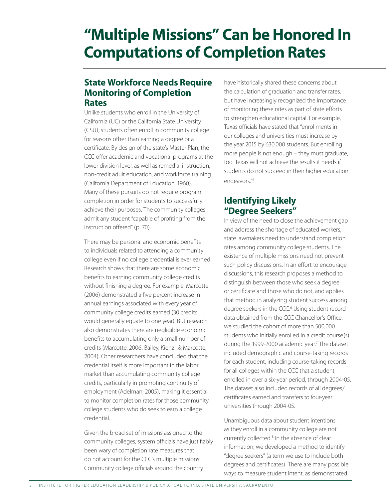## **"Multiple Missions" Can be Honored In Computations of Completion Rates**

## **State Workforce Needs Require Monitoring of Completion Rates**

Unlike students who enroll in the University of California (UC) or the California State University (CSU), students often enroll in community college for reasons other than earning a degree or a certificate. By design of the state's Master Plan, the CCC offer academic and vocational programs at the lower division level, as well as remedial instruction, non-credit adult education, and workforce training (California Department of Education, 1960). Many of these pursuits do not require program completion in order for students to successfully achieve their purposes. The community colleges admit any student "capable of profiting from the instruction offered" (p. 70).

There may be personal and economic benefits to individuals related to attending a community college even if no college credential is ever earned. Research shows that there are some economic benefits to earning community college credits without finishing a degree. For example, Marcotte (2006) demonstrated a five percent increase in annual earnings associated with every year of community college credits earned (30 credits would generally equate to one year). But research also demonstrates there are negligible economic benefits to accumulating only a small number of credits (Marcotte, 2006; Bailey, Kienzl, & Marcotte, 2004). Other researchers have concluded that the credential itself is more important in the labor market than accumulating community college credits, particularly in promoting continuity of employment (Adelman, 2005), making it essential to monitor completion rates for those community college students who do seek to earn a college credential.

Given the broad set of missions assigned to the community colleges, system officials have justifiably been wary of completion rate measures that do not account for the CCC's multiple missions. Community college officials around the country

have historically shared these concerns about the calculation of graduation and transfer rates, but have increasingly recognized the importance of monitoring these rates as part of state efforts to strengthen educational capital. For example, Texas officials have stated that "enrollments in our colleges and universities must increase by the year 2015 by 630,000 students. But enrolling more people is not enough – they must graduate, too. Texas will not achieve the results it needs if students do not succeed in their higher education endeavors."5

## **Identifying Likely "Degree Seekers"**

In view of the need to close the achievement gap and address the shortage of educated workers, state lawmakers need to understand completion rates among community college students. The existence of multiple missions need not prevent such policy discussions. In an effort to encourage discussions, this research proposes a method to distinguish between those who seek a degree or certificate and those who do not, and applies that method in analyzing student success among degree seekers in the CCC.<sup>6</sup> Using student record data obtained from the CCC Chancellor's Office, we studied the cohort of more than 500,000 students who initially enrolled in a credit course(s) during the 1999-2000 academic year.<sup>7</sup> The dataset included demographic and course-taking records for each student, including course-taking records for all colleges within the CCC that a student enrolled in over a six-year period, through 2004-05. The dataset also included records of all degrees/ certificates earned and transfers to four-year universities through 2004-05.

Unambiguous data about student intentions as they enroll in a community college are not currently collected.<sup>8</sup> In the absence of clear information, we developed a method to identify "degree seekers" (a term we use to include both degrees and certificates). There are many possible ways to measure student intent, as demonstrated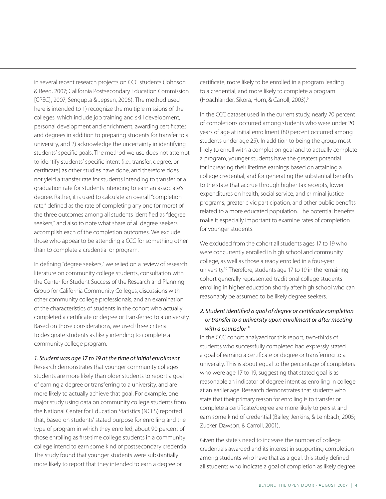in several recent research projects on CCC students (Johnson & Reed, 2007; California Postsecondary Education Commission [CPEC], 2007; Sengupta & Jepsen, 2006). The method used here is intended to 1) recognize the multiple missions of the colleges, which include job training and skill development, personal development and enrichment, awarding certificates and degrees in addition to preparing students for transfer to a university, and 2) acknowledge the uncertainty in identifying students' specific goals. The method we use does not attempt to identify students' specific intent (i.e., transfer, degree, or certificate) as other studies have done, and therefore does not yield a transfer rate for students intending to transfer or a graduation rate for students intending to earn an associate's degree. Rather, it is used to calculate an overall "completion rate," defined as the rate of completing any one (or more) of the three outcomes among all students identified as "degree seekers," and also to note what share of all degree seekers accomplish each of the completion outcomes. We exclude those who appear to be attending a CCC for something other than to complete a credential or program.

In defining "degree seekers," we relied on a review of research literature on community college students, consultation with the Center for Student Success of the Research and Planning Group for California Community Colleges, discussions with other community college professionals, and an examination of the characteristics of students in the cohort who actually completed a certificate or degree or transferred to a university. Based on those considerations, we used three criteria to designate students as likely intending to complete a community college program.

#### *1. Student was age 17 to 19 at the time of initial enrollment*

Research demonstrates that younger community colleges students are more likely than older students to report a goal of earning a degree or transferring to a university, and are more likely to actually achieve that goal. For example, one major study using data on community college students from the National Center for Education Statistics (NCES) reported that, based on students' stated purpose for enrolling and the type of program in which they enrolled, about 90 percent of those enrolling as first-time college students in a community college intend to earn some kind of postsecondary credential. The study found that younger students were substantially more likely to report that they intended to earn a degree or

certificate, more likely to be enrolled in a program leading to a credential, and more likely to complete a program (Hoachlander, Sikora, Horn, & Carroll, 2003).9

In the CCC dataset used in the current study, nearly 70 percent of completions occurred among students who were under 20 years of age at initial enrollment (80 percent occurred among students under age 25). In addition to being the group most likely to enroll with a completion goal and to actually complete a program, younger students have the greatest potential for increasing their lifetime earnings based on attaining a college credential, and for generating the substantial benefits to the state that accrue through higher tax receipts, lower expenditures on health, social service, and criminal justice programs, greater civic participation, and other public benefits related to a more educated population. The potential benefits make it especially important to examine rates of completion for younger students.

We excluded from the cohort all students ages 17 to 19 who were concurrently enrolled in high school and community college, as well as those already enrolled in a four-year university.10 Therefore, students age 17 to 19 in the remaining cohort generally represented traditional college students enrolling in higher education shortly after high school who can reasonably be assumed to be likely degree seekers.

### *2. Student identified a goal of degree or certificate completion or transfer to a university upon enrollment or after meeting with a counselor 11*

In the CCC cohort analyzed for this report, two-thirds of students who successfully completed had expressly stated a goal of earning a certificate or degree or transferring to a university. This is about equal to the percentage of completers who were age 17 to 19, suggesting that stated goal is as reasonable an indicator of degree intent as enrolling in college at an earlier age. Research demonstrates that students who state that their primary reason for enrolling is to transfer or complete a certificate/degree are more likely to persist and earn some kind of credential (Bailey, Jenkins, & Leinbach, 2005; Zucker, Dawson, & Carroll, 2001).

Given the state's need to increase the number of college credentials awarded and its interest in supporting completion among students who have that as a goal, this study defined all students who indicate a goal of completion as likely degree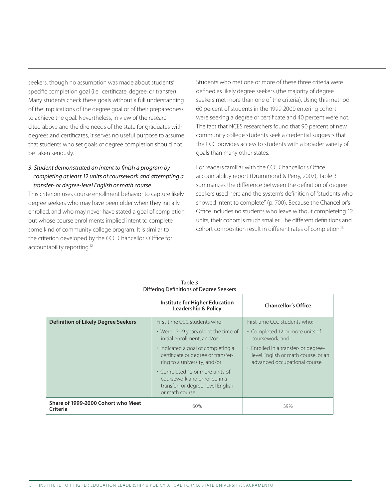seekers, though no assumption was made about students' specific completion goal (i.e., certificate, degree, or transfer). Many students check these goals without a full understanding of the implications of the degree goal or of their preparedness to achieve the goal. Nevertheless, in view of the research cited above and the dire needs of the state for graduates with degrees and certificates, it serves no useful purpose to assume that students who set goals of degree completion should not be taken seriously.

## *3. Student demonstrated an intent to finish a program by completing at least 12 units of coursework and attempting a transfer- or degree-level English or math course*

This criterion uses course enrollment behavior to capture likely degree seekers who may have been older when they initially enrolled, and who may never have stated a goal of completion, but whose course enrollments implied intent to complete some kind of community college program. It is similar to the criterion developed by the CCC Chancellor's Office for accountability reporting.<sup>12</sup>

Students who met one or more of these three criteria were defined as likely degree seekers (the majority of degree seekers met more than one of the criteria). Using this method, 60 percent of students in the 1999-2000 entering cohort were seeking a degree or certificate and 40 percent were not. The fact that NCES researchers found that 90 percent of new community college students seek a credential suggests that the CCC provides access to students with a broader variety of goals than many other states.

For readers familiar with the CCC Chancellor's Office accountability report (Drummond & Perry, 2007), Table 3 summarizes the difference between the definition of degree seekers used here and the system's definition of "students who showed intent to complete" (p. 700). Because the Chancellor's Office includes no students who leave without completeing 12 units, their cohort is much smaller. The different definitions and cohort composition result in different rates of completion.13

|                                                | Institute for Higher Education<br><b>Leadership &amp; Policy</b>                                                       | <b>Chancellor's Office</b>                                                                                  |
|------------------------------------------------|------------------------------------------------------------------------------------------------------------------------|-------------------------------------------------------------------------------------------------------------|
| <b>Definition of Likely Degree Seekers</b>     | First-time CCC students who:                                                                                           | First-time CCC students who:                                                                                |
|                                                | • Were 17-19 years old at the time of<br>initial enrollment: and/or                                                    | • Completed 12 or more units of<br>coursework: and                                                          |
|                                                | • Indicated a goal of completing a<br>certificate or degree or transfer-<br>ring to a university; and/or               | • Enrolled in a transfer- or degree-<br>level English or math course, or an<br>advanced occupational course |
|                                                | • Completed 12 or more units of<br>coursework and enrolled in a<br>transfer- or degree-level English<br>or math course |                                                                                                             |
| Share of 1999-2000 Cohort who Meet<br>Criteria | 60%                                                                                                                    | 39%                                                                                                         |

Table 3 Differing Definitions of Degree Seekers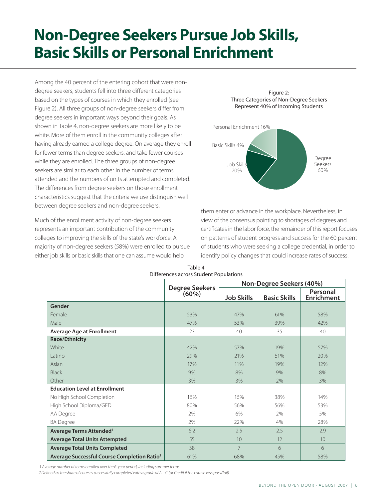## **Non-Degree Seekers Pursue Job Skills, Basic Skills or Personal Enrichment**

Among the 40 percent of the entering cohort that were nondegree seekers, students fell into three different categories based on the types of courses in which they enrolled (see Figure 2). All three groups of non-degree seekers differ from degree seekers in important ways beyond their goals. As shown in Table 4, non-degree seekers are more likely to be white. More of them enroll in the community colleges after having already earned a college degree. On average they enroll for fewer terms than degree seekers, and take fewer courses while they are enrolled. The three groups of non-degree seekers are similar to each other in the number of terms attended and the numbers of units attempted and completed. The differences from degree seekers on those enrollment characteristics suggest that the criteria we use distinguish well between degree seekers and non-degree seekers.

Much of the enrollment activity of non-degree seekers represents an important contribution of the community colleges to improving the skills of the state's workforce. A majority of non-degree seekers (58%) were enrolled to pursue either job skills or basic skills that one can assume would help

Figure 2: Three Categories of Non-Degree Seekers Represent 40% of Incoming Students Degree Seekers 60% Personal Enrichment 16% Basic Skills 4% Job Skills 20%

them enter or advance in the workplace. Nevertheless, in view of the consensus pointing to shortages of degrees and certificates in the labor force, the remainder of this report focuses on patterns of student progress and success for the 60 percent of students who were seeking a college credential, in order to identify policy changes that could increase rates of success.

|                                                         |                         |                   | Non-Degree Seekers (40%) |                               |
|---------------------------------------------------------|-------------------------|-------------------|--------------------------|-------------------------------|
|                                                         | Degree Seekers<br>(60%) | <b>Job Skills</b> | <b>Basic Skills</b>      | Personal<br><b>Enrichment</b> |
| Gender                                                  |                         |                   |                          |                               |
| Female                                                  | 53%                     | 47%               | 61%                      | 58%                           |
| Male                                                    | 47%                     | 53%               | 39%                      | 42%                           |
| <b>Average Age at Enrollment</b>                        | 23                      | 40                | 35                       | 40                            |
| Race/Ethnicity                                          |                         |                   |                          |                               |
| White                                                   | 42%                     | 57%               | 19%                      | 57%                           |
| l atino                                                 | 29%                     | 21%               | 51%                      | 20%                           |
| Asian                                                   | 17%                     | 11%               | 19%                      | 12%                           |
| <b>Black</b>                                            | 9%                      | 8%                | 9%                       | 8%                            |
| Other                                                   | 3%                      | 3%                | 2%                       | 3%                            |
| <b>Education Level at Enrollment</b>                    |                         |                   |                          |                               |
| No High School Completion                               | 16%                     | 16%               | 38%                      | 14%                           |
| High School Diploma/GED                                 | 80%                     | 56%               | 56%                      | 53%                           |
| AA Degree                                               | 2%                      | 6%                | 2%                       | 5%                            |
| <b>BA Degree</b>                                        | 2%                      | 22%               | 4%                       | 28%                           |
| Average Terms Attended <sup>1</sup>                     | 6.2                     | 2.5               | 2.5                      | 2.9                           |
| <b>Average Total Units Attempted</b>                    | 55                      | 10                | 12                       | 10                            |
| <b>Average Total Units Completed</b>                    | 38                      | $\overline{7}$    | 6                        | 6                             |
| Average Successful Course Completion Ratio <sup>2</sup> | 61%                     | 68%               | 45%                      | 58%                           |

Table 4 Differences across Student Populations

 *1 Average number of terms enrolled over the 6-year period, including summer terms*

*2 Defined as the share of courses successfully completed with a grade of A – C (or Credit if the course was pass/fail)*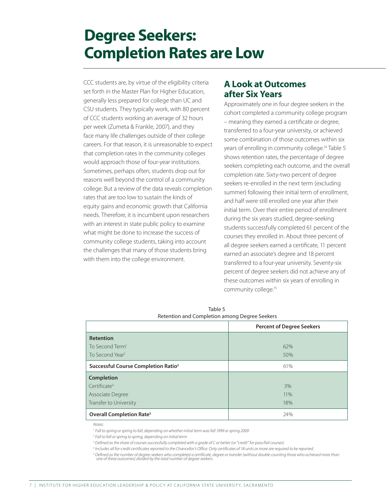## **Degree Seekers: Completion Rates are Low**

CCC students are, by virtue of the eligibility criteria set forth in the Master Plan for Higher Education, generally less prepared for college than UC and CSU students. They typically work, with 80 percent of CCC students working an average of 32 hours per week (Zumeta & Frankle, 2007), and they face many life challenges outside of their college careers. For that reason, it is unreasonable to expect that completion rates in the community colleges would approach those of four-year institutions. Sometimes, perhaps often, students drop out for reasons well beyond the control of a community college. But a review of the data reveals completion rates that are too low to sustain the kinds of equity gains and economic growth that California needs. Therefore, it is incumbent upon researchers with an interest in state public policy to examine what might be done to increase the success of community college students, taking into account the challenges that many of those students bring with them into the college environment.

## **A Look at Outcomes after Six Years**

Approximately one in four degree seekers in the cohort completed a community college program – meaning they earned a certificate or degree, transferred to a four-year university, or achieved some combination of those outcomes within six years of enrolling in community college.<sup>14</sup> Table 5 shows retention rates, the percentage of degree seekers completing each outcome, and the overall completion rate. Sixty-two percent of degree seekers re-enrolled in the next term (excluding summer) following their initial term of enrollment, and half were still enrolled one year after their initial term. Over their entire period of enrollment during the six years studied, degree-seeking students successfully completed 61 percent of the courses they enrolled in. About three percent of all degree seekers earned a certificate, 11 percent earned an associate's degree and 18 percent transferred to a four-year university. Seventy-six percent of degree seekers did not achieve any of these outcomes within six years of enrolling in community college.15

|                                                 | <b>Percent of Degree Seekers</b> |  |  |  |  |  |
|-------------------------------------------------|----------------------------------|--|--|--|--|--|
| <b>Retention</b>                                |                                  |  |  |  |  |  |
| To Second Term <sup>1</sup>                     | 62%                              |  |  |  |  |  |
| To Second Year <sup>2</sup>                     | 50%                              |  |  |  |  |  |
| Successful Course Completion Ratio <sup>3</sup> | 61%                              |  |  |  |  |  |
| <b>Completion</b>                               |                                  |  |  |  |  |  |
| Certificate <sup>4</sup>                        | 3%                               |  |  |  |  |  |
| Associate Degree                                | 11%                              |  |  |  |  |  |
| Transfer to University                          | 18%                              |  |  |  |  |  |
| Overall Completion Rate <sup>5</sup>            | 24%                              |  |  |  |  |  |

Table 5 Retention and Completion among Degree Seekers

*Notes:*

*1 Fall to spring or spring to fall, depending on whether initial term was fall 1999 or spring 2000*

*2 Fall to fall or spring to spring, depending on initial term*

*3 Defined as the share of courses successfully completed with a grade of C or better (or "credit" for pass/fail courses)*

*4 Includes all for-credit certificates reported to the Chancellor's Office. Only certificates of 18 units or more are required to be reported.*

<sup>5</sup> Defined as the number of degree-seekers who completed a certificate, degree or transfer (without double counting those who achieved more than<br>one of these outcomes) divided by the total number of degree-seekers.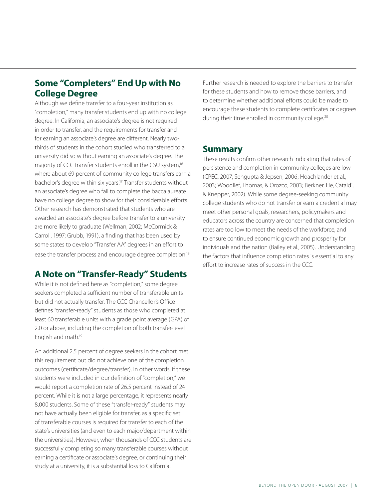## **Some "Completers" End Up with No College Degree**

Although we define transfer to a four-year institution as "completion," many transfer students end up with no college degree. In California, an associate's degree is not required in order to transfer, and the requirements for transfer and for earning an associate's degree are different. Nearly twothirds of students in the cohort studied who transferred to a university did so without earning an associate's degree. The majority of CCC transfer students enroll in the CSU system,<sup>16</sup> where about 69 percent of community college transfers earn a bachelor's degree within six years.17 Transfer students without an associate's degree who fail to complete the baccalaureate have no college degree to show for their considerable efforts. Other research has demonstrated that students who are awarded an associate's degree before transfer to a university are more likely to graduate (Wellman, 2002; McCormick & Carroll, 1997; Grubb, 1991), a finding that has been used by some states to develop "Transfer AA" degrees in an effort to ease the transfer process and encourage degree completion.<sup>18</sup>

## **A Note on "Transfer-Ready" Students**

While it is not defined here as "completion," some degree seekers completed a sufficient number of transferable units but did not actually transfer. The CCC Chancellor's Office defines "transfer-ready" students as those who completed at least 60 transferable units with a grade point average (GPA) of 2.0 or above, including the completion of both transfer-level English and math.19

An additional 2.5 percent of degree seekers in the cohort met this requirement but did not achieve one of the completion outcomes (certificate/degree/transfer). In other words, if these students were included in our definition of "completion," we would report a completion rate of 26.5 percent instead of 24 percent. While it is not a large percentage, it represents nearly 8,000 students. Some of these "transfer-ready" students may not have actually been eligible for transfer, as a specific set of transferable courses is required for transfer to each of the state's universities (and even to each major/department within the universities). However, when thousands of CCC students are successfully completing so many transferable courses without earning a certificate or associate's degree, or continuing their study at a university, it is a substantial loss to California.

Further research is needed to explore the barriers to transfer for these students and how to remove those barriers, and to determine whether additional efforts could be made to encourage these students to complete certificates or degrees during their time enrolled in community college.<sup>20</sup>

## **Summary**

These results confirm other research indicating that rates of persistence and completion in community colleges are low (CPEC, 2007; Sengupta & Jepsen, 2006; Hoachlander et al., 2003; Woodlief, Thomas, & Orozco, 2003; Berkner, He, Cataldi, & Knepper, 2002). While some degree-seeking community college students who do not transfer or earn a credential may meet other personal goals, researchers, policymakers and educators across the country are concerned that completion rates are too low to meet the needs of the workforce, and to ensure continued economic growth and prosperity for individuals and the nation (Bailey et al., 2005). Understanding the factors that influence completion rates is essential to any effort to increase rates of success in the CCC.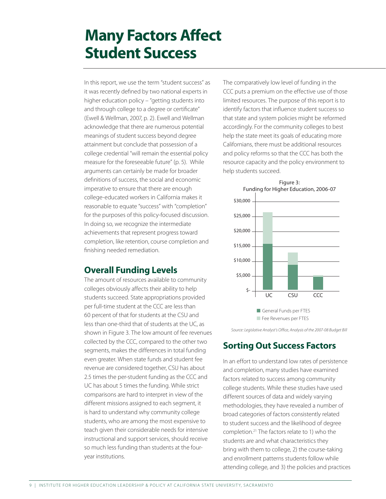## **Many Factors Affect Student Success**

In this report, we use the term "student success" as it was recently defined by two national experts in higher education policy – "getting students into and through college to a degree or certificate" (Ewell & Wellman, 2007, p. 2). Ewell and Wellman acknowledge that there are numerous potential meanings of student success beyond degree attainment but conclude that possession of a college credential "will remain the essential policy measure for the foreseeable future" (p. 5). While arguments can certainly be made for broader definitions of success, the social and economic imperative to ensure that there are enough college-educated workers in California makes it reasonable to equate "success" with "completion" for the purposes of this policy-focused discussion. In doing so, we recognize the intermediate achievements that represent progress toward completion, like retention, course completion and finishing needed remediation.

## **Overall Funding Levels**

The amount of resources available to community colleges obviously affects their ability to help students succeed. State appropriations provided per full-time student at the CCC are less than 60 percent of that for students at the CSU and less than one-third that of students at the UC, as shown in Figure 3. The low amount of fee revenues collected by the CCC, compared to the other two segments, makes the differences in total funding even greater. When state funds and student fee revenue are considered together, CSU has about 2.5 times the per-student funding as the CCC and UC has about 5 times the funding. While strict comparisons are hard to interpret in view of the different missions assigned to each segment, it is hard to understand why community college students, who are among the most expensive to teach given their considerable needs for intensive instructional and support services, should receive so much less funding than students at the fouryear institutions.

The comparatively low level of funding in the CCC puts a premium on the effective use of those limited resources. The purpose of this report is to identify factors that influence student success so that state and system policies might be reformed accordingly. For the community colleges to best help the state meet its goals of educating more Californians, there must be additional resources and policy reforms so that the CCC has both the resource capacity and the policy environment to help students succeed.



*Source: Legislative Analyst's Office, Analysis of the 2007-08 Budget Bill*

## **Sorting Out Success Factors**

In an effort to understand low rates of persistence and completion, many studies have examined factors related to success among community college students. While these studies have used different sources of data and widely varying methodologies, they have revealed a number of broad categories of factors consistently related to student success and the likelihood of degree completion.21 The factors relate to 1) who the students are and what characteristics they bring with them to college, 2) the course-taking and enrollment patterns students follow while attending college, and 3) the policies and practices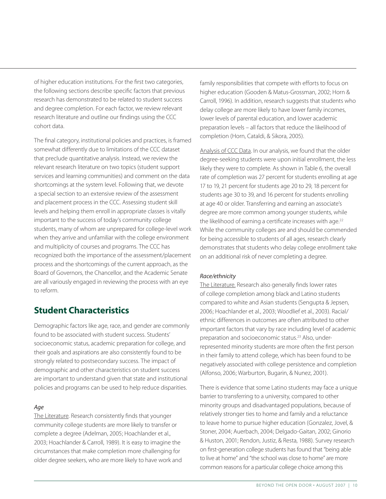of higher education institutions. For the first two categories, the following sections describe specific factors that previous research has demonstrated to be related to student success and degree completion. For each factor, we review relevant research literature and outline our findings using the CCC cohort data.

The final category, institutional policies and practices, is framed somewhat differently due to limitations of the CCC dataset that preclude quantitative analysis. Instead, we review the relevant research literature on two topics (student support services and learning communities) and comment on the data shortcomings at the system level. Following that, we devote a special section to an extensive review of the assessment and placement process in the CCC. Assessing student skill levels and helping them enroll in appropriate classes is vitally important to the success of today's community college students, many of whom are unprepared for college-level work when they arrive and unfamiliar with the college environment and multiplicity of courses and programs. The CCC has recognized both the importance of the assessment/placement process and the shortcomings of the current approach, as the Board of Governors, the Chancellor, and the Academic Senate are all variously engaged in reviewing the process with an eye to reform.

## **Student Characteristics**

Demographic factors like age, race, and gender are commonly found to be associated with student success. Students' socioeconomic status, academic preparation for college, and their goals and aspirations are also consistently found to be strongly related to postsecondary success. The impact of demographic and other characteristics on student success are important to understand given that state and institutional policies and programs can be used to help reduce disparities.

### *Age*

The Literature. Research consistently finds that younger community college students are more likely to transfer or complete a degree (Adelman, 2005; Hoachlander et al., 2003; Hoachlander & Carroll, 1989). It is easy to imagine the circumstances that make completion more challenging for older degree seekers, who are more likely to have work and

family responsibilities that compete with efforts to focus on higher education (Gooden & Matus-Grossman, 2002; Horn & Carroll, 1996). In addition, research suggests that students who delay college are more likely to have lower family incomes, lower levels of parental education, and lower academic preparation levels – all factors that reduce the likelihood of completion (Horn, Cataldi, & Sikora, 2005).

Analysis of CCC Data. In our analysis, we found that the older degree-seeking students were upon initial enrollment, the less likely they were to complete. As shown in Table 6, the overall rate of completion was 27 percent for students enrolling at age 17 to 19, 21 percent for students age 20 to 29, 18 percent for students age 30 to 39, and 16 percent for students enrolling at age 40 or older. Transferring and earning an associate's degree are more common among younger students, while the likelihood of earning a certificate increases with age.<sup>22</sup> While the community colleges are and should be commended for being accessible to students of all ages, research clearly demonstrates that students who delay college enrollment take on an additional risk of never completing a degree.

### *Race/ethnicity*

The Literature. Research also generally finds lower rates of college completion among black and Latino students compared to white and Asian students (Sengupta & Jepsen, 2006; Hoachlander et al., 2003; Woodlief et al., 2003). Racial/ ethnic differences in outcomes are often attributed to other important factors that vary by race including level of academic preparation and socioeconomic status.23 Also, underrepresented minority students are more often the first person in their family to attend college, which has been found to be negatively associated with college persistence and completion (Alfonso, 2006; Warburton, Bugarin, & Nunez, 2001).

There is evidence that some Latino students may face a unique barrier to transferring to a university, compared to other minority groups and disadvantaged populations, because of relatively stronger ties to home and family and a reluctance to leave home to pursue higher education (Gonzalez, Jovel, & Stoner, 2004; Auerbach, 2004; Delgado-Gaitan, 2002; Ginorio & Huston, 2001; Rendon, Justiz, & Resta, 1988). Survey research on first-generation college students has found that "being able to live at home" and "the school was close to home" are more common reasons for a particular college choice among this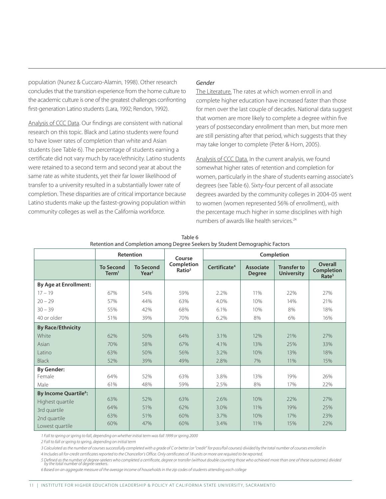population (Nunez & Cuccaro-Alamin, 1998). Other research concludes that the transition experience from the home culture to the academic culture is one of the greatest challenges confronting first-generation Latino students (Lara, 1992; Rendon, 1992).

Analysis of CCC Data. Our findings are consistent with national research on this topic. Black and Latino students were found to have lower rates of completion than white and Asian students (see Table 6). The percentage of students earning a certificate did not vary much by race/ethnicity. Latino students were retained to a second term and second year at about the same rate as white students, yet their far lower likelihood of transfer to a university resulted in a substantially lower rate of completion. These disparities are of critical importance because Latino students make up the fastest-growing population within community colleges as well as the California workforce.

### *Gender*

The Literature. The rates at which women enroll in and complete higher education have increased faster than those for men over the last couple of decades. National data suggest that women are more likely to complete a degree within five years of postsecondary enrollment than men, but more men are still persisting after that period, which suggests that they may take longer to complete (Peter & Horn, 2005).

Analysis of CCC Data. In the current analysis, we found somewhat higher rates of retention and completion for women, particularly in the share of students earning associate's degrees (see Table 6). Sixty-four percent of all associate degrees awarded by the community colleges in 2004-05 went to women (women represented 56% of enrollment), with the percentage much higher in some disciplines with high numbers of awards like health services.<sup>24</sup>

|                                        | Retention                             |                                       | Course                           |                          | Completion                        |                                         |                                                   |  |
|----------------------------------------|---------------------------------------|---------------------------------------|----------------------------------|--------------------------|-----------------------------------|-----------------------------------------|---------------------------------------------------|--|
|                                        | <b>To Second</b><br>Term <sup>1</sup> | <b>To Second</b><br>Year <sup>2</sup> | Completion<br>Ratio <sup>3</sup> | Certificate <sup>4</sup> | <b>Associate</b><br><b>Degree</b> | <b>Transfer to</b><br><b>University</b> | Overall<br><b>Completion</b><br>Rate <sup>5</sup> |  |
| <b>By Age at Enrollment:</b>           |                                       |                                       |                                  |                          |                                   |                                         |                                                   |  |
| $17 - 19$                              | 67%                                   | 54%                                   | 59%                              | 2.2%                     | 11%                               | 22%                                     | 27%                                               |  |
| $20 - 29$                              | 57%                                   | 44%                                   | 63%                              | 4.0%                     | 10%                               | 14%                                     | 21%                                               |  |
| $30 - 39$                              | 55%                                   | 42%                                   | 68%                              | 6.1%                     | 10%                               | 8%                                      | 18%                                               |  |
| 40 or older                            | 51%                                   | 39%                                   | 70%                              | 6.2%                     | 8%                                | 6%                                      | 16%                                               |  |
| <b>By Race/Ethnicity</b>               |                                       |                                       |                                  |                          |                                   |                                         |                                                   |  |
| White                                  | 62%                                   | 50%                                   | 64%                              | 3.1%                     | 12%                               | 21%                                     | 27%                                               |  |
| Asian                                  | 70%                                   | 58%                                   | 67%                              | 4.1%                     | 13%                               | 25%                                     | 33%                                               |  |
| Latino                                 | 63%                                   | 50%                                   | 56%                              | 3.2%                     | 10%                               | 13%                                     | 18%                                               |  |
| <b>Black</b>                           | 52%                                   | 39%                                   | 49%                              | 2.8%                     | 7%                                | 11%                                     | 15%                                               |  |
| <b>By Gender:</b>                      |                                       |                                       |                                  |                          |                                   |                                         |                                                   |  |
| Female                                 | 64%                                   | 52%                                   | 63%                              | 3.8%                     | 13%                               | 19%                                     | 26%                                               |  |
| Male                                   | 61%                                   | 48%                                   | 59%                              | 2.5%                     | 8%                                | 17%                                     | 22%                                               |  |
| <b>By Income Quartile<sup>6</sup>:</b> |                                       |                                       |                                  |                          |                                   |                                         |                                                   |  |
| Highest quartile                       | 63%                                   | 52%                                   | 63%                              | 2.6%                     | 10%                               | 22%                                     | 27%                                               |  |
| 3rd quartile                           | 64%                                   | 51%                                   | 62%                              | 3.0%                     | 11%                               | 19%                                     | 25%                                               |  |
| 2nd quartile                           | 63%                                   | 51%                                   | 60%                              | 3.7%                     | 10%                               | 17%                                     | 23%                                               |  |
| Lowest quartile                        | 60%                                   | 47%                                   | 60%                              | 3.4%                     | 11%                               | 15%                                     | 22%                                               |  |

| Table 6                                                                      |
|------------------------------------------------------------------------------|
| Retention and Completion among Degree Seekers by Student Demographic Factors |

*1 Fall to spring or spring to fall, depending on whether initial term was fall 1999 or spring 2000*

*2 Fall to fall or spring to spring, depending on initial term*

*3 Calculated as the number of courses successfully completed with a grade of C or better (or "credit" for pass/fail courses) divided by the total number of courses enrolled in*

*4 Includes all for-credit certificates reported to the Chancellor's Office. Only certificates of 18 units or more are required to be reported.*

5 Defined as the number of degree-seekers who completed a certificate, degree or transfer (without double counting those who achieved more than one of these outcomes) divided<br>by the total number of degree-seekers.

*6 Based on an aggregate measure of the average income of households in the zip codes of students attending each college*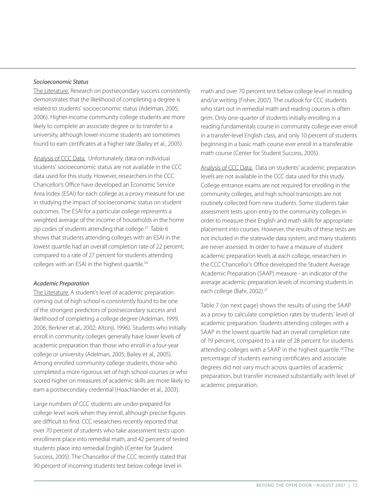#### *Socioeconomic Status*

The Literature. Research on postsecondary success consistently demonstrates that the likelihood of completing a degree is related to students' socioeconomic status (Adelman, 2005, 2006). Higher-income community college students are more likely to complete an associate degree or to transfer to a university, although lower-income students are sometimes found to earn certificates at a higher rate (Bailey et al., 2005).

Analysis of CCC Data. Unfortunately, data on individual students' socioeconomic status are not available in the CCC data used for this study. However, researchers in the CCC Chancellor's Office have developed an Economic Service Area Index (ESAI) for each college as a proxy measure for use in studying the impact of socioeconomic status on student outcomes. The ESAI for a particular college represents a weighted average of the income of households in the home zip codes of students attending that college.<sup>25</sup> Table 6 shows that students attending colleges with an ESAI in the lowest quartile had an overall completion rate of 22 percent, compared to a rate of 27 percent for students attending colleges with an ESAI in the highest quartile.<sup>26</sup>

#### *Academic Preparation*

The Literature. A student's level of academic preparation coming out of high school is consistently found to be one of the strongest predictors of postsecondary success and likelihood of completing a college degree (Adelman, 1999, 2006; Berkner et al., 2002; Altonji, 1996). Students who initially enroll in community colleges generally have lower levels of academic preparation than those who enroll in a four-year college or university (Adelman, 2005; Bailey et al., 2005). Among enrolled community college students, those who completed a more rigorous set of high school courses or who scored higher on measures of academic skills are more likely to earn a postsecondary credential (Hoachlander et al., 2003).

Large numbers of CCC students are under-prepared for college-level work when they enroll, although precise figures are difficult to find. CCC researchers recently reported that over 70 percent of students who take assessment tests upon enrollment place into remedial math, and 42 percent of tested students place into remedial English (Center for Student Success, 2005). The Chancellor of the CCC recently stated that 90 percent of incoming students test below college level in

math and over 70 percent test below college level in reading and/or writing (Fisher, 2007). The outlook for CCC students who start out in remedial math and reading courses is often grim. Only one-quarter of students initially enrolling in a reading fundamentals course in community college ever enroll in a transfer-level English class, and only 10 percent of students beginning in a basic math course ever enroll in a transferable math course (Center for Student Success, 2005).

Analysis of CCC Data. Data on students' academic preparation levels are not available in the CCC data used for this study. College entrance exams are not required for enrolling in the community colleges, and high school transcripts are not routinely collected from new students. Some students take assessment tests upon entry to the community colleges in order to measure their English and math skills for appropriate placement into courses. However, the results of these tests are not included in the statewide data system, and many students are never assessed. In order to have a measure of student academic preparation levels at each college, researchers in the CCC Chancellor's Office developed the Student Average Academic Preparation (SAAP) measure - an indicator of the average academic preparation levels of incoming students in each college (Bahr, 2002).<sup>27</sup>

Table 7 (on next page) shows the results of using the SAAP as a proxy to calculate completion rates by students' level of academic preparation. Students attending colleges with a SAAP in the lowest quartile had an overall completion rate of 19 percent, compared to a rate of 28 percent for students attending colleges with a SAAP in the highest quartile.<sup>28</sup> The percentage of students earning certificates and associate degrees did not vary much across quartiles of academic preparation, but transfer increased substantially with level of academic preparation.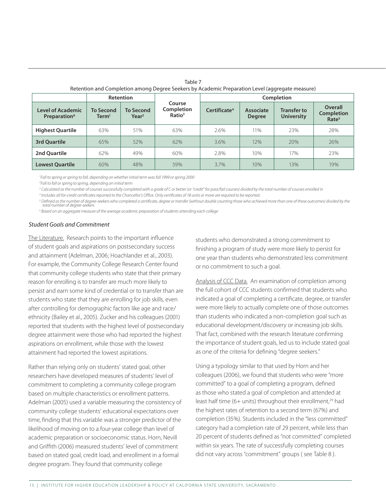|                                                      |                                       | <b>Retention</b>                      |                                  | Retention and Completion among Degree Seekers by Academic Preparation Level (aggregate measure)<br><b>Completion</b> |                            |                                         |                                                          |  |
|------------------------------------------------------|---------------------------------------|---------------------------------------|----------------------------------|----------------------------------------------------------------------------------------------------------------------|----------------------------|-----------------------------------------|----------------------------------------------------------|--|
|                                                      |                                       |                                       | Course                           |                                                                                                                      |                            |                                         |                                                          |  |
| Level of Academic<br><b>Preparation</b> <sup>6</sup> | <b>To Second</b><br>$\mathsf{Term}^1$ | <b>To Second</b><br>Year <sup>2</sup> | Completion<br>Ratio <sup>3</sup> | Certificate <sup>4</sup>                                                                                             | Associate<br><b>Degree</b> | <b>Transfer to</b><br><b>University</b> | <b>Overall</b><br><b>Completion</b><br>Rate <sup>5</sup> |  |
| <b>Highest Quartile</b>                              | 63%                                   | 51%                                   | 63%                              | 2.6%                                                                                                                 | 11%                        | 23%                                     | 28%                                                      |  |
| <b>3rd Ouartile</b>                                  | 65%                                   | 52%                                   | 62%                              | 3.6%                                                                                                                 | 12%                        | 20%                                     | 26%                                                      |  |
| 2nd Ouartile                                         | 62%                                   | 49%                                   | 60%                              | 2.8%                                                                                                                 | 10%                        | 17%                                     | 23%                                                      |  |
| <b>Lowest Quartile</b>                               | 60%                                   | 48%                                   | 59%                              | 3.7%                                                                                                                 | 10%                        | 13%                                     | 19%                                                      |  |

Table 7 Retention and Completion among Degree Seekers by Academic Preparation Level (aggregate measure)

*1 Fall to spring or spring to fall, depending on whether initial term was fall 1999 or spring 2000*

*2 Fall to fall or spring to spring, depending on initial term*

<sup>3</sup> Calculated as the number of courses successfully completed with a grade of C or better (or "credit" for pass/fail courses) divided by the total number of courses enrolled in

*4 Includes all for-credit certificates reported to the Chancellor's Office. Only certificates of 18 units or more are required to be reported.*

*5 Defined as the number of degree-seekers who completed a certificate, degree or transfer (without double counting those who achieved more than one of these outcomes) divided by the total number of degree-seekers*

*6 Based on an aggregate measure of the average academic preparation of students attending each college*

#### *Student Goals and Commitment*

The Literature. Research points to the important influence of student goals and aspirations on postsecondary success and attainment (Adelman, 2006; Hoachlander et al., 2003). For example, the Community College Research Center found that community college students who state that their primary reason for enrolling is to transfer are much more likely to persist and earn some kind of credential or to transfer than are students who state that they are enrolling for job skills, even after controlling for demographic factors like age and race/ ethnicity (Bailey et al., 2005). Zucker and his colleagues (2001) reported that students with the highest level of postsecondary degree attainment were those who had reported the highest aspirations on enrollment, while those with the lowest attainment had reported the lowest aspirations.

Rather than relying only on students' stated goal, other researchers have developed measures of students' level of commitment to completing a community college program based on multiple characteristics or enrollment patterns. Adelman (2005) used a variable measuring the consistency of community college students' educational expectations over time, finding that this variable was a stronger predictor of the likelihood of moving on to a four-year college than level of academic preparation or socioeconomic status. Horn, Nevill and Griffith (2006) measured students' level of commitment based on stated goal, credit load, and enrollment in a formal degree program. They found that community college

students who demonstrated a strong commitment to finishing a program of study were more likely to persist for one year than students who demonstrated less commitment or no commitment to such a goal.

Analysis of CCC Data. An examination of completion among the full cohort of CCC students confirmed that students who indicated a goal of completing a certificate, degree, or transfer were more likely to actually complete one of those outcomes than students who indicated a non-completion goal such as educational development/discovery or increasing job skills. That fact, combined with the research literature confirming the importance of student goals, led us to include stated goal as one of the criteria for defining "degree seekers."

Using a typology similar to that used by Horn and her colleagues (2006), we found that students who were "more committed" to a goal of completing a program, defined as those who stated a goal of completion and attended at least half time (6+ units) throughout their enrollment,<sup>29</sup> had the highest rates of retention to a second term (67%) and completion (35%). Students included in the "less committed" category had a completion rate of 29 percent, while less than 20 percent of students defined as "not committed" completed within six years. The rate of successfully completing courses did not vary across "commitment" groups ( see Table 8 ).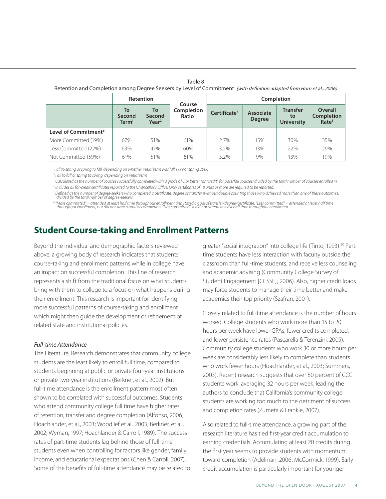| Retention and Completion among Degree Seekers by Level of Commitment (with definition adapted from Horn et al., 2006) |                           |                                   |                                            |                          |                            |                                            |                                                          |  |  |
|-----------------------------------------------------------------------------------------------------------------------|---------------------------|-----------------------------------|--------------------------------------------|--------------------------|----------------------------|--------------------------------------------|----------------------------------------------------------|--|--|
|                                                                                                                       | <b>Retention</b>          |                                   |                                            | Completion               |                            |                                            |                                                          |  |  |
|                                                                                                                       | To<br>Second<br>Term $^1$ | To<br>Second<br>Year <sup>2</sup> | Course<br>Completion<br>Ratio <sup>3</sup> | Certificate <sup>4</sup> | Associate<br><b>Degree</b> | <b>Transfer</b><br>to<br><b>University</b> | <b>Overall</b><br><b>Completion</b><br>Rate <sup>5</sup> |  |  |
| Level of Commitment <sup>6</sup>                                                                                      |                           |                                   |                                            |                          |                            |                                            |                                                          |  |  |
| More Committed (19%)                                                                                                  | 67%                       | 51%                               | 61%                                        | 2.7%                     | 15%                        | 30%                                        | 35%                                                      |  |  |
| Less Committed (22%)                                                                                                  | 63%                       | 47%                               | 60%                                        | 3.5%                     | 13%                        | 22%                                        | 29%                                                      |  |  |
| Not Committed (59%)                                                                                                   | 61%                       | 51%                               | 61%                                        | $3.2\%$                  | 9%                         | 13%                                        | 19%                                                      |  |  |

Table 8

*1 Fall to spring or spring to fall, depending on whether initial term was fall 1999 or spring 2000*

*2 Fall to fall or spring to spring, depending on initial term*

<sup>3</sup> Calculated as the number of courses successfully completed with a grade of C or better (or "credit" for pass/fail courses) divided by the total number of courses enrolled in *4 Includes all for-credit certificates reported to the Chancellor's Office. Only certificates of 18 units or more are required to be reported.*

*5 Defined as the number of degree-seekers who completed a certificate, degree or transfer (without double counting those who achieved more than one of these outcomes) divided by the total number of degree-seekers.*

<sup>6</sup> "More committed" = attended at least half time throughout enrollment and stated a goal of transfer/degree/certificate. "Less committed" = attended at least half time<br>throughout enrollment, but did not state a goal of c

## **Student Course-taking and Enrollment Patterns**

Beyond the individual and demographic factors reviewed above, a growing body of research indicates that students' course-taking and enrollment patterns while in college have an impact on successful completion. This line of research represents a shift from the traditional focus on what students bring with them to college to a focus on what happens during their enrollment. This research is important for identifying more successful patterns of course-taking and enrollment which might then guide the development or refinement of related state and institutional policies.

## *Full-time Attendance*

The Literature. Research demonstrates that community college students are the least likely to enroll full time, compared to students beginning at public or private four-year institutions or private two-year institutions (Berkner, et al., 2002). But full-time attendance is the enrollment pattern most often shown to be correlated with successful outcomes. Students who attend community college full time have higher rates of retention, transfer and degree completion (Alfonso, 2006; Hoachlander, et al., 2003; Woodlief et al., 2003; Berkner, et al., 2002; Wyman, 1997; Hoachlander & Carroll, 1989). The success rates of part-time students lag behind those of full-time students even when controlling for factors like gender, family income, and educational expectations (Chen & Carroll, 2007). Some of the benefits of full-time attendance may be related to greater "social integration" into college life (Tinto, 1993).<sup>30</sup> Parttime students have less interaction with faculty outside the classroom than full-time students, and receive less counseling and academic advising (Community College Survey of Student Engagement [CCSSE], 2006). Also, higher credit loads may force students to manage their time better and make academics their top priority (Szafran, 2001).

Closely related to full-time attendance is the number of hours worked. College students who work more than 15 to 20 hours per week have lower GPAs, fewer credits completed, and lower persistence rates (Pascarella & Terenzini, 2005). Community college students who work 30 or more hours per week are considerably less likely to complete than students who work fewer hours (Hoachlander, et al., 2003; Summers, 2003). Recent research suggests that over 80 percent of CCC students work, averaging 32 hours per week, leading the authors to conclude that California's community college students are working too much to the detriment of success and completion rates (Zumeta & Frankle, 2007).

Also related to full-time attendance, a growing part of the research literature has tied first-year credit accumulation to earning credentials. Accumulating at least 20 credits during the first year seems to provide students with momentum toward completion (Adelman, 2006; McCormick, 1999). Early credit accumulation is particularly important for younger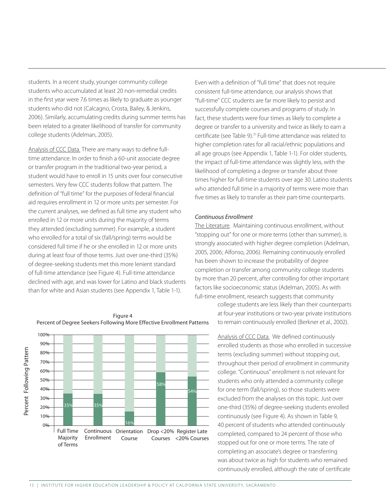students. In a recent study, younger community college students who accumulated at least 20 non-remedial credits in the first year were 7.6 times as likely to graduate as younger students who did not (Calcagno, Crosta, Bailey, & Jenkins, 2006). Similarly, accumulating credits during summer terms has been related to a greater likelihood of transfer for community college students (Adelman, 2005).

Analysis of CCC Data. There are many ways to define fulltime attendance. In order to finish a 60-unit associate degree or transfer program in the traditional two-year period, a student would have to enroll in 15 units over four consecutive semesters. Very few CCC students follow that pattern. The definition of "full time" for the purposes of federal financial aid requires enrollment in 12 or more units per semester. For the current analyses, we defined as full time any student who enrolled in 12 or more units during the majority of terms they attended (excluding summer). For example, a student who enrolled for a total of six (fall/spring) terms would be considered full time if he or she enrolled in 12 or more units during at least four of those terms. Just over one-third (35%) of degree-seeking students met this more lenient standard of full-time attendance (see Figure 4). Full-time attendance declined with age, and was lower for Latino and black students than for white and Asian students (see Appendix 1, Table 1-1).

100% 90% Percent Following Pattern Percent Following Pattern 80% 70% 60% 50% 58% 40% 54% 30% 20% 10% 16% 0% Full Time Continuous Orientation Drop <20% Register Late Majority Enrollment Course Courses <20% Courses of Terms

Figure 4 Percent of Degree Seekers Following More Effective Enrollment Patterns

Even with a definition of "full time" that does not require consistent full-time attendance, our analysis shows that "full-time" CCC students are far more likely to persist and successfully complete courses and programs of study. In fact, these students were four times as likely to complete a degree or transfer to a university and twice as likely to earn a certificate (see Table 9).<sup>31</sup> Full-time attendance was related to higher completion rates for all racial/ethnic populations and all age groups (see Appendix 1, Table 1-1). For older students, the impact of full-time attendance was slightly less, with the likelihood of completing a degree or transfer about three times higher for full-time students over age 30. Latino students who attended full time in a majority of terms were more than five times as likely to transfer as their part-time counterparts.

#### *Continuous Enrollment*

The Literature. Maintaining continuous enrollment, without "stopping out" for one or more terms (other than summer), is strongly associated with higher degree completion (Adelman, 2005, 2006; Alfonso, 2006). Remaining continuously enrolled has been shown to increase the probability of degree completion or transfer among community college students by more than 20 percent, after controlling for other important factors like socioeconomic status (Adelman, 2005). As with full-time enrollment, research suggests that community

> college students are less likely than their counterparts at four-year institutions or two-year private institutions to remain continuously enrolled (Berkner et al., 2002).

Analysis of CCC Data. We defined continuously enrolled students as those who enrolled in successive terms (excluding summer) without stopping out, throughout their period of enrollment in community college. "Continuous" enrollment is not relevant for students who only attended a community college for one term (fall/spring), so those students were excluded from the analyses on this topic. Just over one-third (35%) of degree-seeking students enrolled continuously (see Figure 4). As shown in Table 9, 40 percent of students who attended continuously completed, compared to 24 percent of those who stopped out for one or more terms. The rate of completing an associate's degree or transferring was about twice as high for students who remained continuously enrolled, although the rate of certificate

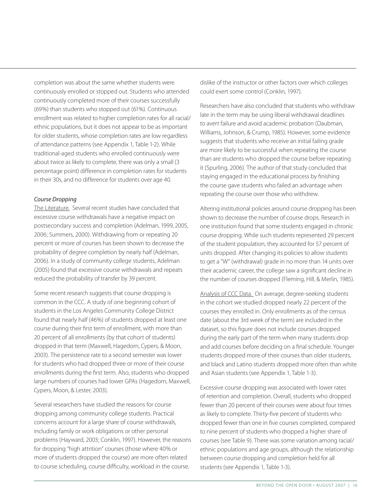completion was about the same whether students were continuously enrolled or stopped out. Students who attended continuously completed more of their courses successfully (69%) than students who stopped out (61%). Continuous enrollment was related to higher completion rates for all racial/ ethnic populations, but it does not appear to be as important for older students, whose completion rates are low regardless of attendance patterns (see Appendix 1, Table 1-2). While traditional-aged students who enrolled continuously were about twice as likely to complete, there was only a small (3 percentage point) difference in completion rates for students in their 30s, and no difference for students over age 40.

### *Course Dropping*

The Literature. Several recent studies have concluded that excessive course withdrawals have a negative impact on postsecondary success and completion (Adelman, 1999, 2005, 2006; Summers, 2000). Withdrawing from or repeating 20 percent or more of courses has been shown to decrease the probability of degree completion by nearly half (Adelman, 2006). In a study of community college students, Adelman (2005) found that excessive course withdrawals and repeats reduced the probability of transfer by 39 percent.

Some recent research suggests that course dropping is common in the CCC. A study of one beginning cohort of students in the Los Angeles Community College District found that nearly half (46%) of students dropped at least one course during their first term of enrollment, with more than 20 percent of all enrollments (by that cohort of students) dropped in that term (Maxwell, Hagedorn, Cypers, & Moon, 2003). The persistence rate to a second semester was lower for students who had dropped three or more of their course enrollments during the first term. Also, students who dropped large numbers of courses had lower GPAs (Hagedorn, Maxwell, Cypers, Moon, & Lester, 2003).

Several researchers have studied the reasons for course dropping among community college students. Practical concerns account for a large share of course withdrawals, including family or work obligations or other personal problems (Hayward, 2003; Conklin, 1997). However, the reasons for dropping "high attrition" courses (those where 40% or more of students dropped the course) are more often related to course scheduling, course difficulty, workload in the course,

dislike of the instructor or other factors over which colleges could exert some control (Conklin, 1997).

Researchers have also concluded that students who withdraw late in the term may be using liberal withdrawal deadlines to avert failure and avoid academic probation (Daubman, Williams, Johnson, & Crump, 1985). However, some evidence suggests that students who receive an initial failing grade are more likely to be successful when repeating the course than are students who dropped the course before repeating it (Spurling, 2006). The author of that study concluded that staying engaged in the educational process by finishing the course gave students who failed an advantage when repeating the course over those who withdrew.

Altering institutional policies around course dropping has been shown to decrease the number of course drops. Research in one institution found that some students engaged in chronic course dropping. While such students represented 29 percent of the student population, they accounted for 57 percent of units dropped. After changing its policies to allow students to get a "W" (withdrawal) grade in no more than 14 units over their academic career, the college saw a significant decline in the number of courses dropped (Fleming, Hill, & Merlin, 1985).

Analysis of CCC Data. On average, degree-seeking students in the cohort we studied dropped nearly 22 percent of the courses they enrolled in. Only enrollments as of the census date (about the 3rd week of the term) are included in the dataset, so this figure does not include courses dropped during the early part of the term when many students drop and add courses before deciding on a final schedule. Younger students dropped more of their courses than older students, and black and Latino students dropped more often than white and Asian students (see Appendix 1, Table 1-3).

Excessive course dropping was associated with lower rates of retention and completion. Overall, students who dropped fewer than 20 percent of their courses were about four times as likely to complete. Thirty-five percent of students who dropped fewer than one in five courses completed, compared to nine percent of students who dropped a higher share of courses (see Table 9). There was some variation among racial/ ethnic populations and age groups, although the relationship between course dropping and completion held for all students (see Appendix 1, Table 1-3).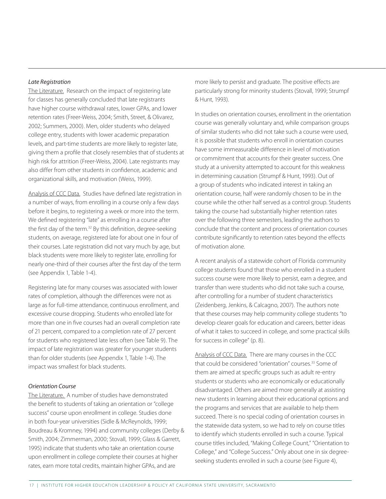#### *Late Registration*

The Literature. Research on the impact of registering late for classes has generally concluded that late registrants have higher course withdrawal rates, lower GPAs, and lower retention rates (Freer-Weiss, 2004; Smith, Street, & Olivarez, 2002; Summers, 2000). Men, older students who delayed college entry, students with lower academic preparation levels, and part-time students are more likely to register late, giving them a profile that closely resembles that of students at high risk for attrition (Freer-Weiss, 2004). Late registrants may also differ from other students in confidence, academic and organizational skills, and motivation (Weiss, 1999).

Analysis of CCC Data. Studies have defined late registration in a number of ways, from enrolling in a course only a few days before it begins, to registering a week or more into the term. We defined registering "late" as enrolling in a course after the first day of the term.<sup>32</sup> By this definition, degree-seeking students, on average, registered late for about one in four of their courses. Late registration did not vary much by age, but black students were more likely to register late, enrolling for nearly one-third of their courses after the first day of the term (see Appendix 1, Table 1-4).

Registering late for many courses was associated with lower rates of completion, although the differences were not as large as for full-time attendance, continuous enrollment, and excessive course dropping. Students who enrolled late for more than one in five courses had an overall completion rate of 21 percent, compared to a completion rate of 27 percent for students who registered late less often (see Table 9). The impact of late registration was greater for younger students than for older students (see Appendix 1, Table 1-4). The impact was smallest for black students.

#### *Orientation Course*

The Literature. A number of studies have demonstrated the benefit to students of taking an orientation or "college success" course upon enrollment in college. Studies done in both four-year universities (Sidle & McReynolds, 1999; Boudreau & Kromney, 1994) and community colleges (Derby & Smith, 2004; Zimmerman, 2000; Stovall, 1999; Glass & Garrett, 1995) indicate that students who take an orientation course upon enrollment in college complete their courses at higher rates, earn more total credits, maintain higher GPAs, and are

more likely to persist and graduate. The positive effects are particularly strong for minority students (Stovall, 1999; Strumpf & Hunt, 1993).

In studies on orientation courses, enrollment in the orientation course was generally voluntary and, while comparison groups of similar students who did not take such a course were used, it is possible that students who enroll in orientation courses have some immeasurable difference in level of motivation or commitment that accounts for their greater success. One study at a university attempted to account for this weakness in determining causation (Strumpf & Hunt, 1993). Out of a group of students who indicated interest in taking an orientation course, half were randomly chosen to be in the course while the other half served as a control group. Students taking the course had substantially higher retention rates over the following three semesters, leading the authors to conclude that the content and process of orientation courses contribute significantly to retention rates beyond the effects of motivation alone.

A recent analysis of a statewide cohort of Florida community college students found that those who enrolled in a student success course were more likely to persist, earn a degree, and transfer than were students who did not take such a course, after controlling for a number of student characteristics (Zeidenberg, Jenkins, & Calcagno, 2007). The authors note that these courses may help community college students "to develop clearer goals for education and careers, better ideas of what it takes to succeed in college, and some practical skills for success in college" (p. 8).

Analysis of CCC Data. There are many courses in the CCC that could be considered "orientation" courses.<sup>33</sup> Some of them are aimed at specific groups such as adult re-entry students or students who are economically or educationally disadvantaged. Others are aimed more generally at assisting new students in learning about their educational options and the programs and services that are available to help them succeed. There is no special coding of orientation courses in the statewide data system, so we had to rely on course titles to identify which students enrolled in such a course. Typical course titles included, "Making College Count," "Orientation to College," and "College Success." Only about one in six degreeseeking students enrolled in such a course (see Figure 4),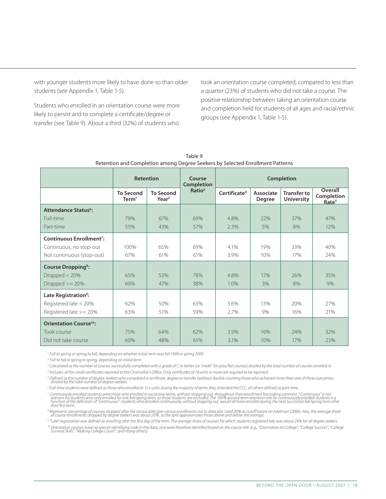with younger students more likely to have done so than older students (see Appendix 1, Table 1-5).

Students who enrolled in an orientation course were more likely to persist and to complete a certificate/degree or transfer (see Table 9). About a third (32%) of students who

took an orientation course completed, compared to less than a quarter (23%) of students who did not take a course. The positive relationship between taking an orientation course and completion held for students of all ages and racial/ethnic groups (see Appendix 1, Table 1-5).

|                                           | <b>Retention</b>                      |                                       | Course<br><b>Completion</b> |                          |                            | Completion                              |                                            |
|-------------------------------------------|---------------------------------------|---------------------------------------|-----------------------------|--------------------------|----------------------------|-----------------------------------------|--------------------------------------------|
|                                           | <b>To Second</b><br>Term <sup>1</sup> | <b>To Second</b><br>Year <sup>2</sup> | Ratio <sup>3</sup>          | Certificate <sup>4</sup> | Associate<br><b>Degree</b> | <b>Transfer to</b><br><b>University</b> | Overall<br>Completion<br>Rate <sup>5</sup> |
| <b>Attendance Status<sup>6</sup>:</b>     |                                       |                                       |                             |                          |                            |                                         |                                            |
| Full-time                                 | 79%                                   | 67%                                   | 69%                         | 4.8%                     | 22%                        | 37%                                     | 47%                                        |
| Part-time                                 | 55%                                   | 43%                                   | 57%                         | 2.3%                     | 5%                         | 8%                                      | 12%                                        |
| <b>Continuous Enrollment<sup>7</sup>:</b> |                                       |                                       |                             |                          |                            |                                         |                                            |
| Continuous, no stop-out                   | 100%                                  | 65%                                   | 69%                         | 4.1%                     | 19%                        | 33%                                     | 40%                                        |
| Not continuous (stop-out)                 | 67%                                   | 61%                                   | 61%                         | 3.9%                     | 10%                        | 17%                                     | 24%                                        |
| <b>Course Dropping<sup>8</sup>:</b>       |                                       |                                       |                             |                          |                            |                                         |                                            |
| Dropped $<$ 20%                           | 65%                                   | 53%                                   | 78%                         | 4.8%                     | 17%                        | 26%                                     | 35%                                        |
| Dropped $>= 20%$                          | 60%                                   | 47%                                   | 38%                         | 1.0%                     | 3%                         | 8%                                      | 9%                                         |
| Late Registration <sup>9</sup> :          |                                       |                                       |                             |                          |                            |                                         |                                            |
| Registered late < 20%                     | 62%                                   | 50%                                   | 63%                         | 3.6%                     | 13%                        | 20%                                     | 27%                                        |
| Registered late >= 20%                    | 63%                                   | 51%                                   | 59%                         | 2.7%                     | 9%                         | 16%                                     | 21%                                        |
| <b>Orientation Course<sup>10</sup>:</b>   |                                       |                                       |                             |                          |                            |                                         |                                            |
| <b>Took course</b>                        | 75%                                   | 64%                                   | 62%                         | 3.9%                     | 16%                        | 24%                                     | 32%                                        |
| Did not take course                       | 60%                                   | 48%                                   | 61%                         | 3.1%                     | 10%                        | 17%                                     | 23%                                        |

Table 9 Retention and Completion among Degree Seekers by Selected Enrollment Patterns

*1 Fall to spring or spring to fall, depending on whether initial term was fall 1999 or spring 2000*

*2 Fall to fall or spring to spring, depending on initial term*

*3 Calculated as the number of courses successfully completed with a grade of C or better (or "credit" for pass/fail courses) divided by the total number of courses enrolled in*

*4 Includes all for-credit certificates reported to the Chancellor's Office. Only certificates of 18 units or more are required to be reported.*

<sup>s</sup> Defined as the number of degree-seekers who completed a certificate, degree or transfer (without double counting those who achieved more than one of these outcomes)<br>divided by the total number of degree-seekers.

*6 Full-time students were defined as those who enrolled in 12+ units during the majority of terms they attended the CCC; all others defined as part-time.*

<sup>7</sup> Continuously enrolled students were those who enrolled in successive terms, without stopping out, throughout their enrollment (excluding summer). "Continuous" is not<br>relevant for students who only enrolled for one fall *their first term.*

8 Represents percentage of courses dropped after the census date (pre-census enrollments not in data set). Used 20% as cutoff based on Adelman (2006). Also, the average share<br>of course enrollments dropped by degree seekers

*9 "Late" registration was defined as enrolling after the first day of the term. The average share of courses for which students registered late was about 24% for all degree seekers.* 1º Orientation courses have no special identifying code in the data, and were therefore identified based on the course title (e.g., "Orientation to College", "College Success", "College<br>Survival Skills", "Making College Co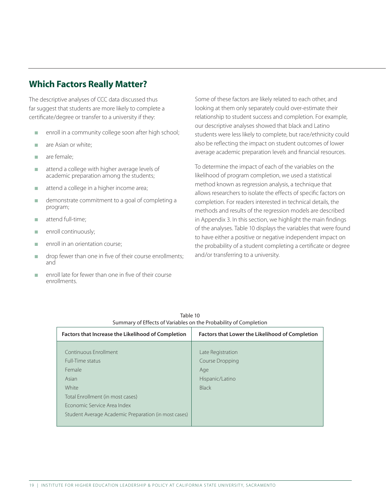## **Which Factors Really Matter?**

The descriptive analyses of CCC data discussed thus far suggest that students are more likely to complete a certificate/degree or transfer to a university if they:

- n enroll in a community college soon after high school;
- **n** are Asian or white;
- are female;
- n attend a college with higher average levels of academic preparation among the students;
- n attend a college in a higher income area;
- <sup>n</sup> demonstrate commitment to a goal of completing a program;
- $\blacksquare$  attend full-time;
- **n** enroll continuously;
- enroll in an orientation course;
- $\Box$  drop fewer than one in five of their course enrollments; and
- n enroll late for fewer than one in five of their course enrollments.

Some of these factors are likely related to each other, and looking at them only separately could over-estimate their relationship to student success and completion. For example, our descriptive analyses showed that black and Latino students were less likely to complete, but race/ethnicity could also be reflecting the impact on student outcomes of lower average academic preparation levels and financial resources.

To determine the impact of each of the variables on the likelihood of program completion, we used a statistical method known as regression analysis, a technique that allows researchers to isolate the effects of specific factors on completion. For readers interested in technical details, the methods and results of the regression models are described in Appendix 3. In this section, we highlight the main findings of the analyses. Table 10 displays the variables that were found to have either a positive or negative independent impact on the probability of a student completing a certificate or degree and/or transferring to a university.

| Summary of Effects of Vanables on the Probability of Completion |                                                        |
|-----------------------------------------------------------------|--------------------------------------------------------|
| <b>Factors that Increase the Likelihood of Completion</b>       | <b>Factors that Lower the Likelihood of Completion</b> |
|                                                                 |                                                        |
| Continuous Enrollment                                           | Late Registration                                      |
| Full-Time status                                                | Course Dropping                                        |
| Female                                                          | Age                                                    |
| Asian                                                           | Hispanic/Latino                                        |
| White                                                           | <b>Black</b>                                           |
| Total Enrollment (in most cases)                                |                                                        |
| Economic Service Area Index                                     |                                                        |
| Student Average Academic Preparation (in most cases)            |                                                        |
|                                                                 |                                                        |

Table 10 Summary of Effects of Variables on the Probability of Completion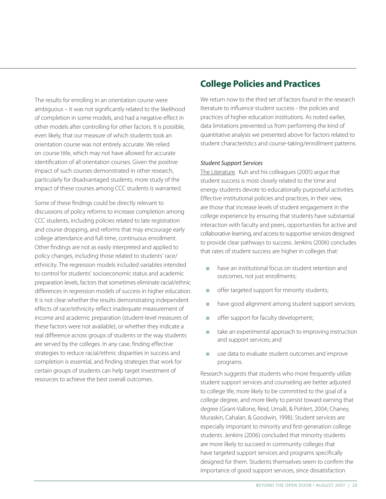The results for enrolling in an orientation course were ambiguous – it was not significantly related to the likelihood of completion in some models, and had a negative effect in other models after controlling for other factors. It is possible, even likely, that our measure of which students took an orientation course was not entirely accurate. We relied on course title, which may not have allowed for accurate identification of all orientation courses. Given the positive impact of such courses demonstrated in other research, particularly for disadvantaged students, more study of the impact of these courses among CCC students is warranted.

Some of these findings could be directly relevant to discussions of policy reforms to increase completion among CCC students, including policies related to late registration and course dropping, and reforms that may encourage early college attendance and full-time, continuous enrollment. Other findings are not as easily interpreted and applied to policy changes, including those related to students' race/ ethnicity. The regression models included variables intended to control for students' socioeconomic status and academic preparation levels, factors that sometimes eliminate racial/ethnic differences in regression models of success in higher education. It is not clear whether the results demonstrating independent effects of race/ethnicity reflect inadequate measurement of income and academic preparation (student-level measures of these factors were not available), or whether they indicate a real difference across groups of students or the way students are served by the colleges. In any case, finding effective strategies to reduce racial/ethnic disparities in success and completion is essential, and finding strategies that work for certain groups of students can help target investment of resources to achieve the best overall outcomes.

## **College Policies and Practices**

We return now to the third set of factors found in the research literature to influence student success - the policies and practices of higher education institutions. As noted earlier, data limitations prevented us from performing the kind of quantitative analysis we presented above for factors related to student characteristics and course-taking/enrollment patterns.

#### *Student Support Services*

The Literature. Kuh and his colleagues (2005) argue that student success is most closely related to the time and energy students devote to educationally purposeful activities. Effective institutional policies and practices, in their view, are those that increase levels of student engagement in the college experience by ensuring that students have substantial interaction with faculty and peers, opportunities for active and collaborative learning, and access to supportive services designed to provide clear pathways to success. Jenkins (2006) concludes that rates of student success are higher in colleges that:

- $\blacksquare$  have an institutional focus on student retention and outcomes, not just enrollments;
- **n** offer targeted support for minority students;
- n have good alignment among student support services;
- **n** offer support for faculty development;
- n take an experimental approach to improving instruction and support services; and
- use data to evaluate student outcomes and improve programs.

Research suggests that students who more frequently utilize student support services and counseling are better adjusted to college life, more likely to be committed to the goal of a college degree, and more likely to persist toward earning that degree (Grant-Vallone, Reid, Umalli, & Pohlert, 2004; Chaney, Muraskin, Cahalan, & Goodwin, 1998). Student services are especially important to minority and first-generation college students. Jenkins (2006) concluded that minority students are more likely to succeed in community colleges that have targeted support services and programs specifically designed for them. Students themselves seem to confirm the importance of good support services, since dissatisfaction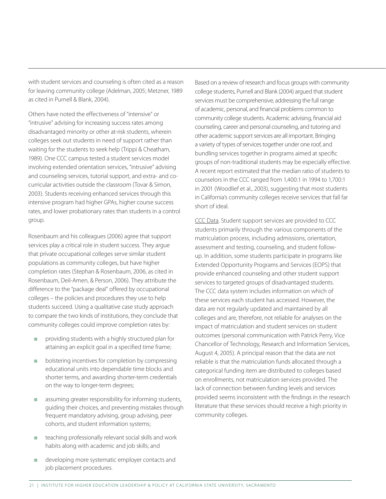with student services and counseling is often cited as a reason for leaving community college (Adelman, 2005; Metzner, 1989 as cited in Purnell & Blank, 2004).

Others have noted the effectiveness of "intensive" or "intrusive" advising for increasing success rates among disadvantaged minority or other at-risk students, wherein colleges seek out students in need of support rather than waiting for the students to seek help (Trippi & Cheatham, 1989). One CCC campus tested a student services model involving extended orientation services, "intrusive" advising and counseling services, tutorial support, and extra- and cocurricular activities outside the classroom (Tovar & Simon, 2003). Students receiving enhanced services through this intensive program had higher GPAs, higher course success rates, and lower probationary rates than students in a control group.

Rosenbaum and his colleagues (2006) agree that support services play a critical role in student success. They argue that private occupational colleges serve similar student populations as community colleges, but have higher completion rates (Stephan & Rosenbaum, 2006, as cited in Rosenbaum, Deil-Amen, & Person, 2006). They attribute the difference to the "package deal" offered by occupational colleges – the policies and procedures they use to help students succeed. Using a qualitative case study approach to compare the two kinds of institutions, they conclude that community colleges could improve completion rates by:

- providing students with a highly structured plan for attaining an explicit goal in a specified time frame;
- bolstering incentives for completion by compressing educational units into dependable time blocks and shorter terms, and awarding shorter-term credentials on the way to longer-term degrees;
- assuming greater responsibility for informing students, guiding their choices, and preventing mistakes through frequent mandatory advising, group advising, peer cohorts, and student information systems;
- $\blacksquare$  teaching professionally relevant social skills and work habits along with academic and job skills; and
- developing more systematic employer contacts and job placement procedures.

Based on a review of research and focus groups with community college students, Purnell and Blank (2004) argued that student services must be comprehensive, addressing the full range of academic, personal, and financial problems common to community college students. Academic advising, financial aid counseling, career and personal counseling, and tutoring and other academic support services are all important. Bringing a variety of types of services together under one roof, and bundling services together in programs aimed at specific groups of non-traditional students may be especially effective. A recent report estimated that the median ratio of students to counselors in the CCC ranged from 1,400:1 in 1994 to 1,700:1 in 2001 (Woodlief et al., 2003), suggesting that most students in California's community colleges receive services that fall far short of ideal.

CCC Data. Student support services are provided to CCC students primarily through the various components of the matriculation process, including admissions, orientation, assessment and testing, counseling, and student followup. In addition, some students participate in programs like Extended Opportunity Programs and Services (EOPS) that provide enhanced counseling and other student support services to targeted groups of disadvantaged students. The CCC data system includes information on which of these services each student has accessed. However, the data are not regularly updated and maintained by all colleges and are, therefore, not reliable for analyses on the impact of matriculation and student services on student outcomes (personal communication with Patrick Perry, Vice Chancellor of Technology, Research and Information Services, August 4, 2005). A principal reason that the data are not reliable is that the matriculation funds allocated through a categorical funding item are distributed to colleges based on enrollments, not matriculation services provided. The lack of connection between funding levels and services provided seems inconsistent with the findings in the research literature that these services should receive a high priority in community colleges.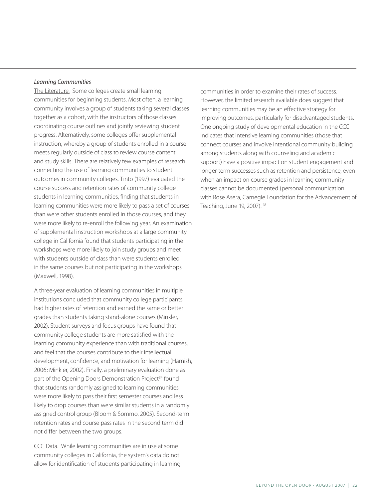#### *Learning Communities*

The Literature. Some colleges create small learning communities for beginning students. Most often, a learning community involves a group of students taking several classes together as a cohort, with the instructors of those classes coordinating course outlines and jointly reviewing student progress. Alternatively, some colleges offer supplemental instruction, whereby a group of students enrolled in a course meets regularly outside of class to review course content and study skills. There are relatively few examples of research connecting the use of learning communities to student outcomes in community colleges. Tinto (1997) evaluated the course success and retention rates of community college students in learning communities, finding that students in learning communities were more likely to pass a set of courses than were other students enrolled in those courses, and they were more likely to re-enroll the following year. An examination of supplemental instruction workshops at a large community college in California found that students participating in the workshops were more likely to join study groups and meet with students outside of class than were students enrolled in the same courses but not participating in the workshops (Maxwell, 1998).

A three-year evaluation of learning communities in multiple institutions concluded that community college participants had higher rates of retention and earned the same or better grades than students taking stand-alone courses (Minkler, 2002). Student surveys and focus groups have found that community college students are more satisfied with the learning community experience than with traditional courses, and feel that the courses contribute to their intellectual development, confidence, and motivation for learning (Harnish, 2006; Minkler, 2002). Finally, a preliminary evaluation done as part of the Opening Doors Demonstration Project<sup>34</sup> found that students randomly assigned to learning communities were more likely to pass their first semester courses and less likely to drop courses than were similar students in a randomly assigned control group (Bloom & Sommo, 2005). Second-term retention rates and course pass rates in the second term did not differ between the two groups.

CCC Data. While learning communities are in use at some community colleges in California, the system's data do not allow for identification of students participating in learning

communities in order to examine their rates of success. However, the limited research available does suggest that learning communities may be an effective strategy for improving outcomes, particularly for disadvantaged students. One ongoing study of developmental education in the CCC indicates that intensive learning communities (those that connect courses and involve intentional community building among students along with counseling and academic support) have a positive impact on student engagement and longer-term successes such as retention and persistence, even when an impact on course grades in learning community classes cannot be documented (personal communication with Rose Asera, Carnegie Foundation for the Advancement of Teaching, June 19, 2007). 35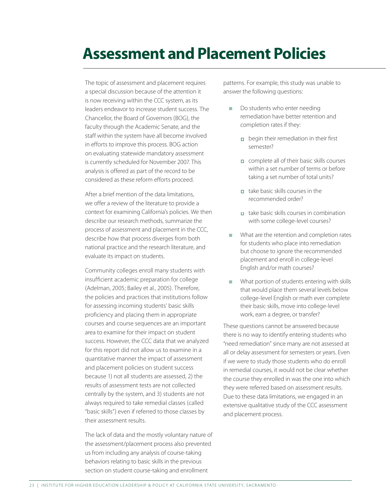## **Assessment and Placement Policies**

The topic of assessment and placement requires a special discussion because of the attention it is now receiving within the CCC system, as its leaders endeavor to increase student success. The Chancellor, the Board of Governors (BOG), the faculty through the Academic Senate, and the staff within the system have all become involved in efforts to improve this process. BOG action on evaluating statewide mandatory assessment is currently scheduled for November 2007. This analysis is offered as part of the record to be considered as these reform efforts proceed.

After a brief mention of the data limitations, we offer a review of the literature to provide a context for examining California's policies. We then describe our research methods, summarize the process of assessment and placement in the CCC, describe how that process diverges from both national practice and the research literature, and evaluate its impact on students.

Community colleges enroll many students with insufficient academic preparation for college (Adelman, 2005; Bailey et al., 2005). Therefore, the policies and practices that institutions follow for assessing incoming students' basic skills proficiency and placing them in appropriate courses and course sequences are an important area to examine for their impact on student success. However, the CCC data that we analyzed for this report did not allow us to examine in a quantitative manner the impact of assessment and placement policies on student success because 1) not all students are assessed, 2) the results of assessment tests are not collected centrally by the system, and 3) students are not always required to take remedial classes (called "basic skills") even if referred to those classes by their assessment results.

The lack of data and the mostly voluntary nature of the assessment/placement process also prevented us from including any analysis of course-taking behaviors relating to basic skills in the previous section on student course-taking and enrollment

patterns. For example, this study was unable to answer the following questions:

- Do students who enter needing remediation have better retention and completion rates if they:
	- $\Box$  begin their remediation in their first semester?
	- complete all of their basic skills courses within a set number of terms or before taking a set number of total units?
	- $\Box$  take basic skills courses in the recommended order?
	- $\overline{\phantom{a}}$  take basic skills courses in combination with some college-level courses?
- **n** What are the retention and completion rates for students who place into remediation but choose to ignore the recommended placement and enroll in college-level English and/or math courses?
- $\blacksquare$  What portion of students entering with skills that would place them several levels below college-level English or math ever complete their basic skills, move into college-level work, earn a degree, or transfer?

These questions cannot be answered because there is no way to identify entering students who "need remediation" since many are not assessed at all or delay assessment for semesters or years. Even if we were to study those students who do enroll in remedial courses, it would not be clear whether the course they enrolled in was the one into which they were referred based on assessment results. Due to these data limitations, we engaged in an extensive qualitative study of the CCC assessment and placement process.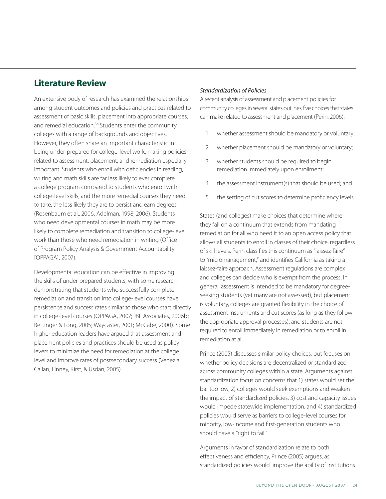## **Literature Review**

An extensive body of research has examined the relationships among student outcomes and policies and practices related to assessment of basic skills, placement into appropriate courses, and remedial education.<sup>36</sup> Students enter the community colleges with a range of backgrounds and objectives. However, they often share an important characteristic in being under-prepared for college-level work, making policies related to assessment, placement, and remediation especially important. Students who enroll with deficiencies in reading, writing and math skills are far less likely to ever complete a college program compared to students who enroll with college-level skills, and the more remedial courses they need to take, the less likely they are to persist and earn degrees (Rosenbaum et al., 2006; Adelman, 1998, 2006). Students who need developmental courses in math may be more likely to complete remediation and transition to college-level work than those who need remediation in writing (Office of Program Policy Analysis & Government Accountability [OPPAGA], 2007).

Developmental education can be effective in improving the skills of under-prepared students, with some research demonstrating that students who successfully complete remediation and transition into college-level courses have persistence and success rates similar to those who start directly in college-level courses (OPPAGA, 2007; JBL Associates, 2006b; Bettinger & Long, 2005; Waycaster, 2001; McCabe, 2000). Some higher education leaders have argued that assessment and placement policies and practices should be used as policy levers to minimize the need for remediation at the college level and improve rates of postsecondary success (Venezia, Callan, Finney, Kirst, & Usdan, 2005).

### *Standardization of Policies*

A recent analysis of assessment and placement policies for community colleges in several states outlines five choices that states can make related to assessment and placement (Perin, 2006):

- 1. whether assessment should be mandatory or voluntary;
- 2. whether placement should be mandatory or voluntary;
- 3. whether students should be required to begin remediation immediately upon enrollment;
- 4. the assessment instrument(s) that should be used; and
- 5. the setting of cut scores to determine proficiency levels.

States (and colleges) make choices that determine where they fall on a continuum that extends from mandating remediation for all who need it to an open access policy that allows all students to enroll in classes of their choice, regardless of skill levels. Perin classifies this continuum as "laissez-faire" to "micromanagement," and identifies California as taking a laissez-faire approach. Assessment regulations are complex and colleges can decide who is exempt from the process. In general, assessment is intended to be mandatory for degreeseeking students (yet many are not assessed), but placement is voluntary, colleges are granted flexibility in the choice of assessment instruments and cut scores (as long as they follow the appropriate approval processes), and students are not required to enroll immediately in remediation or to enroll in remediation at all.

Prince (2005) discusses similar policy choices, but focuses on whether policy decisions are decentralized or standardized across community colleges within a state. Arguments against standardization focus on concerns that 1) states would set the bar too low, 2) colleges would seek exemptions and weaken the impact of standardized policies, 3) cost and capacity issues would impede statewide implementation, and 4) standardized policies would serve as barriers to college-level courses for minority, low-income and first-generation students who should have a "right to fail."

Arguments in favor of standardization relate to both effectiveness and efficiency, Prince (2005) argues, as standardized policies would improve the ability of institutions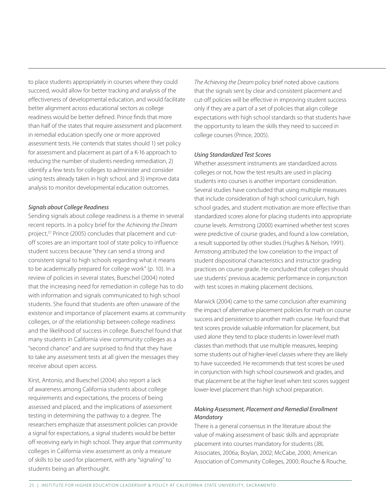to place students appropriately in courses where they could succeed, would allow for better tracking and analysis of the effectiveness of developmental education, and would facilitate better alignment across educational sectors as college readiness would be better defined. Prince finds that more than half of the states that require assessment and placement in remedial education specify one or more approved assessment tests. He contends that states should 1) set policy for assessment and placement as part of a K-16 approach to reducing the number of students needing remediation, 2) identify a few tests for colleges to administer and consider using tests already taken in high school, and 3) improve data analysis to monitor developmental education outcomes.

#### *Signals about College Readiness*

Sending signals about college readiness is a theme in several recent reports. In a policy brief for the *Achieving the Dream*  project,<sup>37</sup> Prince (2005) concludes that placement and cutoff scores are an important tool of state policy to influence student success because "they can send a strong and consistent signal to high schools regarding what it means to be academically prepared for college work" (p. 10). In a review of policies in several states, Bueschel (2004) noted that the increasing need for remediation in college has to do with information and signals communicated to high school students. She found that students are often unaware of the existence and importance of placement exams at community colleges, or of the relationship between college readiness and the likelihood of success in college. Bueschel found that many students in California view community colleges as a "second chance" and are surprised to find that they have to take any assessment tests at all given the messages they receive about open access.

Kirst, Antonio, and Bueschel (2004) also report a lack of awareness among California students about college requirements and expectations, the process of being assessed and placed, and the implications of assessment testing in determining the pathway to a degree. The researchers emphasize that assessment policies can provide a signal for expectations, a signal students would be better off receiving early in high school. They argue that community colleges in California view assessment as only a measure of skills to be used for placement, with any "signaling" to students being an afterthought.

*The Achieving the Dream* policy brief noted above cautions that the signals sent by clear and consistent placement and cut-off policies will be effective in improving student success only if they are a part of a set of policies that align college expectations with high school standards so that students have the opportunity to learn the skills they need to succeed in college courses (Prince, 2005).

### *Using Standardized Test Scores*

Whether assessment instruments are standardized across colleges or not, how the test results are used in placing students into courses is another important consideration. Several studies have concluded that using multiple measures that include consideration of high school curriculum, high school grades, and student motivation are more effective than standardized scores alone for placing students into appropriate course levels. Armstrong (2000) examined whether test scores were predictive of course grades, and found a low correlation, a result supported by other studies (Hughes & Nelson, 1991). Armstrong attributed the low correlation to the impact of student dispositional characteristics and instructor grading practices on course grade. He concluded that colleges should use students' previous academic performance in conjunction with test scores in making placement decisions.

Marwick (2004) came to the same conclusion after examining the impact of alternative placement policies for math on course success and persistence to another math course. He found that test scores provide valuable information for placement, but used alone they tend to place students in lower-level math classes than methods that use multiple measures, keeping some students out of higher-level classes where they are likely to have succeeded. He recommends that test scores be used in conjunction with high school coursework and grades, and that placement be at the higher level when test scores suggest lower-level placement than high school preparation.

## *Making Assessment, Placement and Remedial Enrollment Mandatory*

There is a general consensus in the literature about the value of making assessment of basic skills and appropriate placement into courses mandatory for students (JBL Associates, 2006a; Boylan, 2002; McCabe, 2000; American Association of Community Colleges, 2000; Rouche & Rouche,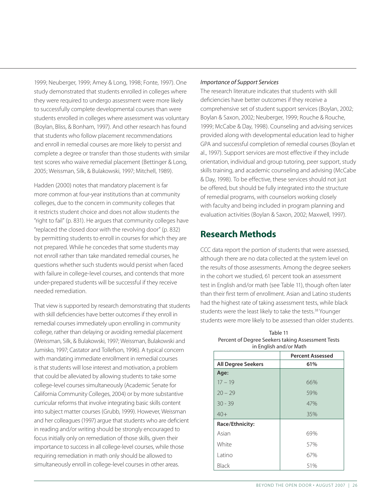1999; Neuberger, 1999; Amey & Long, 1998; Fonte, 1997). One study demonstrated that students enrolled in colleges where they were required to undergo assessment were more likely to successfully complete developmental courses than were students enrolled in colleges where assessment was voluntary (Boylan, Bliss, & Bonham, 1997). And other research has found that students who follow placement recommendations and enroll in remedial courses are more likely to persist and complete a degree or transfer than those students with similar test scores who waive remedial placement (Bettinger & Long, 2005; Weissman, Silk, & Bulakowski, 1997; Mitchell, 1989).

Hadden (2000) notes that mandatory placement is far more common at four-year institutions than at community colleges, due to the concern in community colleges that it restricts student choice and does not allow students the "right to fail" (p. 831). He argues that community colleges have "replaced the closed door with the revolving door" (p. 832) by permitting students to enroll in courses for which they are not prepared. While he concedes that some students may not enroll rather than take mandated remedial courses, he questions whether such students would persist when faced with failure in college-level courses, and contends that more under-prepared students will be successful if they receive needed remediation.

That view is supported by research demonstrating that students with skill deficiencies have better outcomes if they enroll in remedial courses immediately upon enrolling in community college, rather than delaying or avoiding remedial placement (Weissman, Silk, & Bulakowski, 1997; Weissman, Bulakowski and Jumisko, 1997; Castator and Tollefson, 1996). A typical concern with mandating immediate enrollment in remedial courses is that students will lose interest and motivation, a problem that could be alleviated by allowing students to take some college-level courses simultaneously (Academic Senate for California Community Colleges, 2004) or by more substantive curricular reforms that involve integrating basic skills content into subject matter courses (Grubb, 1999). However, Weissman and her colleagues (1997) argue that students who are deficient in reading and/or writing should be strongly encouraged to focus initially only on remediation of those skills, given their importance to success in all college-level courses, while those requiring remediation in math only should be allowed to simultaneously enroll in college-level courses in other areas.

#### *Importance of Support Services*

The research literature indicates that students with skill deficiencies have better outcomes if they receive a comprehensive set of student support services (Boylan, 2002; Boylan & Saxon, 2002; Neuberger, 1999; Rouche & Rouche, 1999; McCabe & Day, 1998). Counseling and advising services provided along with developmental education lead to higher GPA and successful completion of remedial courses (Boylan et al., 1997). Support services are most effective if they include orientation, individual and group tutoring, peer support, study skills training, and academic counseling and advising (McCabe & Day, 1998). To be effective, these services should not just be offered, but should be fully integrated into the structure of remedial programs, with counselors working closely with faculty and being included in program planning and evaluation activities (Boylan & Saxon, 2002; Maxwell, 1997).

## **Research Methods**

CCC data report the portion of students that were assessed, although there are no data collected at the system level on the results of those assessments. Among the degree seekers in the cohort we studied, 61 percent took an assessment test in English and/or math (see Table 11), though often later than their first term of enrollment. Asian and Latino students had the highest rate of taking assessment tests, while black students were the least likely to take the tests.<sup>38</sup> Younger students were more likely to be assessed than older students.

| in English and/or Math    |                         |
|---------------------------|-------------------------|
|                           | <b>Percent Assessed</b> |
| <b>All Degree Seekers</b> | 61%                     |
| Age:                      |                         |
| $17 - 19$                 | 66%                     |
| $20 - 29$                 | 59%                     |
| $30 - 39$                 | 47%                     |
| $40+$                     | 35%                     |
| Race/Ethnicity:           |                         |
| Asian                     | 69%                     |
| White                     | 57%                     |
| Latino                    | 67%                     |
| Black                     | 51%                     |

| Table 11                                          |
|---------------------------------------------------|
| Percent of Degree Seekers taking Assessment Tests |
| in English and/or Math                            |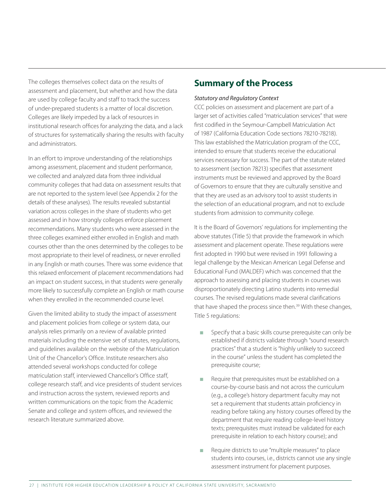The colleges themselves collect data on the results of assessment and placement, but whether and how the data are used by college faculty and staff to track the success of under-prepared students is a matter of local discretion. Colleges are likely impeded by a lack of resources in institutional research offices for analyzing the data, and a lack of structures for systematically sharing the results with faculty and administrators.

In an effort to improve understanding of the relationships among assessment, placement and student performance, we collected and analyzed data from three individual community colleges that had data on assessment results that are not reported to the system level (see Appendix 2 for the details of these analyses). The results revealed substantial variation across colleges in the share of students who get assessed and in how strongly colleges enforce placement recommendations. Many students who were assessed in the three colleges examined either enrolled in English and math courses other than the ones determined by the colleges to be most appropriate to their level of readiness, or never enrolled in any English or math courses. There was some evidence that this relaxed enforcement of placement recommendations had an impact on student success, in that students were generally more likely to successfully complete an English or math course when they enrolled in the recommended course level.

Given the limited ability to study the impact of assessment and placement policies from college or system data, our analysis relies primarily on a review of available printed materials including the extensive set of statutes, regulations, and guidelines available on the website of the Matriculation Unit of the Chancellor's Office. Institute researchers also attended several workshops conducted for college matriculation staff, interviewed Chancellor's Office staff, college research staff, and vice presidents of student services and instruction across the system, reviewed reports and written communications on the topic from the Academic Senate and college and system offices, and reviewed the research literature summarized above.

## **Summary of the Process**

#### *Statutory and Regulatory Context*

CCC policies on assessment and placement are part of a larger set of activities called "matriculation services" that were first codified in the Seymour-Campbell Matriculation Act of 1987 (California Education Code sections 78210-78218). This law established the Matriculation program of the CCC, intended to ensure that students receive the educational services necessary for success. The part of the statute related to assessment (section 78213) specifies that assessment instruments must be reviewed and approved by the Board of Governors to ensure that they are culturally sensitive and that they are used as an advisory tool to assist students in the selection of an educational program, and not to exclude students from admission to community college.

It is the Board of Governors' regulations for implementing the above statutes (Title 5) that provide the framework in which assessment and placement operate. These regulations were first adopted in 1990 but were revised in 1991 following a legal challenge by the Mexican American Legal Defense and Educational Fund (MALDEF) which was concerned that the approach to assessing and placing students in courses was disproportionately directing Latino students into remedial courses. The revised regulations made several clarifications that have shaped the process since then.<sup>39</sup> With these changes, Title 5 regulations:

- Specify that a basic skills course prerequisite can only be established if districts validate through "sound research practices" that a student is "highly unlikely to succeed in the course" unless the student has completed the prerequisite course;
- Require that prerequisites must be established on a course-by-course basis and not across the curriculum (e.g., a college's history department faculty may not set a requirement that students attain proficiency in reading before taking any history courses offered by the department that require reading college-level history texts; prerequisites must instead be validated for each prerequisite in relation to each history course); and
- Require districts to use "multiple measures" to place students into courses, i.e., districts cannot use any single assessment instrument for placement purposes.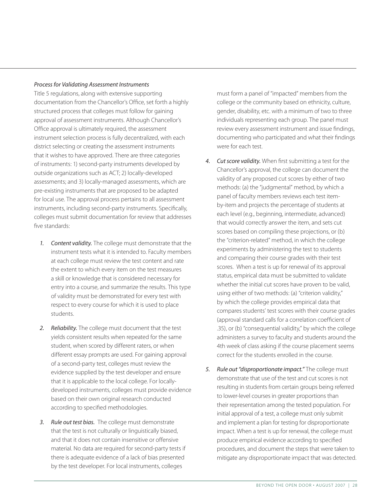#### *Process for Validating Assessment Instruments*

Title 5 regulations, along with extensive supporting documentation from the Chancellor's Office, set forth a highly structured process that colleges must follow for gaining approval of assessment instruments. Although Chancellor's Office approval is ultimately required, the assessment instrument selection process is fully decentralized, with each district selecting or creating the assessment instruments that it wishes to have approved. There are three categories of instruments: 1) second-party instruments developed by outside organizations such as ACT; 2) locally-developed assessments; and 3) locally-managed assessments, which are pre-existing instruments that are proposed to be adapted for local use. The approval process pertains to all assessment instruments, including second-party instruments. Specifically, colleges must submit documentation for review that addresses five standards:

- *1. Content validity.* The college must demonstrate that the instrument tests what it is intended to. Faculty members at each college must review the test content and rate the extent to which every item on the test measures a skill or knowledge that is considered necessary for entry into a course, and summarize the results. This type of validity must be demonstrated for every test with respect to every course for which it is used to place students.
- *2. Reliability.* The college must document that the test yields consistent results when repeated for the same student, when scored by different raters, or when different essay prompts are used. For gaining approval of a second-party test, colleges must review the evidence supplied by the test developer and ensure that it is applicable to the local college. For locallydeveloped instruments, colleges must provide evidence based on their own original research conducted according to specified methodologies.
- *3. Rule out test bias.* The college must demonstrate that the test is not culturally or linguistically biased, and that it does not contain insensitive or offensive material. No data are required for second-party tests if there is adequate evidence of a lack of bias presented by the test developer. For local instruments, colleges

must form a panel of "impacted" members from the college or the community based on ethnicity, culture, gender, disability, etc. with a minimum of two to three individuals representing each group. The panel must review every assessment instrument and issue findings, documenting who participated and what their findings were for each test.

- *4. Cut score validity.* When first submitting a test for the Chancellor's approval, the college can document the validity of any proposed cut scores by either of two methods: (a) the "judgmental" method, by which a panel of faculty members reviews each test itemby-item and projects the percentage of students at each level (e.g., beginning, intermediate, advanced) that would correctly answer the item, and sets cut scores based on compiling these projections, or (b) the "criterion-related" method, in which the college experiments by administering the test to students and comparing their course grades with their test scores. When a test is up for renewal of its approval status, empirical data must be submitted to validate whether the initial cut scores have proven to be valid, using either of two methods: (a) "criterion validity," by which the college provides empirical data that compares students' test scores with their course grades (approval standard calls for a correlation coefficient of .35), or (b) "consequential validity," by which the college administers a survey to faculty and students around the 4th week of class asking if the course placement seems correct for the students enrolled in the course.
- *5. Rule out "disproportionate impact."* The college must demonstrate that use of the test and cut scores is not resulting in students from certain groups being referred to lower-level courses in greater proportions than their representation among the tested population. For initial approval of a test, a college must only submit and implement a plan for testing for disproportionate impact. When a test is up for renewal, the college must produce empirical evidence according to specified procedures, and document the steps that were taken to mitigate any disproportionate impact that was detected.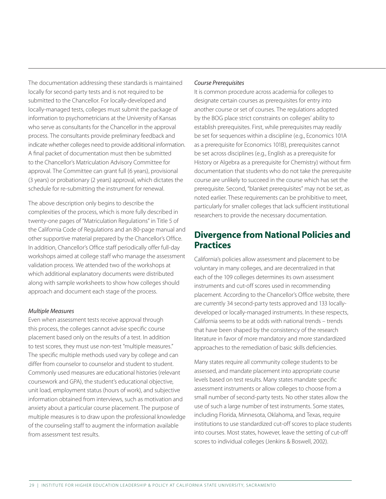The documentation addressing these standards is maintained locally for second-party tests and is not required to be submitted to the Chancellor. For locally-developed and locally-managed tests, colleges must submit the package of information to psychometricians at the University of Kansas who serve as consultants for the Chancellor in the approval process. The consultants provide preliminary feedback and indicate whether colleges need to provide additional information. A final packet of documentation must then be submitted to the Chancellor's Matriculation Advisory Committee for approval. The Committee can grant full (6 years), provisional (3 years) or probationary (2 years) approval, which dictates the schedule for re-submitting the instrument for renewal.

The above description only begins to describe the complexities of the process, which is more fully described in twenty-one pages of "Matriculation Regulations" in Title 5 of the California Code of Regulations and an 80-page manual and other supportive material prepared by the Chancellor's Office. In addition, Chancellor's Office staff periodically offer full-day workshops aimed at college staff who manage the assessment validation process. We attended two of the workshops at which additional explanatory documents were distributed along with sample worksheets to show how colleges should approach and document each stage of the process.

#### *Multiple Measures*

Even when assessment tests receive approval through this process, the colleges cannot advise specific course placement based only on the results of a test. In addition to test scores, they must use non-test "multiple measures." The specific multiple methods used vary by college and can differ from counselor to counselor and student to student. Commonly used measures are educational histories (relevant coursework and GPA), the student's educational objective, unit load, employment status (hours of work), and subjective information obtained from interviews, such as motivation and anxiety about a particular course placement. The purpose of multiple measures is to draw upon the professional knowledge of the counseling staff to augment the information available from assessment test results.

#### *Course Prerequisites*

It is common procedure across academia for colleges to designate certain courses as prerequisites for entry into another course or set of courses. The regulations adopted by the BOG place strict constraints on colleges' ability to establish prerequisites. First, while prerequisites may readily be set for sequences within a discipline (e.g., Economics 101A as a prerequisite for Economics 101B), prerequisites cannot be set across disciplines (e.g., English as a prerequisite for History or Algebra as a prerequisite for Chemistry) without firm documentation that students who do not take the prerequisite course are unlikely to succeed in the course which has set the prerequisite. Second, "blanket prerequisites" may not be set, as noted earlier. These requirements can be prohibitive to meet, particularly for smaller colleges that lack sufficient institutional researchers to provide the necessary documentation.

## **Divergence from National Policies and Practices**

California's policies allow assessment and placement to be voluntary in many colleges, and are decentralized in that each of the 109 colleges determines its own assessment instruments and cut-off scores used in recommending placement. According to the Chancellor's Office website, there are currently 34 second-party tests approved and 133 locallydeveloped or locally-managed instruments. In these respects, California seems to be at odds with national trends – trends that have been shaped by the consistency of the research literature in favor of more mandatory and more standardized approaches to the remediation of basic skills deficiencies.

Many states require all community college students to be assessed, and mandate placement into appropriate course levels based on test results. Many states mandate specific assessment instruments or allow colleges to choose from a small number of second-party tests. No other states allow the use of such a large number of test instruments. Some states, including Florida, Minnesota, Oklahoma, and Texas, require institutions to use standardized cut-off scores to place students into courses. Most states, however, leave the setting of cut-off scores to individual colleges (Jenkins & Boswell, 2002).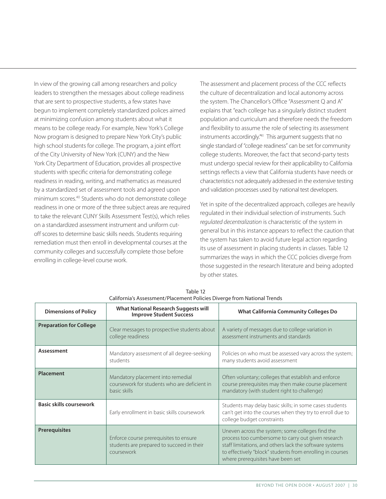In view of the growing call among researchers and policy leaders to strengthen the messages about college readiness that are sent to prospective students, a few states have begun to implement completely standardized polices aimed at minimizing confusion among students about what it means to be college ready. For example, New York's College Now program is designed to prepare New York City's public high school students for college. The program, a joint effort of the City University of New York (CUNY) and the New York City Department of Education, provides all prospective students with specific criteria for demonstrating college readiness in reading, writing, and mathematics as measured by a standardized set of assessment tools and agreed upon minimum scores.40 Students who do not demonstrate college readiness in one or more of the three subject areas are required to take the relevant CUNY Skills Assessment Test(s), which relies on a standardized assessment instrument and uniform cutoff scores to determine basic skills needs. Students requiring remediation must then enroll in developmental courses at the community colleges and successfully complete those before enrolling in college-level course work.

The assessment and placement process of the CCC reflects the culture of decentralization and local autonomy across the system. The Chancellor's Office "Assessment Q and A" explains that "each college has a singularly distinct student population and curriculum and therefore needs the freedom and flexibility to assume the role of selecting its assessment instruments accordingly.<sup>"41</sup> This argument suggests that no single standard of "college readiness" can be set for community college students. Moreover, the fact that second-party tests must undergo special review for their applicability to California settings reflects a view that California students have needs or characteristics not adequately addressed in the extensive testing and validation processes used by national test developers.

Yet in spite of the decentralized approach, colleges are heavily regulated in their individual selection of instruments. Such *regulated decentralization* is characteristic of the system in general but in this instance appears to reflect the caution that the system has taken to avoid future legal action regarding its use of assessment in placing students in classes. Table 12 summarizes the ways in which the CCC policies diverge from those suggested in the research literature and being adopted by other states.

| <b>Dimensions of Policy</b>    | <b>What National Research Suggests will</b><br><b>Improve Student Success</b>                     | <b>What California Community Colleges Do</b>                                                                                                                                                                                                                        |
|--------------------------------|---------------------------------------------------------------------------------------------------|---------------------------------------------------------------------------------------------------------------------------------------------------------------------------------------------------------------------------------------------------------------------|
| <b>Preparation for College</b> | Clear messages to prospective students about<br>college readiness                                 | A variety of messages due to college variation in<br>assessment instruments and standards                                                                                                                                                                           |
| Assessment                     | Mandatory assessment of all degree-seeking<br>students                                            | Policies on who must be assessed vary across the system;<br>many students avoid assessment                                                                                                                                                                          |
| Placement                      | Mandatory placement into remedial<br>coursework for students who are deficient in<br>basic skills | Often voluntary; colleges that establish and enforce<br>course prerequisites may then make course placement<br>mandatory (with student right to challenge)                                                                                                          |
| <b>Basic skills coursework</b> | Early enrollment in basic skills coursework                                                       | Students may delay basic skills; in some cases students<br>can't get into the courses when they try to enroll due to<br>college budget constraints                                                                                                                  |
| <b>Prerequisites</b>           | Enforce course prerequisites to ensure<br>students are prepared to succeed in their<br>coursework | Uneven across the system; some colleges find the<br>process too cumbersome to carry out given research<br>staff limitations, and others lack the software systems<br>to effectively "block" students from enrolling in courses<br>where prerequisites have been set |

#### Table 12 California's Assessment/Placement Policies Diverge from National Trends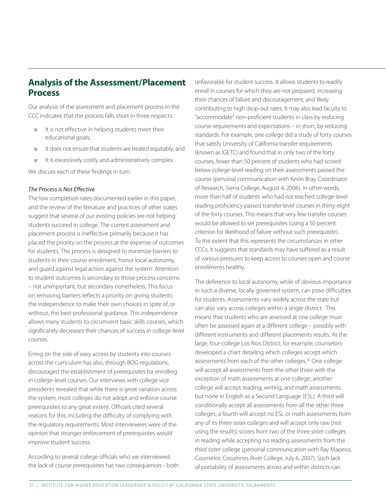## **Analysis of the Assessment/Placement Process**

Our analysis of the assessment and placement process in the CCC indicates that the process falls short in three respects:

- It is not effective in helping students meet their educational goals;
- **n** It does not ensure that students are treated equitably; and
- $\blacksquare$  It is excessively costly and administratively complex.

We discuss each of these findings in turn.

#### *The Process is Not Effective*

The low completion rates documented earlier in this paper, and the review of the literature and practices of other states suggest that several of our existing policies are not helping students succeed in college. The current assessment and placement process is ineffective primarily because it has placed the priority on the process at the expense of outcomes for students. The process is designed to minimize barriers to students in their course enrollment, honor local autonomy, and guard against legal action against the system. Attention to student outcomes is secondary to those process concerns – not unimportant, but secondary nonetheless. This focus on removing barriers reflects a priority on giving students the independence to make their own choices in spite of, or without, the best professional guidance. This independence allows many students to circumvent basic skills courses, which significantly decreases their chances of success in college-level courses.

Erring on the side of easy access by students into courses across the curriculum has also, through BOG regulations, discouraged the establishment of prerequisites for enrolling in college-level courses. Our interviews with college vice presidents revealed that while there is great variation across the system, most colleges do not adopt and enforce course prerequisites to any great extent. Officials cited several reasons for this, including the difficulty of complying with the regulatory requirements. Most interviewees were of the opinion that stronger enforcement of prerequisites would improve student success.

According to several college officials who we interviewed, the lack of course prerequisites has two consequences – both

unfavorable for student success. It allows students to readily enroll in courses for which they are not prepared, increasing their chances of failure and discouragement, and likely contributing to high drop-out rates. It may also lead faculty to "accommodate" non-proficient students in class by reducing course requirements and expectations – in short, by reducing standards. For example, one college did a study of forty courses that satisfy University of California transfer requirements (known as IGETC) and found that in only two of the forty courses, fewer than 50 percent of students who had scored below college-level reading on their assessments passed the course (personal communication with Kevin Bray, Coordinator of Research, Sierra College, August 4, 2006). In other words, more than half of students who had *not* reached college-level reading proficiency passed transfer-level courses in thirty-eight of the forty courses. This means that very few transfer courses would be allowed to set prerequisites (using a 50 percent criterion for likelihood of failure without such prerequisite). To the extent that this represents the circumstances in other CCCs, it suggests that standards may have suffered as a result of various pressures to keep access to courses open and course enrollments healthy.

The deference to local autonomy, while of obvious importance in such a diverse, locally governed system, can pose difficulties for students. Assessments vary widely across the state but can also vary across colleges within a single district. This means that students who are assessed at one college must often be assessed again at a different college – possibly with different instruments and different placements results. At the large, four-college Los Rios District, for example, counselors developed a chart detailing which colleges accept which assessments from each of the other colleges.42 One college will accept all assessments from the other three with the exception of math assessments at one college; another college will accept reading, writing, and math assessments but none in English as a Second Language (ESL). A third will conditionally accept all assessments from all the other three colleges; a fourth will accept no ESL or math assessments from any of its three sister colleges and will accept only raw (not using the results) scores from two of the three sister colleges in reading while accepting no reading assessments from the third sister college (personal communication with Ray Mapeso, Counselor, Cosumnes River College, July 6, 2007). Such lack of portability of assessments across and within districts can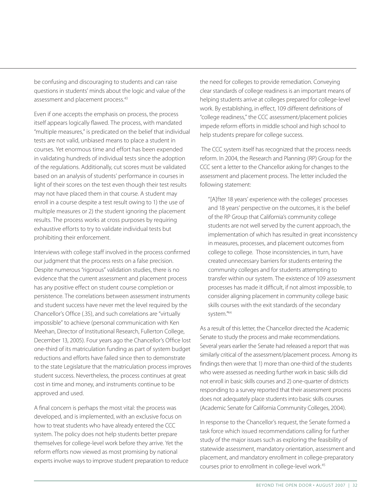be confusing and discouraging to students and can raise questions in students' minds about the logic and value of the assessment and placement process.<sup>43</sup>

Even if one accepts the emphasis on process, the process itself appears logically flawed. The process, with mandated "multiple measures," is predicated on the belief that individual tests are not valid, unbiased means to place a student in courses. Yet enormous time and effort has been expended in validating hundreds of individual tests since the adoption of the regulations. Additionally, cut scores must be validated based on an analysis of students' performance in courses in light of their scores on the test even though their test results may not have placed them in that course. A student may enroll in a course despite a test result owing to 1) the use of multiple measures or 2) the student ignoring the placement results. The process works at cross purposes by requiring exhaustive efforts to try to validate individual tests but prohibiting their enforcement.

Interviews with college staff involved in the process confirmed our judgment that the process rests on a false precision. Despite numerous "rigorous" validation studies, there is no evidence that the current assessment and placement process has any positive effect on student course completion or persistence. The correlations between assessment instruments and student success have never met the level required by the Chancellor's Office (.35), and such correlations are "virtually impossible" to achieve (personal communication with Ken Meehan, Director of Institutional Research, Fullerton College, December 13, 2005). Four years ago the Chancellor's Office lost one-third of its matriculation funding as part of system budget reductions and efforts have failed since then to demonstrate to the state Legislature that the matriculation process improves student success. Nevertheless, the process continues at great cost in time and money, and instruments continue to be approved and used.

A final concern is perhaps the most vital: the process was developed, and is implemented, with an exclusive focus on how to treat students who have already entered the CCC system. The policy does not help students better prepare themselves for college-level work before they arrive. Yet the reform efforts now viewed as most promising by national experts involve ways to improve student preparation to reduce

the need for colleges to provide remediation. Conveying clear standards of college readiness is an important means of helping students arrive at colleges prepared for college-level work. By establishing, in effect, 109 different definitions of "college readiness," the CCC assessment/placement policies impede reform efforts in middle school and high school to help students prepare for college success.

 The CCC system itself has recognized that the process needs reform. In 2004, the Research and Planning (RP) Group for the CCC sent a letter to the Chancellor asking for changes to the assessment and placement process. The letter included the following statement:

"[A]fter 18 years' experience with the colleges' processes and 18 years' perspective on the outcomes, it is the belief of the RP Group that California's community college students are not well served by the current approach, the implementation of which has resulted in great inconsistency in measures, processes, and placement outcomes from college to college. Those inconsistencies, in turn, have created unnecessary barriers for students entering the community colleges and for students attempting to transfer within our system. The existence of 109 assessment processes has made it difficult, if not almost impossible, to consider aligning placement in community college basic skills courses with the exit standards of the secondary system."44

As a result of this letter, the Chancellor directed the Academic Senate to study the process and make recommendations. Several years earlier the Senate had released a report that was similarly critical of the assessment/placement process. Among its findings then were that 1) more than one-third of the students who were assessed as needing further work in basic skills did not enroll in basic skills courses and 2) one-quarter of districts responding to a survey reported that their assessment process does not adequately place students into basic skills courses (Academic Senate for California Community Colleges, 2004).

In response to the Chancellor's request, the Senate formed a task force which issued recommendations calling for further study of the major issues such as exploring the feasibility of statewide assessment, mandatory orientation, assessment and placement, and mandatory enrollment in college-preparatory courses prior to enrollment in college-level work.45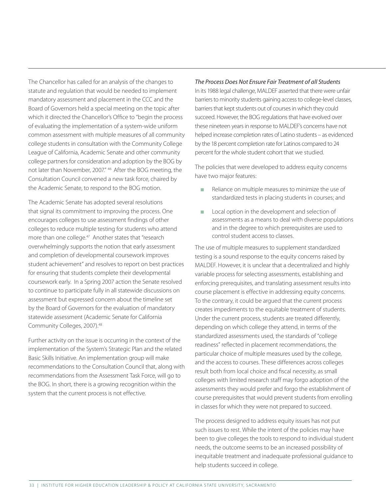The Chancellor has called for an analysis of the changes to statute and regulation that would be needed to implement mandatory assessment and placement in the CCC and the Board of Governors held a special meeting on the topic after which it directed the Chancellor's Office to "begin the process of evaluating the implementation of a system-wide uniform common assessment with multiple measures of all community college students in consultation with the Community College League of California, Academic Senate and other community college partners for consideration and adoption by the BOG by not later than November, 2007." 46 After the BOG meeting, the Consultation Council convened a new task force, chaired by the Academic Senate, to respond to the BOG motion.

The Academic Senate has adopted several resolutions that signal its commitment to improving the process. One encourages colleges to use assessment findings of other colleges to reduce multiple testing for students who attend more than one college.<sup>47</sup> Another states that "research overwhelmingly supports the notion that early assessment and completion of developmental coursework improves student achievement" and resolves to report on best practices for ensuring that students complete their developmental coursework early. In a Spring 2007 action the Senate resolved to continue to participate fully in all statewide discussions on assessment but expressed concern about the timeline set by the Board of Governors for the evaluation of mandatory statewide assessment (Academic Senate for California Community Colleges, 2007).48

Further activity on the issue is occurring in the context of the implementation of the System's Strategic Plan and the related Basic Skills Initiative. An implementation group will make recommendations to the Consultation Council that, along with recommendations from the Assessment Task Force, will go to the BOG. In short, there is a growing recognition within the system that the current process is not effective.

*The Process Does Not Ensure Fair Treatment of all Students* In its 1988 legal challenge, MALDEF asserted that there were unfair barriers to minority students gaining access to college-level classes, barriers that kept students out of courses in which they could succeed. However, the BOG regulations that have evolved over these nineteen years in response to MALDEF's concerns have not helped increase completion rates of Latino students – as evidenced by the 18 percent completion rate for Latinos compared to 24 percent for the whole student cohort that we studied.

The policies that were developed to address equity concerns have two major features:

- Reliance on multiple measures to minimize the use of standardized tests in placing students in courses; and
- **n** Local option in the development and selection of assessments as a means to deal with diverse populations and in the degree to which prerequisites are used to control student access to classes.

The use of multiple measures to supplement standardized testing is a sound response to the equity concerns raised by MALDEF. However, it is unclear that a decentralized and highly variable process for selecting assessments, establishing and enforcing prerequisites, and translating assessment results into course placement is effective in addressing equity concerns. To the contrary, it could be argued that the current process creates impediments to the equitable treatment of students. Under the current process, students are treated differently, depending on which college they attend, in terms of the standardized assessments used, the standards of "college readiness" reflected in placement recommendations, the particular choice of multiple measures used by the college, and the access to courses. These differences across colleges result both from local choice and fiscal necessity, as small colleges with limited research staff may forgo adoption of the assessments they would prefer and forgo the establishment of course prerequisites that would prevent students from enrolling in classes for which they were not prepared to succeed.

The process designed to address equity issues has not put such issues to rest. While the intent of the policies may have been to give colleges the tools to respond to individual student needs, the outcome seems to be an increased possibility of inequitable treatment and inadequate professional guidance to help students succeed in college.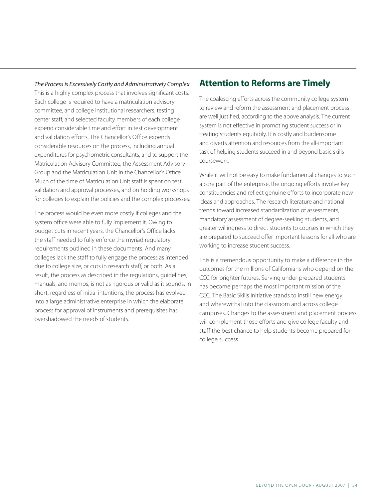*The Process is Excessively Costly and Administratively Complex* This is a highly complex process that involves significant costs. Each college is required to have a matriculation advisory committee, and college institutional researchers, testing center staff, and selected faculty members of each college expend considerable time and effort in test development and validation efforts. The Chancellor's Office expends considerable resources on the process, including annual expenditures for psychometric consultants, and to support the Matriculation Advisory Committee, the Assessment Advisory Group and the Matriculation Unit in the Chancellor's Office. Much of the time of Matriculation Unit staff is spent on test validation and approval processes, and on holding workshops for colleges to explain the policies and the complex processes.

The process would be even more costly if colleges and the system office were able to fully implement it. Owing to budget cuts in recent years, the Chancellor's Office lacks the staff needed to fully enforce the myriad regulatory requirements outlined in these documents. And many colleges lack the staff to fully engage the process as intended due to college size, or cuts in research staff, or both. As a result, the process as described in the regulations, guidelines, manuals, and memos, is not as rigorous or valid as it sounds. In short, regardless of initial intentions, the process has evolved into a large administrative enterprise in which the elaborate process for approval of instruments and prerequisites has overshadowed the needs of students.

## **Attention to Reforms are Timely**

The coalescing efforts across the community college system to review and reform the assessment and placement process are well justified, according to the above analysis. The current system is not effective in promoting student success or in treating students equitably. It is costly and burdensome and diverts attention and resources from the all-important task of helping students succeed in and beyond basic skills coursework.

While it will not be easy to make fundamental changes to such a core part of the enterprise, the ongoing efforts involve key constituencies and reflect genuine efforts to incorporate new ideas and approaches. The research literature and national trends toward increased standardization of assessments, mandatory assessment of degree-seeking students, and greater willingness to direct students to courses in which they are prepared to succeed offer important lessons for all who are working to increase student success.

This is a tremendous opportunity to make a difference in the outcomes for the millions of Californians who depend on the CCC for brighter futures. Serving under-prepared students has become perhaps the most important mission of the CCC. The Basic Skills Initiative stands to instill new energy and wherewithal into the classroom and across college campuses. Changes to the assessment and placement process will complement those efforts and give college faculty and staff the best chance to help students become prepared for college success.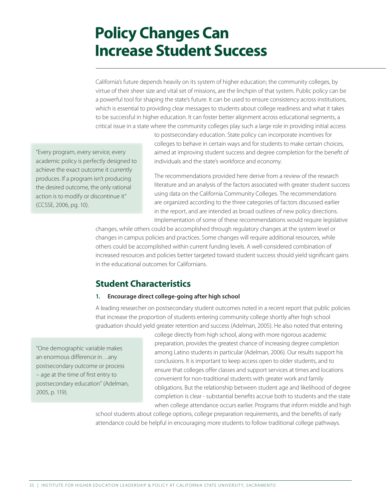# **Policy Changes Can Increase Student Success**

California's future depends heavily on its system of higher education; the community colleges, by virtue of their sheer size and vital set of missions, are the linchpin of that system. Public policy can be a powerful tool for shaping the state's future. It can be used to ensure consistency across institutions, which is essential to providing clear messages to students about college readiness and what it takes to be successful in higher education. It can foster better alignment across educational segments, a critical issue in a state where the community colleges play such a large role in providing initial access

"Every program, every service, every academic policy is perfectly designed to achieve the exact outcome it currently produces. If a program isn't producing the desired outcome, the only rational action is to modify or discontinue it" (CCSSE, 2006, pg. 10).

to postsecondary education. State policy can incorporate incentives for colleges to behave in certain ways and for students to make certain choices, aimed at improving student success and degree completion for the benefit of individuals and the state's workforce and economy.

The recommendations provided here derive from a review of the research literature and an analysis of the factors associated with greater student success using data on the California Community Colleges. The recommendations are organized according to the three categories of factors discussed earlier in the report, and are intended as broad outlines of new policy directions. Implementation of some of these recommendations would require legislative

changes, while others could be accomplished through regulatory changes at the system level or changes in campus policies and practices. Some changes will require additional resources, while others could be accomplished within current funding levels. A well-considered combination of increased resources and policies better targeted toward student success should yield significant gains in the educational outcomes for Californians.

## **Student Characteristics**

#### 1. Encourage direct college-going after high school

A leading researcher on postsecondary student outcomes noted in a recent report that public policies that increase the proportion of students entering community college shortly after high school graduation should yield greater retention and success (Adelman, 2005). He also noted that entering

"One demographic variable makes an enormous difference in…any postsecondary outcome or process – age at the time of first entry to postsecondary education" (Adelman, 2005, p. 119).

college directly from high school, along with more rigorous academic preparation, provides the greatest chance of increasing degree completion among Latino students in particular (Adelman, 2006). Our results support his conclusions. It is important to keep access open to older students, and to ensure that colleges offer classes and support services at times and locations convenient for non-traditional students with greater work and family obligations. But the relationship between student age and likelihood of degree completion is clear - substantial benefits accrue both to students and the state when college attendance occurs earlier. Programs that inform middle and high

school students about college options, college preparation requirements, and the benefits of early attendance could be helpful in encouraging more students to follow traditional college pathways.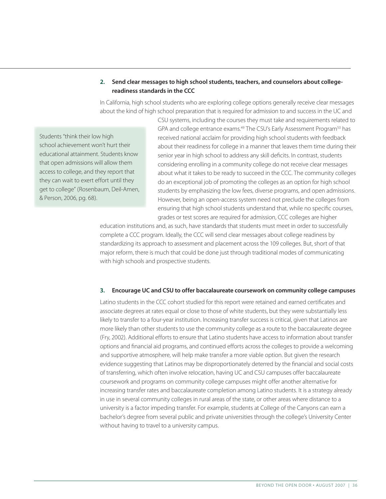#### 2. Send clear messages to high school students, teachers, and counselors about collegereadiness standards in the CCC

In California, high school students who are exploring college options generally receive clear messages about the kind of high school preparation that is required for admission to and success in the UC and

Students "think their low high school achievement won't hurt their educational attainment. Students know that open admissions will allow them access to college, and they report that they can wait to exert effort until they get to college" (Rosenbaum, Deil-Amen, & Person, 2006, pg. 68).

CSU systems, including the courses they must take and requirements related to GPA and college entrance exams.49 The CSU's Early Assessment Program50 has received national acclaim for providing high school students with feedback about their readiness for college in a manner that leaves them time during their senior year in high school to address any skill deficits. In contrast, students considering enrolling in a community college do not receive clear messages about what it takes to be ready to succeed in the CCC. The community colleges do an exceptional job of promoting the colleges as an option for high school students by emphasizing the low fees, diverse programs, and open admissions. However, being an open-access system need not preclude the colleges from ensuring that high school students understand that, while no specific courses, grades or test scores are required for admission, CCC colleges are higher

education institutions and, as such, have standards that students must meet in order to successfully complete a CCC program. Ideally, the CCC will send clear messages about college readiness by standardizing its approach to assessment and placement across the 109 colleges. But, short of that major reform, there is much that could be done just through traditional modes of communicating with high schools and prospective students.

#### 3. Encourage UC and CSU to offer baccalaureate coursework on community college campuses

Latino students in the CCC cohort studied for this report were retained and earned certificates and associate degrees at rates equal or close to those of white students, but they were substantially less likely to transfer to a four-year institution. Increasing transfer success is critical, given that Latinos are more likely than other students to use the community college as a route to the baccalaureate degree (Fry, 2002). Additional efforts to ensure that Latino students have access to information about transfer options and financial aid programs, and continued efforts across the colleges to provide a welcoming and supportive atmosphere, will help make transfer a more viable option. But given the research evidence suggesting that Latinos may be disproportionately deterred by the financial and social costs of transferring, which often involve relocation, having UC and CSU campuses offer baccalaureate coursework and programs on community college campuses might offer another alternative for increasing transfer rates and baccalaureate completion among Latino students. It is a strategy already in use in several community colleges in rural areas of the state, or other areas where distance to a university is a factor impeding transfer. For example, students at College of the Canyons can earn a bachelor's degree from several public and private universities through the college's University Center without having to travel to a university campus.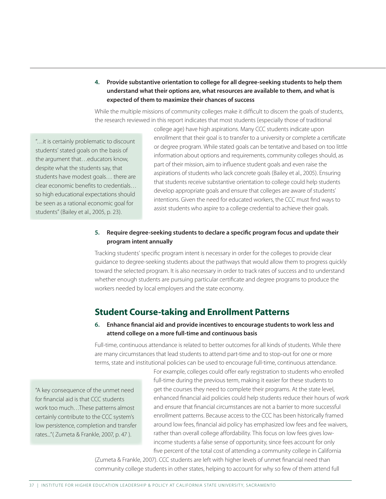#### 4. Provide substantive orientation to college for all degree-seeking students to help them understand what their options are, what resources are available to them, and what is expected of them to maximize their chances of success

While the multiple missions of community colleges make it difficult to discern the goals of students, the research reviewed in this report indicates that most students (especially those of traditional

"…it is certainly problematic to discount students' stated goals on the basis of the argument that…educators know, despite what the students say, that students have modest goals… there are clear economic benefits to credentials… so high educational expectations should be seen as a rational economic goal for students" (Bailey et al., 2005, p. 23).

college age) have high aspirations. Many CCC students indicate upon enrollment that their goal is to transfer to a university or complete a certificate or degree program. While stated goals can be tentative and based on too little information about options and requirements, community colleges should, as part of their mission, aim to influence student goals and even raise the aspirations of students who lack concrete goals (Bailey et al., 2005). Ensuring that students receive substantive orientation to college could help students develop appropriate goals and ensure that colleges are aware of students' intentions. Given the need for educated workers, the CCC must find ways to assist students who aspire to a college credential to achieve their goals.

#### 5. Require degree-seeking students to declare a specific program focus and update their program intent annually

Tracking students' specific program intent is necessary in order for the colleges to provide clear guidance to degree-seeking students about the pathways that would allow them to progress quickly toward the selected program. It is also necessary in order to track rates of success and to understand whether enough students are pursuing particular certificate and degree programs to produce the workers needed by local employers and the state economy.

## **Student Course-taking and Enrollment Patterns**

#### 6. Enhance financial aid and provide incentives to encourage students to work less and attend college on a more full-time and continuous basis

Full-time, continuous attendance is related to better outcomes for all kinds of students. While there are many circumstances that lead students to attend part-time and to stop-out for one or more terms, state and institutional policies can be used to encourage full-time, continuous attendance.

"A key consequence of the unmet need for financial aid is that CCC students work too much…These patterns almost certainly contribute to the CCC system's low persistence, completion and transfer rates..."( Zumeta & Frankle, 2007, p. 47 ).

For example, colleges could offer early registration to students who enrolled full-time during the previous term, making it easier for these students to get the courses they need to complete their programs. At the state level, enhanced financial aid policies could help students reduce their hours of work and ensure that financial circumstances are not a barrier to more successful enrollment patterns. Because access to the CCC has been historically framed around low fees, financial aid policy has emphasized low fees and fee waivers, rather than overall college affordability. This focus on low fees gives lowincome students a false sense of opportunity, since fees account for only five percent of the total cost of attending a community college in California

(Zumeta & Frankle, 2007). CCC students are left with higher levels of unmet financial need than community college students in other states, helping to account for why so few of them attend full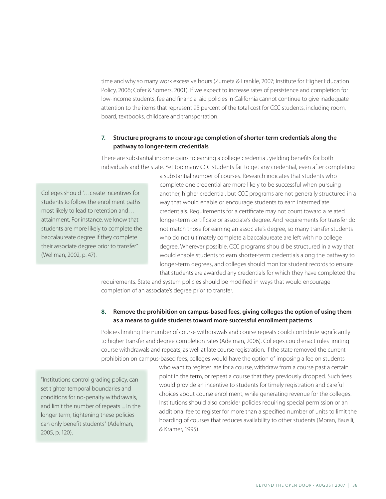time and why so many work excessive hours (Zumeta & Frankle, 2007; Institute for Higher Education Policy, 2006; Cofer & Somers, 2001). If we expect to increase rates of persistence and completion for low-income students, fee and financial aid policies in California cannot continue to give inadequate attention to the items that represent 95 percent of the total cost for CCC students, including room, board, textbooks, childcare and transportation.

#### 7. Structure programs to encourage completion of shorter-term credentials along the pathway to longer-term credentials

There are substantial income gains to earning a college credential, yielding benefits for both individuals and the state. Yet too many CCC students fail to get any credential, even after completing

Colleges should "…create incentives for students to follow the enrollment paths most likely to lead to retention and… attainment. For instance, we know that students are more likely to complete the baccalaureate degree if they complete their associate degree prior to transfer" (Wellman, 2002, p. 47).

a substantial number of courses. Research indicates that students who complete one credential are more likely to be successful when pursuing another, higher credential, but CCC programs are not generally structured in a way that would enable or encourage students to earn intermediate credentials. Requirements for a certificate may not count toward a related longer-term certificate or associate's degree. And requirements for transfer do not match those for earning an associate's degree, so many transfer students who do not ultimately complete a baccalaureate are left with no college degree. Wherever possible, CCC programs should be structured in a way that would enable students to earn shorter-term credentials along the pathway to longer-term degrees, and colleges should monitor student records to ensure that students are awarded any credentials for which they have completed the

requirements. State and system policies should be modified in ways that would encourage completion of an associate's degree prior to transfer.

#### 8. Remove the prohibition on campus-based fees, giving colleges the option of using them as a means to guide students toward more successful enrollment patterns

Policies limiting the number of course withdrawals and course repeats could contribute significantly to higher transfer and degree completion rates (Adelman, 2006). Colleges could enact rules limiting course withdrawals and repeats, as well at late course registration. If the state removed the current prohibition on campus-based fees, colleges would have the option of imposing a fee on students

"Institutions control grading policy, can set tighter temporal boundaries and conditions for no-penalty withdrawals, and limit the number of repeats ... In the longer term, tightening these policies can only benefit students" (Adelman, 2005, p. 120).

who want to register late for a course, withdraw from a course past a certain point in the term, or repeat a course that they previously dropped. Such fees would provide an incentive to students for timely registration and careful choices about course enrollment, while generating revenue for the colleges. Institutions should also consider policies requiring special permission or an additional fee to register for more than a specified number of units to limit the hoarding of courses that reduces availability to other students (Moran, Bausili, & Kramer, 1995).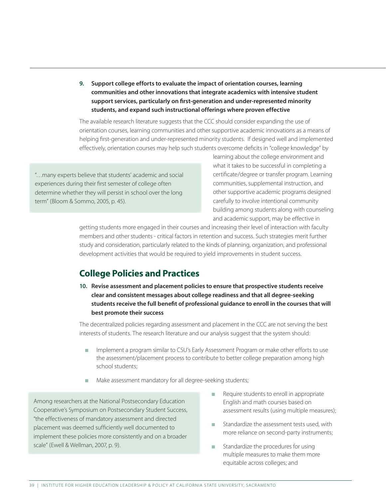9. Support college efforts to evaluate the impact of orientation courses, learning communities and other innovations that integrate academics with intensive student support services, particularly on first-generation and under-represented minority students, and expand such instructional offerings where proven effective

The available research literature suggests that the CCC should consider expanding the use of orientation courses, learning communities and other supportive academic innovations as a means of helping first-generation and under-represented minority students. If designed well and implemented effectively, orientation courses may help such students overcome deficits in "college knowledge" by

"…many experts believe that students' academic and social experiences during their first semester of college often determine whether they will persist in school over the long term" (Bloom & Sommo, 2005, p. 45).

learning about the college environment and what it takes to be successful in completing a certificate/degree or transfer program. Learning communities, supplemental instruction, and other supportive academic programs designed carefully to involve intentional community building among students along with counseling and academic support, may be effective in

getting students more engaged in their courses and increasing their level of interaction with faculty members and other students - critical factors in retention and success. Such strategies merit further study and consideration, particularly related to the kinds of planning, organization, and professional development activities that would be required to yield improvements in student success.

## **College Policies and Practices**

10. Revise assessment and placement policies to ensure that prospective students receive clear and consistent messages about college readiness and that all degree-seeking students receive the full benefit of professional guidance to enroll in the courses that will best promote their success

The decentralized policies regarding assessment and placement in the CCC are not serving the best interests of students. The research literature and our analysis suggest that the system should:

- n Implement a program similar to CSU's Early Assessment Program or make other efforts to use the assessment/placement process to contribute to better college preparation among high school students;
- Make assessment mandatory for all degree-seeking students;

Among researchers at the National Postsecondary Education Cooperative's Symposium on Postsecondary Student Success, "the effectiveness of mandatory assessment and directed placement was deemed sufficiently well documented to implement these policies more consistently and on a broader scale" (Ewell & Wellman, 2007, p. 9).

- Require students to enroll in appropriate English and math courses based on assessment results (using multiple measures);
- Standardize the assessment tests used, with more reliance on second-party instruments;
- $\blacksquare$  Standardize the procedures for using multiple measures to make them more equitable across colleges; and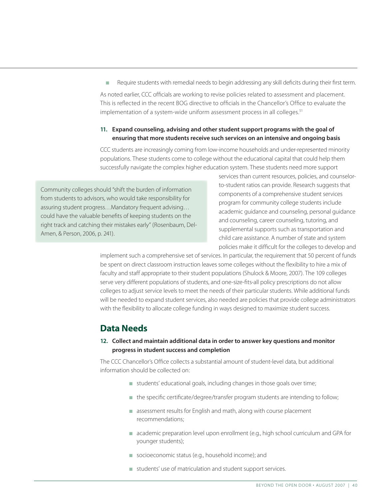Require students with remedial needs to begin addressing any skill deficits during their first term. As noted earlier, CCC officials are working to revise policies related to assessment and placement. This is reflected in the recent BOG directive to officials in the Chancellor's Office to evaluate the implementation of a system-wide uniform assessment process in all colleges.<sup>51</sup>

#### 11. Expand counseling, advising and other student support programs with the goal of ensuring that more students receive such services on an intensive and ongoing basis

CCC students are increasingly coming from low-income households and under-represented minority populations. These students come to college without the educational capital that could help them successfully navigate the complex higher education system. These students need more support

Community colleges should "shift the burden of information from students to advisors, who would take responsibility for assuring student progress…Mandatory frequent advising… could have the valuable benefits of keeping students on the right track and catching their mistakes early" (Rosenbaum, Del-Amen, & Person, 2006, p. 241).

services than current resources, policies, and counselorto-student ratios can provide. Research suggests that components of a comprehensive student services program for community college students include academic guidance and counseling, personal guidance and counseling, career counseling, tutoring, and supplemental supports such as transportation and child care assistance. A number of state and system policies make it difficult for the colleges to develop and

implement such a comprehensive set of services. In particular, the requirement that 50 percent of funds be spent on direct classroom instruction leaves some colleges without the flexibility to hire a mix of faculty and staff appropriate to their student populations (Shulock & Moore, 2007). The 109 colleges serve very different populations of students, and one-size-fits-all policy prescriptions do not allow colleges to adjust service levels to meet the needs of their particular students. While additional funds will be needed to expand student services, also needed are policies that provide college administrators with the flexibility to allocate college funding in ways designed to maximize student success.

## **Data Needs**

#### 12. Collect and maintain additional data in order to answer key questions and monitor progress in student success and completion

The CCC Chancellor's Office collects a substantial amount of student-level data, but additional information should be collected on:

- students' educational goals, including changes in those goals over time;
- $\blacksquare$  the specific certificate/degree/transfer program students are intending to follow;
- n assessment results for English and math, along with course placement recommendations;
- n academic preparation level upon enrollment (e.g., high school curriculum and GPA for younger students);
- socioeconomic status (e.g., household income); and
- <sup>n</sup> students' use of matriculation and student support services.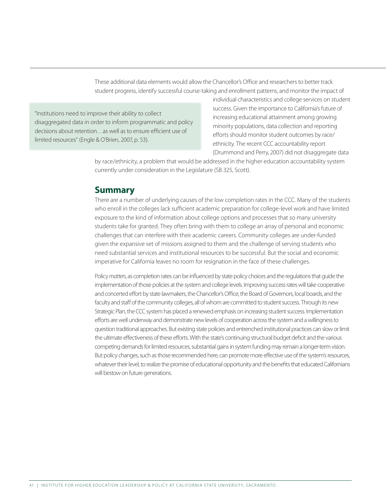These additional data elements would allow the Chancellor's Office and researchers to better track student progress, identify successful course-taking and enrollment patterns, and monitor the impact of

"Institutions need to improve their ability to collect disaggregated data in order to inform programmatic and policy decisions about retention…as well as to ensure efficient use of limited resources" (Engle & O'Brien, 2007, p. 53).

individual characteristics and college services on student success. Given the importance to California's future of increasing educational attainment among growing minority populations, data collection and reporting efforts should monitor student outcomes by race/ ethnicity. The recent CCC accountability report (Drummond and Perry, 2007) did not disaggregate data

by race/ethnicity, a problem that would be addressed in the higher education accountability system currently under consideration in the Legislature (SB 325, Scott).

#### **Summary**

There are a number of underlying causes of the low completion rates in the CCC. Many of the students who enroll in the colleges lack sufficient academic preparation for college-level work and have limited exposure to the kind of information about college options and processes that so many university students take for granted. They often bring with them to college an array of personal and economic challenges that can interfere with their academic careers. Community colleges are under-funded given the expansive set of missions assigned to them and the challenge of serving students who need substantial services and institutional resources to be successful. But the social and economic imperative for California leaves no room for resignation in the face of these challenges.

Policy *matters*, as completion rates can be influenced by state policy choices and the regulations that guide the implementation of those policies at the system and college levels. Improving success rates will take cooperative and concerted effort by state lawmakers, the Chancellor's Office, the Board of Governors, local boards, and the faculty and staff of the community colleges, all of whom are committed to student success. Through its new Strategic Plan, the CCC system has placed a renewed emphasis on increasing student success. Implementation efforts are well underway and demonstrate new levels of cooperation across the system and a willingness to question traditional approaches. But existing state policies and entrenched institutional practices can slow or limit the ultimate effectiveness of these efforts. With the state's continuing structural budget deficit and the various competing demands for limited resources, substantial gains in system funding may remain a longer-term vision. But policy changes, such as those recommended here, can promote more effective use of the system's resources, whatever their level, to realize the promise of educational opportunity and the benefits that educated Californians will bestow on future generations.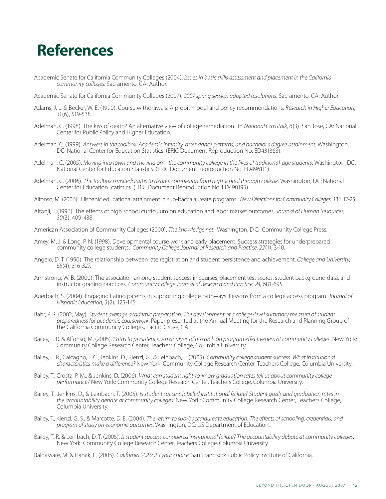# **References**

Academic Senate for California Community Colleges (2004). *Issues in basic skills assessment and placement in the California community colleges*. Sacramento, CA: Author.

Academic Senate for California Community Colleges (2007). *2007 spring session adopted resolutions*. Sacramento, CA: Author.

- Adams, J. L. & Becker, W. E. (1990). Course withdrawals: A probit model and policy recommendations. *Research in Higher Education*, *31*(6), 519-538.
- Adelman, C. (1998). The kiss of death? An alternative view of college remediation. In *National Crosstalk*, *6*(3). San Jose, CA: National Center for Public Policy and Higher Education.
- Adelman, C. (1999). *Answers in the toolbox: Academic intensity, attendance patterns, and bachelor's degree attainment*. Washington, DC: National Center for Education Statistics. (ERIC Document Reproduction No. ED431363).
- Adelman, C. (2005). *Moving into town and moving on the community college in the lives of traditional-age students*. Washington, DC: National Center for Education Statistics. (ERIC Document Reproduction No. ED496111).
- Adelman, C. (2006). *The toolbox revisited: Paths to degree completion from high school through college*. Washington, DC: National Center for Education Statistics. (ERIC Document Reproduction No. ED490195).
- Alfonso, M. (2006). Hispanic educational attainment in sub-baccalaureate programs. *New Directions for Community Colleges*, *133*, 17-25.
- Altonji, J. (1996). The effects of high school curriculum on education and labor market outcomes. *Journal of Human Resources*, *30*(3), 409-438.
- American Association of Community Colleges (2000). *The knowledge net*. Washington, D.C.: Community College Press.
- Amey, M. J. & Long, P. N. (1998). Developmental course work and early placement: Success strategies for underprepared community college students. *Community College Journal of Research and Practice*, *22*(1), 3-10.
- Angelo, D. T. (1990). The relationship between late registration and student persistence and achievement. *College and University*, *65*(4), 316-327.
- Armstrong, W. B. (2000). The association among student success in courses, placement test scores, student background data, and instructor grading practices. *Community College Journal of Research and Practice*, *24*, 681-695.
- Auerbach, S. (2004). Engaging Latino parents in supporting college pathways: Lessons from a college access program. *Journal of Hispanic Education*, *3*(2), 125-145.
- Bahr, P. R. (2002, May). *Student average academic preparation: The development of a college-level summary measure of student preparedness for academic coursework*. Paper presented at the Annual Meeting for the Research and Planning Group of the California Community Colleges, Pacific Grove, CA.
- Bailey, T. R. & Alfonso, M. (2005). *Paths to persistence: An analysis of research on program effectiveness at community colleges*. New York: Community College Research Center, Teachers College, Columbia University.
- Bailey, T. R., Calcagno, J. C., Jenkins, D., Kienzl, G., & Leinbach, T. (2005). *Community college student success: What institutional characteristics make a difference?* New York: Community College Research Center, Teachers College, Columbia University.
- Bailey, T., Crosta, P. M., & Jenkins, D. (2006). *What can student right-to-know graduation rates tell us about community college performance?* New York: Community College Research Center, Teachers College, Columbia University.
- Bailey, T., Jenkins, D., & Leinbach, T. (2005). *Is student success labeled institutional failure? Student goals and graduation rates in the accountability debate at community colleges*. New York: Community College Research Center, Teachers College, Columbia University.
- Bailey, T., Kienzl, G. S., & Marcotte, D. E. (2004). *The return to sub-baccalaureate education: The effects of schooling, credentials, and program of study on economic outcomes*. Washington, DC: US Department of Education.
- Bailey, T. R. & Leinbach, D. T. (2005). *Is student success considered institutional failure? The accountability debate at community colleges*. New York: Community College Research Center, Teachers College, Columbia University.

Baldassare, M. & Hanak, E. (2005). *California 2025: It's your choice.* San Francisco: Public Policy Institute of California.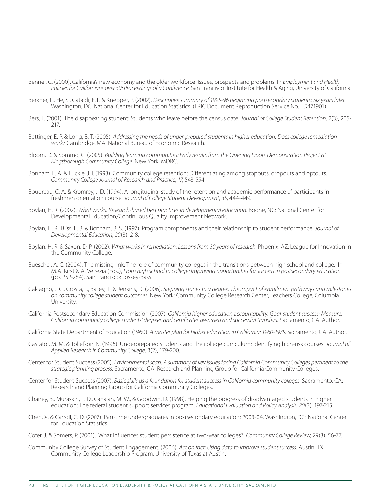Benner, C. (2000). California's new economy and the older workforce: Issues, prospects and problems. In *Employment and Health Policies for Californians over 50: Proceedings of a Conference*. San Francisco: Institute for Health & Aging, University of California.

- Berkner, L., He, S., Cataldi, E. F. & Knepper, P. (2002). *Descriptive summary of 1995-96 beginning postsecondary students: Six years later*. Washington, DC: National Center for Education Statistics. (ERIC Document Reproduction Service No. ED471901).
- Bers, T. (2001). The disappearing student: Students who leave before the census date. *Journal of College Student Retention*, *2*(3), 205- 217.
- Bettinger, E. P. & Long, B. T. (2005). *Addressing the needs of under-prepared students in higher education: Does college remediation work?* Cambridge, MA: National Bureau of Economic Research.
- Bloom, D. & Sommo, C. (2005). *Building learning communities: Early results from the Opening Doors Demonstration Project at Kingsborough Community College*. New York: MDRC.
- Bonham, L. A. & Luckie, J. I. (1993). Community college retention: Differentiating among stopouts, dropouts and optouts. *Community College Journal of Research and Practice*, *17*, 543-554.
- Boudreau, C. A. & Kromrey, J. D. (1994). A longitudinal study of the retention and academic performance of participants in freshmen orientation course. *Journal of College Student Development*, *35*, 444-449.
- Boylan, H. R. (2002). *What works: Research-based best practices in developmental education*. Boone, NC: National Center for Developmental Education/Continuous Quality Improvement Network.
- Boylan, H. R., Bliss, L. B. & Bonham, B. S. (1997). Program components and their relationship to student performance. *Journal of Developmental Education*, *20*(3), 2-8.
- Boylan, H. R. & Saxon, D. P. (2002). *What works in remediation: Lessons from 30 years of research*. Phoenix, AZ: League for Innovation in the Community College.
- Bueschel, A. C. (2004). The missing link: The role of community colleges in the transitions between high school and college. In M.A. Kirst & A. Venezia (Eds.), *From high school to college: Improving opportunities for success in postsecondary education* (pp. 252-284). San Francisco: Jossey-Bass.
- Calcagno, J. C., Crosta, P., Bailey, T., & Jenkins, D. (2006). *Stepping stones to a degree: The impact of enrollment pathways and milestones on community college student outcomes*. New York: Community College Research Center, Teachers College, Columbia University.
- California Postsecondary Education Commission (2007). *California higher education* a*ccountability: Goal-student success: Measure: California community college students' degrees and certificates awarded and successful transfers.* Sacramento, CA: Author.
- California State Department of Education (1960). *A master plan for higher education in California: 1960-1975*. Sacramento, CA: Author.
- Castator, M. M. & Tollefson, N. (1996). Underprepared students and the college curriculum: Identifying high-risk courses. *Journal of Applied Research in Community College*, *3*(2), 179-200.
- Center for Student Success (2005). *Environmental scan: A summary of key issues facing California Community Colleges pertinent to the strategic planning process*. Sacramento, CA: Research and Planning Group for California Community Colleges.
- Center for Student Success (2007). *Basic skills as a foundation for student success in California community colleges*. Sacramento, CA: Research and Planning Group for California Community Colleges.
- Chaney, B., Muraskin, L. D., Cahalan, M. W., & Goodwin, D. (1998). Helping the progress of disadvantaged students in higher education: The federal student support services program. *Educational Evaluation and Policy Analysis*, *20*(3), 197-215.
- Chen, X. & Carroll, C. D. (2007). Part-time undergraduates in postsecondary education: 2003-04. Washington, DC: National Center for Education Statistics.
- Cofer, J. & Somers, P. (2001). What influences student persistence at two-year colleges? *Community College Review*, *29*(3), 56-77.
- Community College Survey of Student Engagement. (2006). *Act on fact: Using data to improve student success*. Austin, TX: Community College Leadership Program, University of Texas at Austin.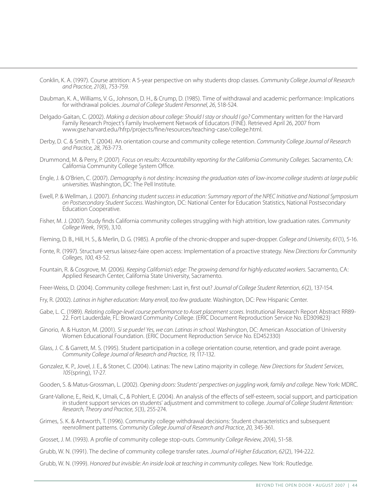- Conklin, K. A. (1997). Course attrition: A 5-year perspective on why students drop classes. *Community College Journal of Research and Practice*, *21*(8), 753-759.
- Daubman, K. A., Williams, V. G., Johnson, D. H., & Crump, D. (1985). Time of withdrawal and academic performance: Implications for withdrawal policies. *Journal of College Student Personnel*, *26*, 518-524.
- Delgado-Gaitan, C. (2002). *Making a decision about college: Should I stay or should I go?* Commentary written for the Harvard Family Research Project's Family Involvement Network of Educators (FINE). Retrieved April 26, 2007 from www.gse.harvard.edu/hfrp/projects/fine/resources/teaching-case/college.html.
- Derby, D. C. & Smith, T. (2004). An orientation course and community college retention. *Community College Journal of Research and Practice*, *28*, 763-773.
- Drummond, M. & Perry, P. (2007). *Focus on results: Accountability reporting for the California Community Colleges*. Sacramento, CA: California Community College System Office.
- Engle, J. & O'Brien, C. (2007). *Demography is not destiny: Increasing the graduation rates of low-income college students at large public universities*. Washington, DC: The Pell Institute.
- Ewell, P. & Wellman, J. (2007). *Enhancing student success in education: Summary report of the NPEC Initiative and National Symposium on Postsecondary Student Success*. Washington, DC: National Center for Education Statistics, National Postsecondary Education Cooperative.
- Fisher, M. J. (2007). Study finds California community colleges struggling with high attrition, low graduation rates. *Community College Week*, *19*(9), 3,10.
- Fleming, D. B., Hill, H. S., & Merlin, D. G. (1985). A profile of the chronic-dropper and super-dropper. *College and University*, *61*(1), 5-16.
- Fonte, R. (1997). Structure versus laissez-faire open access: Implementation of a proactive strategy. *New Directions for Community Colleges*, *100*, 43-52.
- Fountain, R. & Cosgrove, M. (2006). *Keeping California's edge: The growing demand for highly educated workers*. Sacramento, CA: Applied Research Center, California State University, Sacramento.
- Freer-Weiss, D. (2004). Community college freshmen: Last in, first out? *Journal of College Student Retention*, *6*(2), 137-154.
- Fry, R. (2002). *Latinos in higher education: Many enroll, too few graduate.* Washington, DC: Pew Hispanic Center.
- Gabe, L. C. (1989). *Relating college-level course performance to Asset placement scores*. Institutional Research Report Abstract RR89- 22. Fort Lauderdale, FL: Broward Community College. (ERIC Document Reproduction Service No. ED309823)
- Ginorio, A. & Huston, M. (2001). *Si se puede! Yes, we can. Latinas in school*. Washington, DC: American Association of University Women Educational Foundation. (ERIC Document Reproduction Service No. ED452330)
- Glass, J. C. & Garrett, M. S. (1995). Student participation in a college orientation course, retention, and grade point average. *Community College Journal of Research and Practice*, *19*, 117-132.
- Gonzalez, K. P., Jovel, J. E., & Stoner, C. (2004). Latinas: The new Latino majority in college. *New Directions for Student Services*, *105*(spring), 17-27.
- Gooden, S. & Matus-Grossman, L. (2002). *Opening doors: Students' perspectives on juggling work, family and college*. New York: MDRC.
- Grant-Vallone, E., Reid, K., Umali, C., & Pohlert, E. (2004). An analysis of the effects of self-esteem, social support, and participation in student support services on students' adjustment and commitment to college. *Journal of College Student Retention: Research, Theory and Practice*, *5*(3), 255-274.
- Grimes, S. K. & Antworth, T. (1996). Community college withdrawal decisions: Student characteristics and subsequent reenrollment patterns. *Community College Journal of Research and Practice*, *20*, 345-361.
- Grosset, J. M. (1993). A profile of community college stop-outs. *Community College Review*, *20*(4), 51-58.
- Grubb, W. N. (1991). The decline of community college transfer rates. *Journal of Higher Education*, *62*(2), 194-222.
- Grubb, W. N. (1999). *Honored but invisible: An inside look at teaching in community colleges*. New York: Routledge.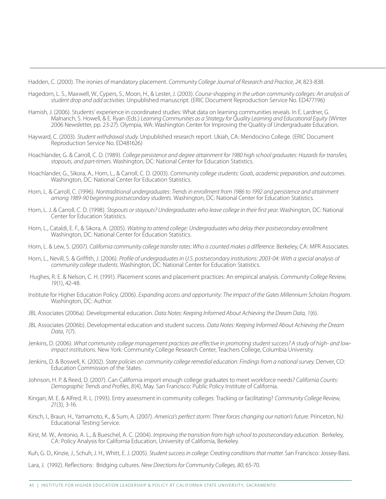Hadden, C. (2000). The ironies of mandatory placement. *Community College Journal of Research and Practice*, *24*, 823-838.

- Hagedorn, L. S., Maxwell, W., Cypers, S., Moon, H., & Lester, J. (2003). *Course-shopping in the urban community colleges: An analysis of student drop and add activities*. Unpublished manuscript. (ERIC Document Reproduction Service No. ED477196)
- Harnish, J. (2006). Students' experience in coordinated studies: What data on learning communities reveals. In E. Lardner, G. Malnarich, S. Howell, & E. Ryan (Eds.) *Learning Communities as a Strategy for Quality Learning and Educational Equity* (Winter 2006 Newsletter, pp. 23-27). Olympia, WA: Washington Center for Improving the Quality of Undergraduate Education.
- Hayward, C. (2003). *Student withdrawal study*. Unpublished research report. Ukiah, CA: Mendocino College. (ERIC Document Reproduction Service No. ED481626)
- Hoachlander, G. & Carroll, C. D. (1989). *College persistence and degree attainment for 1980 high school graduates: Hazards for transfers, stopouts, and part-timers*. Washington, DC: National Center for Education Statistics.
- Hoachlander, G., Sikora, A., Horn, L., & Carroll, C. D. (2003). *Community college students: Goals, academic preparation, and outcomes*. Washington, DC: National Center for Education Statistics.
- Horn, L. & Carroll, C. (1996). *Nontraditional undergraduates: Trends in enrollment from 1986 to 1992 and persistence and attainment among 1989-90 beginning postsecondary students.* Washington, DC: National Center for Education Statistics.
- Horn, L. J. & Carroll, C. D. (1998). *Stopouts or stayouts? Undergraduates who leave college in their first year*. Washington, DC: National Center for Education Statistics.
- Horn, L., Cataldi, E. F., & Sikora, A. (2005). *Waiting to attend college: Undergraduates who delay their postsecondary enrollment.* Washington, DC: National Center for Education Statistics.
- Horn, L. & Lew, S. (2007). *California community college transfer rates: Who is counted makes a difference*. Berkeley, CA: MPR Associates.
- Horn, L., Nevill, S. & Griffith, J. (2006). *Profile of undergraduates in U.S. postsecondary institutions: 2003-04: With a special analysis of community college students*. Washington, DC: National Center for Education Statistics.
- Hughes, R. E. & Nelson, C. H. (1991). Placement scores and placement practices: An empirical analysis. *Community College Review*, *19*(1), 42-48.
- Institute for Higher Education Policy. (2006). *Expanding access and opportunity: The impact of the Gates Millennium Scholars Program*. Washington, DC: Author.
- JBL Associates (2006a). Developmental education. *Data Notes: Keeping Informed About Achieving the Dream Data, 1*(6).
- JBL Associates (2006b). Developmental education and student success. *Data Notes: Keeping Informed About Achieving the Dream Data*, *1*(7).
- Jenkins, D. (2006). *What community college management practices are effective in promoting student success? A study of high- and lowimpact institutions*. New York: Community College Research Center, Teachers College, Columbia University.
- Jenkins, D. & Boswell, K. (2002). *State policies on community college remedial education: Findings from a national survey*. Denver, CO: Education Commission of the States.
- Johnson, H. P. & Reed, D. (2007). Can California import enough college graduates to meet workforce needs? *California Counts: Demographic Trends and Profiles*, *8*(4), May. San Francisco: Public Policy Institute of California.
- Kingan, M. E. & Alfred, R. L. (1993). Entry assessment in community colleges: Tracking or facilitating? *Community College Review*, *21*(3), 3-16.
- Kirsch, I., Braun, H., Yamamoto, K., & Sum, A. (2007). *America's perfect storm: Three forces changing our nation's future*. Princeton, NJ: Educational Testing Service.
- Kirst, M. W., Antonio, A. L., & Bueschel, A. C. (2004). *Improving the transition from high school to postsecondary education*. Berkeley, CA: Policy Analysis for California Education, University of California, Berkeley.
- Kuh, G. D., Kinzie, J., Schuh, J. H., Whitt, E. J. (2005). *Student success in college: Creating conditions that matter*. San Francisco: Jossey-Bass.
- Lara, J. (1992). Reflections: Bridging cultures. *New Directions for Community Colleges, 80*, 65-70.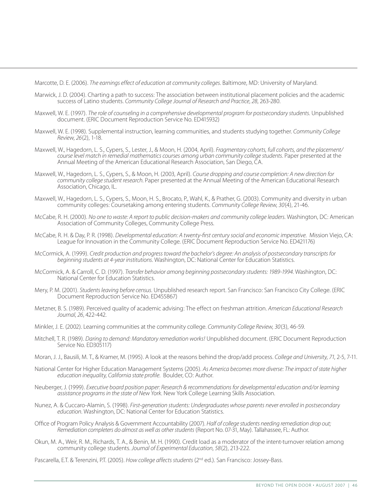Marcotte, D. E. (2006). *The earnings effect of education at community colleges*. Baltimore, MD: University of Maryland.

- Marwick, J. D. (2004). Charting a path to success: The association between institutional placement policies and the academic success of Latino students. *Community College Journal of Research and Practice*, *28*, 263-280.
- Maxwell, W. E. (1997). *The role of counseling in a comprehensive developmental program for postsecondary students*. Unpublished document. (ERIC Document Reproduction Service No. ED415932)
- Maxwell, W. E. (1998). Supplemental instruction, learning communities, and students studying together. *Community College Review*, *26*(2), 1-18.
- Maxwell, W., Hagedorn, L. S., Cypers, S., Lester, J., & Moon, H. (2004, April). *Fragmentary cohorts, full cohorts, and the placement/ course level match in remedial mathematics courses among urban community college students*. Paper presented at the Annual Meeting of the American Educational Research Association, San Diego, CA.
- Maxwell, W., Hagedorn, L. S., Cypers, S., & Moon, H. (2003, April). *Course dropping and course completion: A new direction for community college student research*. Paper presented at the Annual Meeting of the American Educational Research Association, Chicago, IL.
- Maxwell, W., Hagedorn, L. S., Cypers, S., Moon, H. S., Brocato, P., Wahl, K., & Prather, G. (2003). Community and diversity in urban community colleges: Coursetaking among entering students. *Community College Review*, *30*(4), 21-46.
- McCabe, R. H. (2000). *No one to waste: A report to public decision-makers and community college leaders*. Washington, DC: American Association of Community Colleges, Community College Press.
- McCabe, R. H. & Day, P. R. (1998). *Developmental education: A twenty-first century social and economic imperative*. Mission Viejo, CA: League for Innovation in the Community College. (ERIC Document Reproduction Service No. ED421176)
- McCormick, A. (1999). *Credit production and progress toward the bachelor's degree: An analysis of postsecondary transcripts for beginning students at 4-year institutions*. Washington, DC: National Center for Education Statistics.
- McCormick, A. & Carroll, C. D. (1997). *Transfer behavior among beginning postsecondary students: 1989-1994*. Washington, DC: National Center for Education Statistics.
- Mery, P. M. (2001). *Students leaving before census*. Unpublished research report. San Francisco: San Francisco City College. (ERIC Document Reproduction Service No. ED455867)
- Metzner, B. S. (1989). Perceived quality of academic advising: The effect on freshman attrition. *American Educational Research Journal*, *26*, 422-442.
- Minkler, J. E. (2002). Learning communities at the community college. *Community College Review*, *30*(3), 46-59.
- Mitchell, T. R. (1989). *Daring to demand: Mandatory remediation works!* Unpublished document. (ERIC Document Reproduction Service No. ED305117)
- Moran, J. J., Bausili, M. T., & Kramer, M. (1995). A look at the reasons behind the drop/add process. *College and University*, *71*, 2-5, 7-11.
- National Center for Higher Education Management Systems (2005). *As America becomes more diverse: The impact of state higher education inequality, California state profile*. Boulder, CO: Author.
- Neuberger, J. (1999). *Executive board position paper: Research & recommendations for developmental education and/or learning assistance programs in the state of New York*. New York College Learning Skills Association.
- Nunez, A. & Cuccaro-Alamin, S. (1998). *First-generation students: Undergraduates whose parents never enrolled in postsecondary education*. Washington, DC: National Center for Education Statistics.
- Office of Program Policy Analysis & Government Accountability (2007). *Half of college students needing remediation drop out; Remediation completers do almost as well as other students* (Report No. 07-31, May). Tallahassee, FL: Author.
- Okun, M. A., Weir, R. M., Richards, T. A., & Benin, M. H. (1990). Credit load as a moderator of the intent-turnover relation among community college students. *Journal of Experimental Education*, *58*(2), 213-222.
- Pascarella, E.T. & Terenzini, P.T. (2005). *How college affects students* (2nd ed.). San Francisco: Jossey-Bass.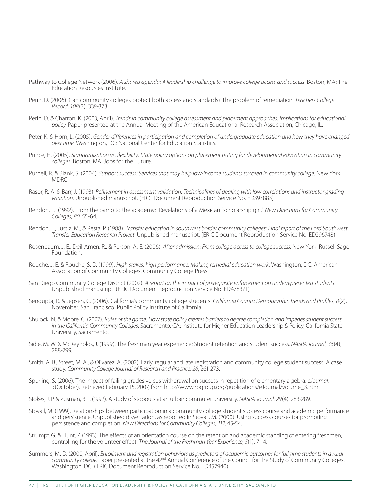Pathway to College Network (2006). *A shared agenda: A leadership challenge to improve college access and success*. Boston, MA: The Education Resources Institute.

- Perin, D. (2006). Can community colleges protect both access and standards? The problem of remediation. *Teachers College Record*, *108*(3), 339-373.
- Perin, D. & Charron, K. (2003, April). *Trends in community college assessment and placement approaches: Implications for educational policy*. Paper presented at the Annual Meeting of the American Educational Research Association, Chicago, IL.
- Peter, K. & Horn, L. (2005). *Gender differences in participation and completion of undergraduate education and how they have changed*  over time. Washington, DC: National Center for Education Statistics.
- Prince, H. (2005). *Standardization vs. flexibility: State policy options on placement testing for developmental education in community colleges*. Boston, MA: Jobs for the Future.
- Purnell, R. & Blank, S. (2004). *Support success: Services that may help low-income students succeed in community college*. New York: MDRC.
- Rasor, R. A. & Barr, J. (1993). *Refinement in assessment validation: Technicalities of dealing with low correlations and instructor grading variation*. Unpublished manuscript. (ERIC Document Reproduction Service No. ED393883)
- Rendon, L. (1992). From the barrio to the academy: Revelations of a Mexican "scholarship girl." *New Directions for Community Colleges, 80*, 55-64.
- Rendon, L., Justiz, M., & Resta, P. (1988). *Transfer education in southwest border community colleges: Final report of the Ford Southwest Transfer Education Research Project*. Unpublished manuscript. (ERIC Document Reproduction Service No. ED296748)
- Rosenbaum, J. E., Deil-Amen, R., & Person, A. E. (2006). *After admission: From college access to college success*. New York: Russell Sage Foundation.
- Rouche, J. E. & Rouche, S. D. (1999). *High stakes, high performance: Making remedial education work*. Washington, DC: American Association of Community Colleges, Community College Press.
- San Diego Community College District (2002). *A report on the impact of prerequisite enforcement on underrepresented students*. Unpublished manuscript. (ERIC Document Reproduction Service No. ED478371)
- Sengupta, R. & Jepsen, C. (2006). California's community college students. *California Counts: Demographic Trends and Profiles*, *8*(2), November. San Francisco: Public Policy Institute of California.
- Shulock, N. & Moore, C. (2007). *Rules of the game: How state policy creates barriers to degree completion and impedes student success in the California Community Colleges*. Sacramento, CA: Institute for Higher Education Leadership & Policy, California State University, Sacramento.
- Sidle, M. W. & McReynolds, J. (1999). The freshman year experience: Student retention and student success. *NASPA Journal*, *36*(4), 288-299.
- Smith, A. B., Street, M. A., & Olivarez, A. (2002). Early, regular and late registration and community college student success: A case study. *Community College Journal of Research and Practice, 26*, 261-273.
- Spurling, S. (2006). The impact of failing grades versus withdrawal on success in repetition of elementary algebra. *eJournal*, *3*(October). Retrieved February 15, 2007, from http://www.rpgroup.org/publications/eJournal/volume\_3.htm.
- Stokes, J. P. & Zusman, B. J. (1992). A study of stopouts at an urban commuter university. *NASPA Journal*, *29*(4), 283-289.
- Stovall, M. (1999). Relationships between participation in a community college student success course and academic performance and persistence. Unpublished dissertation, as reported in Stovall, M. (2000). Using success courses for promoting persistence and completion. *New Directions for Community Colleges*, *112*, 45-54.
- Strumpf, G. & Hunt, P. (1993). The effects of an orientation course on the retention and academic standing of entering freshmen, controlling for the volunteer effect. *The Journal of the Freshman Year Experience*, *5*(1), 7-14.
- Summers, M. D. (2000, April). *Enrollment and registration behaviors as predictors of academic outcomes for full-time students in a rural*  community college. Paper presented at the 42<sup>nd</sup> Annual Conference of the Council for the Study of Community Colleges, Washington, DC. ( ERIC Document Reproduction Service No. ED457940)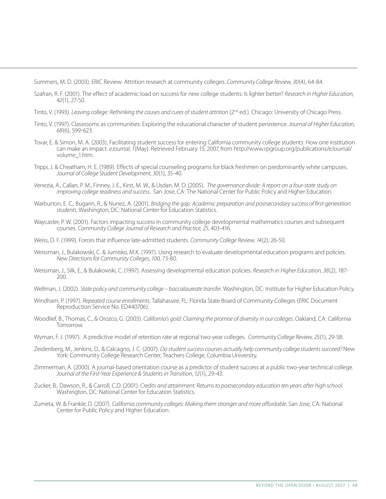Summers, M. D. (2003). ERIC Review: Attrition research at community colleges. *Community College Review*, *30*(4), 64-84.

- Szafran, R. F. (2001). The effect of academic load on success for new college students: Is lighter better? *Research in Higher Education*, *42*(1), 27-50.
- Tinto, V. (1993). *Leaving college: Rethinking the causes and cures of student attrition* (2<sup>nd</sup> ed.). Chicago: University of Chicago Press.
- Tinto, V. (1997). Classrooms as communities: Exploring the educational character of student persistence. *Journal of Higher Education*, *68*(6), 599-623.
- Tovar, E. & Simon, M. A. (2003). Facilitating student success for entering California community college students: How one institution can make an impact. *eJournal*, *1*(May). Retrieved February 15, 2007, from http://www.rpgroup.org/publications/eJournal/ volume\_1.htm.
- Trippi, J. & Cheatham, H. E. (1989). Effects of special counseling programs for black freshmen on predominantly white campuses. *Journal of College Student Development*, *30*(1), 35-40.
- Venezia, A., Callan, P. M., Finney, J. E., Kirst, M. W., & Usdan, M. D. (2005). *The governance divide: A report on a four-state study on improving college readiness and success*. San Jose, CA: The National Center for Public Policy and Higher Education.
- Warburton, E. C., Bugarin, R., & Nunez, A. (2001). *Bridging the gap: Academic preparation and postsecondary success of first-generation students*. Washington, DC: National Center for Education Statistics.
- Waycaster, P. W. (2001). Factors impacting success in community college developmental mathematics courses and subsequent courses. *Community College Journal of Research and Practice*, *25*, 403-416.
- Weiss, D. F. (1999). Forces that influence late-admitted students. *Community College Review*, *14*(2), 26-50.
- Weissman, J., Bulakowski, C. & Jumisko, M.K. (1997). Using research to evaluate developmental education programs and policies. *New Directions for Community Colleges*, *100*, 73-80.
- Weissman, J., Silk, E., & Bulakowski, C. (1997). Assessing developmental education policies. *Research in Higher Education*, *38*(2), 187- 200.
- Wellman, J. (2002). *State policy and community college baccalaureate transfer.* Washington, DC: Institute for Higher Education Policy.
- Windham, P. (1997). *Repeated course enrollments*. Tallahassee, FL: Florida State Board of Community Colleges (ERIC Document Reproduction Service No. ED440706).
- Woodlief, B., Thomas, C., & Orozco, G. (2003). *California's gold: Claiming the promise of diversity in our colleges*. Oakland, CA: California Tomorrow.
- Wyman, F. J. (1997). A predictive model of retention rate at regional two-year colleges. *Community College Review*, *25*(1), 29-58.
- Zeidenberg, M., Jenkins, D., & Calcagno, J. C. (2007). *Do student success courses actually help community college students succeed?* New York: Community College Research Center, Teachers College, Columbia University.
- Zimmerman, A. (2000). A journal-based orientation course as a predictor of student success at a public two-year technical college. *Journal of the First-Year Experience & Students in Transition*, *12*(1), 29-43.
- Zucker, B., Dawson, R., & Carroll, C.D. (2001). *Credits and attainment: Returns to postsecondary education ten years after high school*. Washington, DC: National Center for Education Statistics.
- Zumeta, W. & Frankle, D. (2007). *California community colleges: Making them stronger and more affordable*. San Jose, CA: National Center for Public Policy and Higher Education.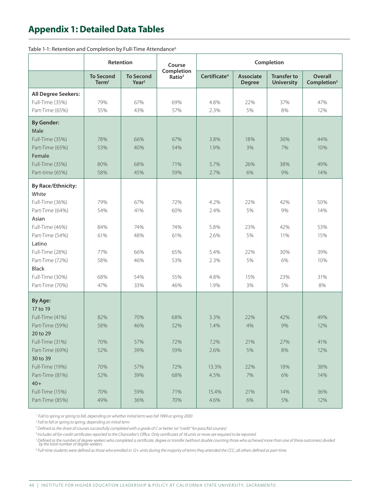# **Appendix 1: Detailed Data Tables**

|                                    | Retention                             |                                       | Course                           |                          |                                   | Completion                              |                                           |
|------------------------------------|---------------------------------------|---------------------------------------|----------------------------------|--------------------------|-----------------------------------|-----------------------------------------|-------------------------------------------|
|                                    | <b>To Second</b><br>Term <sup>1</sup> | <b>To Second</b><br>Year <sup>2</sup> | Completion<br>Ratio <sup>3</sup> | Certificate <sup>4</sup> | <b>Associate</b><br><b>Degree</b> | <b>Transfer to</b><br><b>University</b> | <b>Overall</b><br>Completion <sup>5</sup> |
| All Degree Seekers:                |                                       |                                       |                                  |                          |                                   |                                         |                                           |
| Full-Time (35%)                    | 79%                                   | 67%                                   | 69%                              | 4.8%                     | 22%                               | 37%                                     | 47%                                       |
| Part-Time (65%)                    | 55%                                   | 43%                                   | 57%                              | 2.3%                     | 5%                                | 8%                                      | 12%                                       |
| <b>By Gender:</b>                  |                                       |                                       |                                  |                          |                                   |                                         |                                           |
| Male                               |                                       |                                       |                                  |                          |                                   |                                         |                                           |
| Full-Time (35%)                    | 78%                                   | 66%                                   | 67%                              | 3.8%                     | 18%                               | 36%                                     | 44%                                       |
| Part-Time (65%)                    | 53%                                   | 40%                                   | 54%                              | 1.9%                     | 3%                                | 7%                                      | 10%                                       |
| Female                             |                                       |                                       |                                  |                          |                                   |                                         |                                           |
| Full-Time (35%)                    | 80%                                   | 68%                                   | 71%                              | 5.7%                     | 26%                               | 38%                                     | 49%                                       |
| Part-time (65%)                    | 58%                                   | 45%                                   | 59%                              | 2.7%                     | 6%                                | 9%                                      | 14%                                       |
| <b>By Race/Ethnicity:</b><br>White |                                       |                                       |                                  |                          |                                   |                                         |                                           |
| Full-Time (36%)                    | 79%                                   | 67%                                   | 72%                              | 4.2%                     | 22%                               | 42%                                     | 50%                                       |
| Part-Time (64%)                    | 54%                                   | 41%                                   | 60%                              | 2.4%                     | 5%                                | 9%                                      | 14%                                       |
| Asian                              |                                       |                                       |                                  |                          |                                   |                                         |                                           |
| Full-Time (46%)                    | 84%                                   | 74%                                   | 74%                              | 5.8%                     | 23%                               | 42%                                     | 53%                                       |
| Part-Time (54%)                    | 61%                                   | 48%                                   | 61%                              | 2.6%                     | 5%                                | 11%                                     | 15%                                       |
| Latino                             |                                       |                                       |                                  |                          |                                   |                                         |                                           |
| Full-Time (28%)                    | 77%                                   | 66%                                   | 65%                              | 5.4%                     | 22%                               | 30%                                     | 39%                                       |
| Part-Time (72%)                    | 58%                                   | 46%                                   | 53%                              | 2.3%                     | 5%                                | 6%                                      | 10%                                       |
| <b>Black</b>                       |                                       |                                       |                                  |                          |                                   |                                         | 31%                                       |
| Full-Time (30%)<br>Part-Time (70%) | 68%<br>47%                            | 54%<br>33%                            | 55%<br>46%                       | 4.8%<br>1.9%             | 15%<br>3%                         | 23%<br>5%                               | 8%                                        |
|                                    |                                       |                                       |                                  |                          |                                   |                                         |                                           |
| <b>By Age:</b>                     |                                       |                                       |                                  |                          |                                   |                                         |                                           |
| 17 to 19<br>Full-Time (41%)        | 82%                                   | 70%                                   | 68%                              | 3.3%                     | 22%                               | 42%                                     | 49%                                       |
| Part-Time (59%)                    | 58%                                   | 46%                                   | 52%                              | 1.4%                     | 4%                                | 9%                                      | 12%                                       |
| 20 to 29                           |                                       |                                       |                                  |                          |                                   |                                         |                                           |
| Full-Time (31%)                    | 70%                                   | 57%                                   | 72%                              | 7.2%                     | 21%                               | 27%                                     | 41%                                       |
| Part-Time (69%)                    | 52%                                   | 39%                                   | 59%                              | 2.6%                     | 5%                                | 8%                                      | 12%                                       |
| 30 to 39                           |                                       |                                       |                                  |                          |                                   |                                         |                                           |
| Full-Time (19%)                    | 70%                                   | 57%                                   | 72%                              | 13.3%                    | 22%                               | 18%                                     | 38%                                       |
| Part-Time (81%)                    | 52%                                   | 39%                                   | 68%                              | 4.5%                     | 7%                                | 6%                                      | 14%                                       |
| $40+$                              |                                       |                                       |                                  |                          |                                   |                                         |                                           |
| Full-Time (15%)                    | 70%                                   | 59%                                   | 71%                              | 15.4%                    | 21%                               | 14%                                     | 36%                                       |
| Part-Time (85%)                    | 49%                                   | 36%                                   | 70%                              | 4.6%                     | 6%                                | 5%                                      | 12%                                       |

Table 1-1: Retention and Completion by Full-Time Attendance<sup>6</sup>

*1 Fall to spring or spring to fall, depending on whether initial term was fall 1999 or spring 2000*

*2 Fall to fall or spring to spring, depending on initial term*

*3 Defined as the share of courses successfully completed with a grade of C or better (or "credit" for pass/fail courses)*

*4 Includes all for-credit certificates reported to the Chancellor's Office. Only certificates of 18 units or more are required to be reported.*

<sup>s</sup> Defined as the number of degree-seekers who completed a certificate, degree or transfer (without double counting those who achieved more than one of these outcomes) divided<br>by the total number of degree-seekers.

*6 Full-time students were defined as those who enrolled in 12+ units during the majority of terms they attended the CCC; all others defined as part-time.*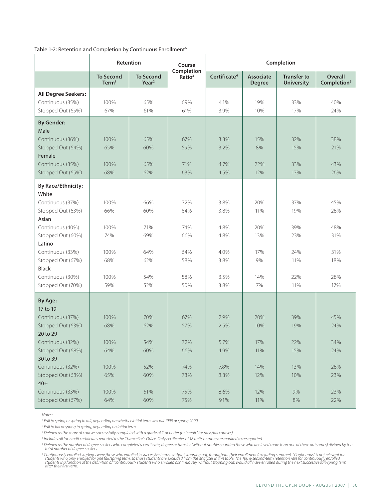| Table 1-2: Retention and Completion by Continuous Enrollment <sup>6</sup> |  |  |  |  |
|---------------------------------------------------------------------------|--|--|--|--|
|---------------------------------------------------------------------------|--|--|--|--|

|                                                                                                                                                                                                                                           |                                                          | <b>Retention</b>                                     | Course                                               |                                                              |                                                      | Completion                                           |                                                      |
|-------------------------------------------------------------------------------------------------------------------------------------------------------------------------------------------------------------------------------------------|----------------------------------------------------------|------------------------------------------------------|------------------------------------------------------|--------------------------------------------------------------|------------------------------------------------------|------------------------------------------------------|------------------------------------------------------|
|                                                                                                                                                                                                                                           | <b>To Second</b><br>Term <sup>1</sup>                    | <b>To Second</b><br>Year <sup>2</sup>                | Completion<br>Ratio <sup>3</sup>                     | Certificate <sup>4</sup>                                     | <b>Associate</b><br><b>Degree</b>                    | <b>Transfer to</b><br><b>University</b>              | <b>Overall</b><br>Completion <sup>5</sup>            |
| All Degree Seekers:<br>Continuous (35%)<br>Stopped Out (65%)                                                                                                                                                                              | 100%<br>67%                                              | 65%<br>61%                                           | 69%<br>61%                                           | 4.1%<br>3.9%                                                 | 19%<br>10%                                           | 33%<br>17%                                           | 40%<br>24%                                           |
| <b>By Gender:</b><br>Male<br>Continuous (36%)<br>Stopped Out (64%)<br>Female<br>Continuous (35%)<br>Stopped Out (65%)                                                                                                                     | 100%<br>65%<br>100%<br>68%                               | 65%<br>60%<br>65%<br>62%                             | 67%<br>59%<br>71%<br>63%                             | 3.3%<br>3.2%<br>4.7%<br>4.5%                                 | 15%<br>8%<br>22%<br>12%                              | 32%<br>15%<br>33%<br>17%                             | 38%<br>21%<br>43%<br>26%                             |
| <b>By Race/Ethnicity:</b><br>White<br>Continuous (37%)<br>Stopped Out (63%)<br>Asian<br>Continuous (40%)<br>Stopped Out (60%)<br>Latino<br>Continuous (33%)<br>Stopped Out (67%)<br><b>Black</b><br>Continuous (30%)<br>Stopped Out (70%) | 100%<br>66%<br>100%<br>74%<br>100%<br>68%<br>100%<br>59% | 66%<br>60%<br>71%<br>69%<br>64%<br>62%<br>54%<br>52% | 72%<br>64%<br>74%<br>66%<br>64%<br>58%<br>58%<br>50% | 3.8%<br>3.8%<br>4.8%<br>4.8%<br>4.0%<br>3.8%<br>3.5%<br>3.8% | 20%<br>11%<br>20%<br>13%<br>17%<br>9%<br>14%<br>7%   | 37%<br>19%<br>39%<br>23%<br>24%<br>11%<br>22%<br>11% | 45%<br>26%<br>48%<br>31%<br>31%<br>18%<br>28%<br>17% |
| <b>By Age:</b><br>17 to 19<br>Continuous (37%)<br>Stopped Out (63%)<br>20 to 29<br>Continuous (32%)<br>Stopped Out (68%)<br>30 to 39<br>Continuous (32%)<br>Stopped Out (68%)<br>$40+$<br>Continuous (33%)<br>Stopped Out (67%)           | 100%<br>68%<br>100%<br>64%<br>100%<br>65%<br>100%<br>64% | 70%<br>62%<br>54%<br>60%<br>52%<br>60%<br>51%<br>60% | 67%<br>57%<br>72%<br>66%<br>74%<br>73%<br>75%<br>75% | 2.9%<br>2.5%<br>5.7%<br>4.9%<br>7.8%<br>8.3%<br>8.6%<br>9.1% | 20%<br>10%<br>17%<br>11%<br>14%<br>12%<br>12%<br>11% | 39%<br>19%<br>22%<br>15%<br>13%<br>10%<br>9%<br>8%   | 45%<br>24%<br>34%<br>24%<br>26%<br>23%<br>23%<br>22% |

*Notes:*

*1 Fall to spring or spring to fall, depending on whether initial term was fall 1999 or spring 2000*

*2 Fall to fall or spring to spring, depending on initial term*

*3 Defined as the share of courses successfully completed with a grade of C or better (or "credit" for pass/fail courses)*

*4 Includes all for-credit certificates reported to the Chancellor's Office. Only certificates of 18 units or more are required to be reported.*

<sup>5</sup> Defined as the number of degree-seekers who completed a certificate, degree or transfer (without double counting those who achieved more than one of these outcomes) divided by the<br>total number of degree-seekers.

<sup>6</sup> Continuously enrolled students were those who enrolled in successive terms, without stopping out, throughout their enrollment (excluding summer). "Continuous" is not relevant for<br>students who only enrolled for one fall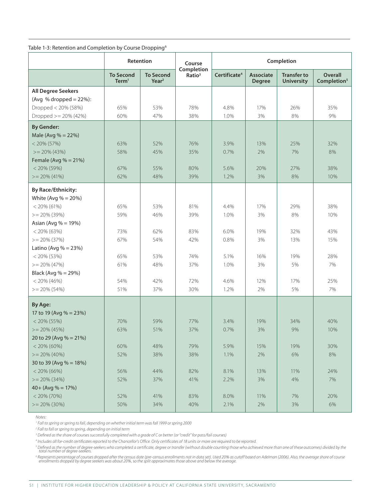| Table 1-3: Retention and Completion by Course Dropping <sup>6</sup> |  |  |
|---------------------------------------------------------------------|--|--|
|---------------------------------------------------------------------|--|--|

|                                                                                | Retention                             |                              | Course                           |                          |                            | Completion                              |                                           |
|--------------------------------------------------------------------------------|---------------------------------------|------------------------------|----------------------------------|--------------------------|----------------------------|-----------------------------------------|-------------------------------------------|
|                                                                                | <b>To Second</b><br>Term <sup>1</sup> | <b>To Second</b><br>$Year^2$ | Completion<br>Ratio <sup>3</sup> | Certificate <sup>4</sup> | Associate<br><b>Degree</b> | <b>Transfer to</b><br><b>University</b> | <b>Overall</b><br>Completion <sup>5</sup> |
| <b>All Degree Seekers</b><br>(Avg % dropped $= 22\%$ ):<br>Dropped < 20% (58%) | 65%                                   | 53%                          | 78%                              | 4.8%                     | 17%                        | 26%                                     | 35%                                       |
| Dropped $> = 20\% (42\%)$                                                      | 60%                                   | 47%                          | 38%                              | 1.0%                     | 3%                         | 8%                                      | 9%                                        |
| <b>By Gender:</b><br>Male (Avg % = 22%)                                        |                                       |                              |                                  |                          |                            |                                         |                                           |
| $< 20\% (57\%)$<br>$>= 20\% (43\%)$<br>Female (Avg $% = 21\%$ )                | 63%<br>58%                            | 52%<br>45%                   | 76%<br>35%                       | 3.9%<br>0.7%             | 13%<br>2%                  | 25%<br>7%                               | 32%<br>8%                                 |
| $< 20\% (59\%)$<br>$>= 20\% (41\%)$                                            | 67%<br>62%                            | 55%<br>48%                   | 80%<br>39%                       | 5.6%<br>1.2%             | 20%<br>3%                  | 27%<br>8%                               | 38%<br>10%                                |
| <b>By Race/Ethnicity:</b>                                                      |                                       |                              |                                  |                          |                            |                                         |                                           |
| White (Avg $% = 20%$ )<br>$<$ 20% (61%)<br>$>= 20\% (39\%)$                    | 65%<br>59%                            | 53%<br>46%                   | 81%<br>39%                       | 4.4%<br>1.0%             | 17%<br>3%                  | 29%<br>8%                               | 38%<br>10%                                |
| Asian (Avg $% = 19\%$ )<br>$< 20\% (63\%)$                                     | 73%                                   | 62%                          | 83%                              | 6.0%                     | 19%                        | 32%                                     | 43%                                       |
| $>= 20\% (37\%)$                                                               | 67%                                   | 54%                          | 42%                              | 0.8%                     | 3%                         | 13%                                     | 15%                                       |
| Latino (Avg $% = 23\%$ )<br>$< 20\% (53\%)$                                    | 65%                                   | 53%                          | 74%                              | 5.1%                     | 16%                        | 19%                                     | 28%                                       |
| $>= 20\% (47\%)$<br>Black (Avg % = 29%)                                        | 61%                                   | 48%                          | 37%                              | 1.0%                     | 3%                         | 5%                                      | 7%                                        |
| $< 20\% (46\%)$<br>$>= 20\% (54\%)$                                            | 54%<br>51%                            | 42%<br>37%                   | 72%<br>30%                       | 4.6%<br>1.2%             | 12%<br>2%                  | 17%<br>5%                               | 25%<br>7%                                 |
| By Age:                                                                        |                                       |                              |                                  |                          |                            |                                         |                                           |
| 17 to 19 (Avg % = 23%)<br>$< 20\% (55\%)$                                      | 70%                                   | 59%                          | 77%                              | 3.4%                     | 19%                        | 34%                                     | 40%                                       |
| $>= 20\% (45\%)$<br>20 to 29 (Avg % = 21%)                                     | 63%                                   | 51%                          | 37%                              | 0.7%                     | 3%                         | 9%                                      | 10%                                       |
| $< 20\% (60\%)$<br>$>= 20\% (40\%)$                                            | 60%<br>52%                            | 48%<br>38%                   | 79%<br>38%                       | 5.9%<br>1.1%             | 15%<br>2%                  | 19%<br>6%                               | 30%<br>8%                                 |
| 30 to 39 (Avg $% = 18\%$ )                                                     |                                       | 44%                          |                                  |                          |                            |                                         |                                           |
| $<$ 20% (66%)<br>$>= 20\% (34\%)$                                              | 56%<br>52%                            | 37%                          | 82%<br>41%                       | 8.1%<br>2.2%             | 13%<br>3%                  | 11%<br>4%                               | 24%<br>7%                                 |
| $40 + (Avg % = 17%)$<br>$< 20\% (70\%)$                                        | 52%                                   | 41%                          | 83%                              | 8.0%                     | 11%                        | 7%                                      | 20%                                       |
| $>= 20\% (30\%)$                                                               | 50%                                   | 34%                          | 40%                              | 2.1%                     | 2%                         | 3%                                      | 6%                                        |

*Notes:*

*1 Fall to spring or spring to fall, depending on whether initial term was fall 1999 or spring 2000*

*2 Fall to fall or spring to spring, depending on initial term*

*3 Defined as the share of courses successfully completed with a grade of C or better (or "credit" for pass/fail courses)*

*4 Includes all for-credit certificates reported to the Chancellor's Office. Only certificates of 18 units or more are required to be reported.*

<sup>s</sup> Defined as the number of degree-seekers who completed a certificate, degree or transfer (without double counting those who achieved more than one of these outcomes) divided by the<br>total number of degree-seekers.

<sup>6</sup> Represents percentage of courses dropped after the census date (pre-census enrollments not in data set). Used 20% as cutoff based on Adelman (2006). Also, the average share of course<br>enrollments dropped by degree seeke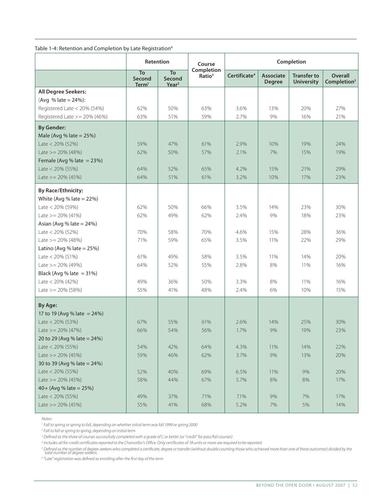Table 1-4: Retention and Completion by Late Registration<sup>6</sup>

|                                                       | Retention                         |                                   | Course                           | Completion               |                                   |                                         |                                    |
|-------------------------------------------------------|-----------------------------------|-----------------------------------|----------------------------------|--------------------------|-----------------------------------|-----------------------------------------|------------------------------------|
|                                                       | To<br>Second<br>Term <sup>1</sup> | To<br>Second<br>Year <sup>2</sup> | Completion<br>Ratio <sup>3</sup> | Certificate <sup>4</sup> | <b>Associate</b><br><b>Degree</b> | <b>Transfer to</b><br><b>University</b> | Overall<br>Completion <sup>5</sup> |
| All Degree Seekers:                                   |                                   |                                   |                                  |                          |                                   |                                         |                                    |
| (Avg % late = $24\%$ ):                               |                                   |                                   |                                  |                          |                                   |                                         |                                    |
| Registered Late < 20% (54%)                           | 62%                               | 50%                               | 63%                              | 3.6%                     | 13%                               | 20%                                     | 27%                                |
| Registered Late $>=$ 20% (46%)                        | 63%                               | 51%                               | 59%                              | 2.7%                     | 9%                                | 16%                                     | 21%                                |
| <b>By Gender:</b>                                     |                                   |                                   |                                  |                          |                                   |                                         |                                    |
| Male (Avg % late $= 25\%$ )                           |                                   |                                   |                                  |                          |                                   |                                         |                                    |
| Late $<$ 20% (52%)                                    | 59%                               | 47%                               | 61%                              | 2.9%                     | 10%                               | 19%                                     | 24%                                |
| Late $>= 20\% (48\%)$                                 | 62%                               | 50%                               | 57%                              | 2.1%                     | 7%                                | 15%                                     | 19%                                |
| Female (Avg % late $=$ 23%)                           |                                   |                                   |                                  |                          |                                   |                                         |                                    |
| Late < $20\%$ (55%)                                   | 64%                               | 52%                               | 65%                              | 4.2%                     | 15%                               | 21%                                     | 29%                                |
| Late $>= 20\% (45\%)$                                 | 64%                               | 51%                               | 61%                              | 3.2%                     | 10%                               | 17%                                     | 23%                                |
| By Race/Ethnicity:                                    |                                   |                                   |                                  |                          |                                   |                                         |                                    |
| White (Avg % late $= 22\%$ )                          |                                   |                                   |                                  |                          |                                   |                                         |                                    |
| Late < $20\%$ (59%)                                   | 62%                               | 50%                               | 66%                              | 3.5%                     | 14%                               | 23%                                     | 30%                                |
| Late $>= 20\% (41\%)$                                 | 62%                               | 49%                               | 62%                              | 2.4%                     | 9%                                | 18%                                     | 23%                                |
| Asian (Avg % late $= 24\%$ )                          |                                   |                                   |                                  |                          |                                   |                                         |                                    |
| Late < $20\%$ (52%)                                   | 70%                               | 58%                               | 70%                              | 4.6%                     | 15%                               | 28%                                     | 36%                                |
| Late $>= 20\% (48\%)$                                 | 71%                               | 59%                               | 65%                              | 3.5%                     | 11%                               | 22%                                     | 29%                                |
| Latino (Avg % late $= 25\%$ )                         |                                   |                                   |                                  |                          |                                   |                                         |                                    |
| Late < $20\%$ (51%)                                   | 61%                               | 49%                               | 58%                              | 3.5%                     | 11%                               | 14%                                     | 20%                                |
| Late $>= 20\% (49\%)$                                 | 64%                               | 52%                               | 55%                              | 2.8%                     | 8%                                | 11%                                     | 16%                                |
| Black (Avg % late $=$ 31%)                            |                                   |                                   |                                  |                          |                                   |                                         |                                    |
| Late < $20\%$ (42%)                                   | 49%                               | 36%                               | 50%                              | 3.3%                     | 8%                                | 11%                                     | 16%                                |
| Late $>= 20\% (58\%)$                                 | 55%                               | 41%                               | 48%                              | 2.4%                     | 6%                                | 10%                                     | 15%                                |
| By Age:                                               |                                   |                                   |                                  |                          |                                   |                                         |                                    |
|                                                       |                                   |                                   |                                  |                          |                                   |                                         |                                    |
| 17 to 19 (Avg % late = $24\%$ )<br>Late $<$ 20% (53%) | 67%                               | 55%                               | 61%                              | 2.6%                     | 14%                               | 25%                                     | 30%                                |
| Late $>= 20\% (47\%)$                                 | 66%                               | 54%                               | 56%                              | 1.7%                     | 9%                                | 19%                                     | 23%                                |
| 20 to 29 (Avg % late = 24%)                           |                                   |                                   |                                  |                          |                                   |                                         |                                    |
|                                                       | 54%                               | 42%                               |                                  |                          |                                   | 14%                                     |                                    |
| Late < $20\%$ (55%)                                   |                                   |                                   | 64%                              | 4.3%                     | 11%                               |                                         | 22%                                |
| Late $>= 20\% (45\%)$                                 | 59%                               | 46%                               | 62%                              | 3.7%                     | 9%                                | 13%                                     | 20%                                |
| 30 to 39 (Avg % late = 24%)                           |                                   |                                   |                                  |                          |                                   |                                         |                                    |
| Late $<$ 20% (55%)<br>Late $>= 20\% (45\%)$           | 52%                               | 40%<br>44%                        | 69%                              | 6.5%                     | 11%                               | 9%<br>8%                                | 20%<br>17%                         |
|                                                       | 58%                               |                                   | 67%                              | 5.7%                     | 8%                                |                                         |                                    |
| $40 + (Avg % late = 25%)$                             |                                   |                                   |                                  |                          |                                   |                                         |                                    |
| Late $<$ 20% (55%)                                    | 49%                               | 37%                               | 71%                              | 7.1%                     | 9%                                | 7%                                      | 17%                                |
| Late $>= 20\% (45\%)$                                 | 55%                               | 41%                               | 68%                              | 5.2%                     | 7%                                | 5%                                      | 14%                                |

*Notes:*

*1 Fall to spring or spring to fall, depending on whether initial term was fall 1999 or spring 2000*

*2 Fall to fall or spring to spring, depending on initial term*

*3 Defined as the share of courses successfully completed with a grade of C or better (or "credit" for pass/fail courses)*

*4 Includes all for-credit certificates reported to the Chancellor's Office. Only certificates of 18 units or more are required to be reported.*

<sup>5</sup> Defined as the number of degree-seekers who completed a certificate, degree or transfer (without double counting those who achieved more than one of these outcomes) divided by the<br>total number of degree-seekers.

*6 "Late" registration was defined as enrolling after the first day of the term*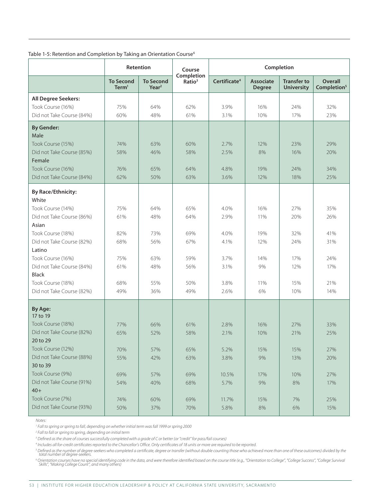|                            |                                       | Retention                             | Course                           |                          |                                   | Completion                              |                                    |
|----------------------------|---------------------------------------|---------------------------------------|----------------------------------|--------------------------|-----------------------------------|-----------------------------------------|------------------------------------|
|                            | <b>To Second</b><br>Term <sup>1</sup> | <b>To Second</b><br>Year <sup>2</sup> | Completion<br>Ratio <sup>3</sup> | Certificate <sup>4</sup> | <b>Associate</b><br><b>Degree</b> | <b>Transfer to</b><br><b>University</b> | Overall<br>Completion <sup>5</sup> |
| <b>All Degree Seekers:</b> |                                       |                                       |                                  |                          |                                   |                                         |                                    |
| Took Course (16%)          | 75%                                   | 64%                                   | 62%                              | 3.9%                     | 16%                               | 24%                                     | 32%                                |
| Did not Take Course (84%)  | 60%                                   | 48%                                   | 61%                              | 3.1%                     | 10%                               | 17%                                     | 23%                                |
| <b>By Gender:</b>          |                                       |                                       |                                  |                          |                                   |                                         |                                    |
| Male                       |                                       |                                       |                                  |                          |                                   |                                         |                                    |
| Took Course (15%)          | 74%                                   | 63%                                   | 60%                              | 2.7%                     | 12%                               | 23%                                     | 29%                                |
| Did not Take Course (85%)  | 58%                                   | 46%                                   | 58%                              | 2.5%                     | 8%                                | 16%                                     | 20%                                |
| Female                     |                                       |                                       |                                  |                          |                                   |                                         |                                    |
| Took Course (16%)          | 76%                                   | 65%                                   | 64%                              | 4.8%                     | 19%                               | 24%                                     | 34%                                |
| Did not Take Course (84%)  | 62%                                   | 50%                                   | 63%                              | 3.6%                     | 12%                               | 18%                                     | 25%                                |
| <b>By Race/Ethnicity:</b>  |                                       |                                       |                                  |                          |                                   |                                         |                                    |
| White                      |                                       |                                       |                                  |                          |                                   |                                         |                                    |
| Took Course (14%)          | 75%                                   | 64%                                   | 65%                              | 4.0%                     | 16%                               | 27%                                     | 35%                                |
| Did not Take Course (86%)  | 61%                                   | 48%                                   | 64%                              | 2.9%                     | 11%                               | 20%                                     | 26%                                |
| Asian                      |                                       |                                       |                                  |                          |                                   |                                         |                                    |
| Took Course (18%)          | 82%                                   | 73%                                   | 69%                              | 4.0%                     | 19%                               | 32%                                     | 41%                                |
| Did not Take Course (82%)  | 68%                                   | 56%                                   | 67%                              | 4.1%                     | 12%                               | 24%                                     | 31%                                |
| Latino                     |                                       |                                       |                                  |                          |                                   |                                         |                                    |
| Took Course (16%)          | 75%                                   | 63%                                   | 59%                              | 3.7%                     | 14%                               | 17%                                     | 24%                                |
| Did not Take Course (84%)  | 61%                                   | 48%                                   | 56%                              | 3.1%                     | 9%                                | 12%                                     | 17%                                |
| <b>Black</b>               |                                       |                                       |                                  |                          |                                   |                                         |                                    |
| Took Course (18%)          | 68%                                   | 55%                                   | 50%                              | 3.8%                     | 11%                               | 15%                                     | 21%                                |
| Did not Take Course (82%)  | 49%                                   | 36%                                   | 49%                              | 2.6%                     | 6%                                | 10%                                     | 14%                                |
| By Age:<br>17 to 19        |                                       |                                       |                                  |                          |                                   |                                         |                                    |
| Took Course (18%)          | 77%                                   | 66%                                   | 61%                              | 2.8%                     | 16%                               | 27%                                     | 33%                                |
| Did not Take Course (82%)  | 65%                                   | 52%                                   | 58%                              | 2.1%                     | 10%                               | 21%                                     | 25%                                |
| 20 to 29                   |                                       |                                       |                                  |                          |                                   |                                         |                                    |
| Took Course (12%)          | 70%                                   | 57%                                   | 65%                              | 5.2%                     | 15%                               | 15%                                     | 27%                                |
| Did not Take Course (88%)  | 55%                                   | 42%                                   | 63%                              | 3.8%                     | 9%                                | 13%                                     | 20%                                |
| 30 to 39                   |                                       |                                       |                                  |                          |                                   |                                         |                                    |
| Took Course (9%)           | 69%                                   | 57%                                   | 69%                              | 10.5%                    | 17%                               | 10%                                     | 27%                                |
| Did not Take Course (91%)  | 54%                                   | 40%                                   | 68%                              | 5.7%                     | 9%                                | 8%                                      | 17%                                |
| $40+$                      |                                       |                                       |                                  |                          |                                   |                                         |                                    |
| Took Course (7%)           | 74%                                   | 60%                                   | 69%                              | 11.7%                    | 15%                               | 7%                                      | 25%                                |
| Did not Take Course (93%)  | 50%                                   | 37%                                   | 70%                              | 5.8%                     | 8%                                | 6%                                      | 15%                                |

#### Table 1-5: Retention and Completion by Taking an Orientation Course<sup>6</sup>

*Notes:*

*1 Fall to spring or spring to fall, depending on whether initial term was fall 1999 or spring 2000*

*2 Fall to fall or spring to spring, depending on initial term*

*3 Defined as the share of courses successfully completed with a grade of C or better (or "credit" for pass/fail courses)*

*4 Includes all for-credit certificates reported to the Chancellor's Office. Only certificates of 18 units or more are required to be reported.*

<sup>s</sup> Defined as the number of degree-seekers who completed a certificate, degree or transfer (without double counting those who achieved more than one of these outcomes) divided by the<br>total number of degree-seekers.

<sup>6</sup> Orientation courses have no special identifying code in the data, and were therefore identified based on the course title (e.g., "Orientation to College", "College Success", "College Survival<br>Skills", "Making College C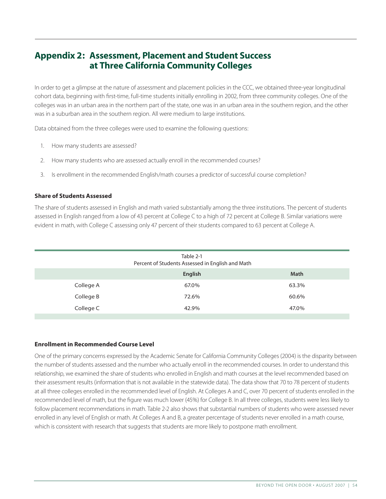## **Appendix 2: Assessment, Placement and Student Success at Three California Community Colleges**

In order to get a glimpse at the nature of assessment and placement policies in the CCC, we obtained three-year longitudinal cohort data, beginning with first-time, full-time students initially enrolling in 2002, from three community colleges. One of the colleges was in an urban area in the northern part of the state, one was in an urban area in the southern region, and the other was in a suburban area in the southern region. All were medium to large institutions.

Data obtained from the three colleges were used to examine the following questions:

- 1. How many students are assessed?
- 2. How many students who are assessed actually enroll in the recommended courses?
- 3. Is enrollment in the recommended English/math courses a predictor of successful course completion?

#### **Share of Students Assessed**

The share of students assessed in English and math varied substantially among the three institutions. The percent of students assessed in English ranged from a low of 43 percent at College C to a high of 72 percent at College B. Similar variations were evident in math, with College C assessing only 47 percent of their students compared to 63 percent at College A.

|           | Table 2-1<br>Percent of Students Assessed in English and Math |             |
|-----------|---------------------------------------------------------------|-------------|
|           | English                                                       | <b>Math</b> |
| College A | 67.0%                                                         | 63.3%       |
| College B | 72.6%                                                         | 60.6%       |
| College C | 42.9%                                                         | 47.0%       |

#### **Enrollment in Recommended Course Level**

One of the primary concerns expressed by the Academic Senate for California Community Colleges (2004) is the disparity between the number of students assessed and the number who actually enroll in the recommended courses. In order to understand this relationship, we examined the share of students who enrolled in English and math courses at the level recommended based on their assessment results (information that is not available in the statewide data). The data show that 70 to 78 percent of students at all three colleges enrolled in the recommended level of English. At Colleges A and C, over 70 percent of students enrolled in the recommended level of math, but the figure was much lower (45%) for College B. In all three colleges, students were less likely to follow placement recommendations in math. Table 2-2 also shows that substantial numbers of students who were assessed never enrolled in any level of English or math. At Colleges A and B, a greater percentage of students never enrolled in a math course, which is consistent with research that suggests that students are more likely to postpone math enrollment.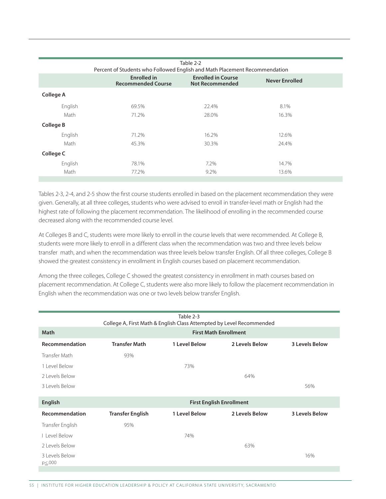|           |                                                                            | Table 2-2                                           |                       |
|-----------|----------------------------------------------------------------------------|-----------------------------------------------------|-----------------------|
|           | Percent of Students who Followed English and Math Placement Recommendation |                                                     |                       |
|           | Enrolled in<br><b>Recommended Course</b>                                   | <b>Enrolled in Course</b><br><b>Not Recommended</b> | <b>Never Enrolled</b> |
| College A |                                                                            |                                                     |                       |
| English   | 69.5%                                                                      | 22.4%                                               | 8.1%                  |
| Math      | 71.2%                                                                      | 28.0%                                               | 16.3%                 |
| College B |                                                                            |                                                     |                       |
| English   | 71.2%                                                                      | 16.2%                                               | 12.6%                 |
| Math      | 45.3%                                                                      | 30.3%                                               | 24.4%                 |
| College C |                                                                            |                                                     |                       |
| English   | 78.1%                                                                      | 7.2%                                                | 14.7%                 |
| Math      | 77.2%                                                                      | 9.2%                                                | 13.6%                 |
|           |                                                                            |                                                     |                       |

Tables 2-3, 2-4, and 2-5 show the first course students enrolled in based on the placement recommendation they were given. Generally, at all three colleges, students who were advised to enroll in transfer-level math or English had the highest rate of following the placement recommendation. The likelihood of enrolling in the recommended course decreased along with the recommended course level.

At Colleges B and C, students were more likely to enroll in the course levels that were recommended. At College B, students were more likely to enroll in a different class when the recommendation was two and three levels below transfer math, and when the recommendation was three levels below transfer English. Of all three colleges, College B showed the greatest consistency in enrollment in English courses based on placement recommendation.

Among the three colleges, College C showed the greatest consistency in enrollment in math courses based on placement recommendation. At College C, students were also more likely to follow the placement recommendation in English when the recommendation was one or two levels below transfer English.

|                                 |                         | Table 2-3<br>College A, First Math & English Class Attempted by Level Recommended |                                 |                       |  |  |  |  |
|---------------------------------|-------------------------|-----------------------------------------------------------------------------------|---------------------------------|-----------------------|--|--|--|--|
| Math                            |                         | <b>First Math Enrollment</b>                                                      |                                 |                       |  |  |  |  |
| Recommendation                  | <b>Transfer Math</b>    | 1 Level Below                                                                     | 2 Levels Below                  | <b>3 Levels Below</b> |  |  |  |  |
| Transfer Math                   | 93%                     |                                                                                   |                                 |                       |  |  |  |  |
| 1 Level Below                   |                         | 73%                                                                               |                                 |                       |  |  |  |  |
| 2 Levels Below                  |                         |                                                                                   | 64%                             |                       |  |  |  |  |
| 3 Levels Below                  |                         |                                                                                   |                                 | 56%                   |  |  |  |  |
|                                 |                         |                                                                                   |                                 |                       |  |  |  |  |
| <b>English</b>                  |                         |                                                                                   | <b>First English Enrollment</b> |                       |  |  |  |  |
| Recommendation                  | <b>Transfer English</b> | 1 Level Below                                                                     | 2 Levels Below                  | <b>3 Levels Below</b> |  |  |  |  |
| Transfer English                | 95%                     |                                                                                   |                                 |                       |  |  |  |  |
| Level Below                     |                         | 74%                                                                               |                                 |                       |  |  |  |  |
| 2 Levels Below                  |                         |                                                                                   | 63%                             |                       |  |  |  |  |
| 3 Levels Below<br>$p \leq .000$ |                         |                                                                                   |                                 | 16%                   |  |  |  |  |
|                                 |                         |                                                                                   |                                 |                       |  |  |  |  |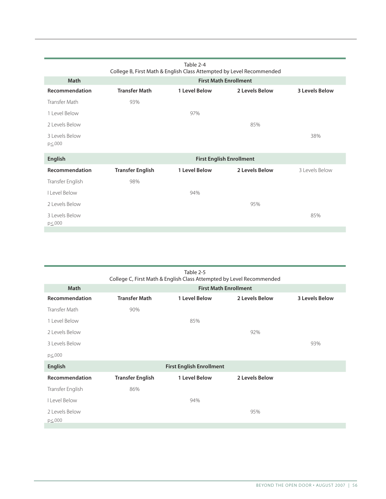|                          |                         | College B, First Math & English Class Attempted by Level Recommended |                                 |                       |
|--------------------------|-------------------------|----------------------------------------------------------------------|---------------------------------|-----------------------|
| <b>Math</b>              |                         |                                                                      | <b>First Math Enrollment</b>    |                       |
| Recommendation           | <b>Transfer Math</b>    | 1 Level Below                                                        | 2 Levels Below                  | <b>3 Levels Below</b> |
| Transfer Math            | 93%                     |                                                                      |                                 |                       |
| 1 Level Below            |                         | 97%                                                                  |                                 |                       |
| 2 Levels Below           |                         |                                                                      | 85%                             |                       |
| 3 Levels Below<br>p≤.000 |                         |                                                                      |                                 | 38%                   |
|                          |                         |                                                                      |                                 |                       |
| <b>English</b>           |                         |                                                                      | <b>First English Enrollment</b> |                       |
| Recommendation           | <b>Transfer English</b> | 1 Level Below                                                        | 2 Levels Below                  | 3 Levels Below        |
| Transfer English         | 98%                     |                                                                      |                                 |                       |
| I Level Below            |                         | 94%                                                                  |                                 |                       |
| 2 Levels Below           |                         |                                                                      | 95%                             |                       |
| 3 Levels Below<br>p≤.000 |                         |                                                                      |                                 | 85%                   |

| Table 2-5<br>College C, First Math & English Class Attempted by Level Recommended |                              |                                 |                |                       |  |  |  |  |
|-----------------------------------------------------------------------------------|------------------------------|---------------------------------|----------------|-----------------------|--|--|--|--|
| <b>Math</b>                                                                       | <b>First Math Enrollment</b> |                                 |                |                       |  |  |  |  |
| Recommendation                                                                    | <b>Transfer Math</b>         | 1 Level Below                   | 2 Levels Below | <b>3 Levels Below</b> |  |  |  |  |
| Transfer Math                                                                     | 90%                          |                                 |                |                       |  |  |  |  |
| 1 Level Below                                                                     |                              | 85%                             |                |                       |  |  |  |  |
| 2 Levels Below                                                                    |                              |                                 | 92%            |                       |  |  |  |  |
| 3 Levels Below                                                                    |                              |                                 |                | 93%                   |  |  |  |  |
| $p\leq 000$                                                                       |                              |                                 |                |                       |  |  |  |  |
| <b>English</b>                                                                    |                              | <b>First English Enrollment</b> |                |                       |  |  |  |  |
| Recommendation                                                                    | <b>Transfer English</b>      | 1 Level Below                   | 2 Levels Below |                       |  |  |  |  |
| Transfer English                                                                  | 86%                          |                                 |                |                       |  |  |  |  |
| I Level Below                                                                     |                              | 94%                             |                |                       |  |  |  |  |
| 2 Levels Below<br>$p\leq 000$                                                     |                              |                                 | 95%            |                       |  |  |  |  |
|                                                                                   |                              |                                 |                |                       |  |  |  |  |

Table 2-4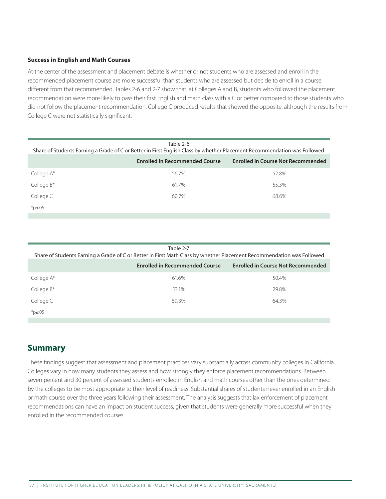#### **Success in English and Math Courses**

At the center of the assessment and placement debate is whether or not students who are assessed and enroll in the recommended placement course are more successful than students who are assessed but decide to enroll in a course different from that recommended. Tables 2-6 and 2-7 show that, at Colleges A and B, students who followed the placement recommendation were more likely to pass their first English and math class with a C or better compared to those students who did not follow the placement recommendation. College C produced results that showed the opposite, although the results from College C were not statistically significant.

| Table 2-6<br>Share of Students Earning a Grade of C or Better in First English Class by whether Placement Recommendation was Followed |                                       |                                           |  |  |  |  |  |
|---------------------------------------------------------------------------------------------------------------------------------------|---------------------------------------|-------------------------------------------|--|--|--|--|--|
|                                                                                                                                       | <b>Enrolled in Recommended Course</b> | <b>Enrolled in Course Not Recommended</b> |  |  |  |  |  |
| College A*                                                                                                                            | 56.7%                                 | 52.8%                                     |  |  |  |  |  |
| College $B^*$                                                                                                                         | 61.7%                                 | 55.3%                                     |  |  |  |  |  |
| College C                                                                                                                             | 60.7%                                 | 68.6%                                     |  |  |  |  |  |
| $*$ p≤.05                                                                                                                             |                                       |                                           |  |  |  |  |  |

| Table 2-7<br>Share of Students Earning a Grade of C or Better in First Math Class by whether Placement Recommendation was Followed |                                       |                                           |  |  |  |  |  |
|------------------------------------------------------------------------------------------------------------------------------------|---------------------------------------|-------------------------------------------|--|--|--|--|--|
|                                                                                                                                    | <b>Enrolled in Recommended Course</b> | <b>Enrolled in Course Not Recommended</b> |  |  |  |  |  |
| College A*                                                                                                                         | 61.6%                                 | 50.4%                                     |  |  |  |  |  |
| College $B^*$                                                                                                                      | 53.1%                                 | 29.8%                                     |  |  |  |  |  |
| College C                                                                                                                          | 59.3%                                 | 64.3%                                     |  |  |  |  |  |
| $*$ p≤.05                                                                                                                          |                                       |                                           |  |  |  |  |  |

### **Summary**

These findings suggest that assessment and placement practices vary substantially across community colleges in California. Colleges vary in how many students they assess and how strongly they enforce placement recommendations. Between seven percent and 30 percent of assessed students enrolled in English and math courses other than the ones determined by the colleges to be most appropriate to their level of readiness. Substantial shares of students never enrolled in an English or math course over the three years following their assessment. The analysis suggests that lax enforcement of placement recommendations can have an impact on student success, given that students were generally more successful when they enrolled in the recommended courses.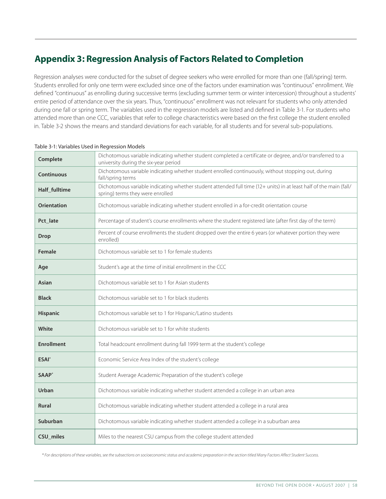## **Appendix 3: Regression Analysis of Factors Related to Completion**

Regression analyses were conducted for the subset of degree seekers who were enrolled for more than one (fall/spring) term. Students enrolled for only one term were excluded since one of the factors under examination was "continuous" enrollment. We defined "continuous" as enrolling during successive terms (excluding summer term or winter intercession) throughout a students' entire period of attendance over the six years. Thus, "continuous" enrollment was not relevant for students who only attended during one fall or spring term. The variables used in the regression models are listed and defined in Table 3-1. For students who attended more than one CCC, variables that refer to college characteristics were based on the first college the student enrolled in. Table 3-2 shows the means and standard deviations for each variable, for all students and for several sub-populations.

| Complete           | Dichotomous variable indicating whether student completed a certificate or degree, and/or transferred to a<br>university during the six-year period    |
|--------------------|--------------------------------------------------------------------------------------------------------------------------------------------------------|
| <b>Continuous</b>  | Dichotomous variable indicating whether student enrolled continuously, without stopping out, during<br>fall/spring terms                               |
| Half_fulltime      | Dichotomous variable indicating whether student attended full time (12+ units) in at least half of the main (fall/<br>spring) terms they were enrolled |
| <b>Orientation</b> | Dichotomous variable indicating whether student enrolled in a for-credit orientation course                                                            |
| Pct_late           | Percentage of student's course enrollments where the student registered late (after first day of the term)                                             |
| <b>Drop</b>        | Percent of course enrollments the student dropped over the entire 6 years (or whatever portion they were<br>enrolled)                                  |
| Female             | Dichotomous variable set to 1 for female students                                                                                                      |
| Age                | Student's age at the time of initial enrollment in the CCC                                                                                             |
| <b>Asian</b>       | Dichotomous variable set to 1 for Asian students                                                                                                       |
| <b>Black</b>       | Dichotomous variable set to 1 for black students                                                                                                       |
| Hispanic           | Dichotomous variable set to 1 for Hispanic/Latino students                                                                                             |
| White              | Dichotomous variable set to 1 for white students                                                                                                       |
| <b>Enrollment</b>  | Total headcount enrollment during fall 1999 term at the student's college                                                                              |
| ESAI <sup>*</sup>  | Economic Service Area Index of the student's college                                                                                                   |
| SAAP <sup>*</sup>  | Student Average Academic Preparation of the student's college                                                                                          |
| Urban              | Dichotomous variable indicating whether student attended a college in an urban area                                                                    |
| <b>Rural</b>       | Dichotomous variable indicating whether student attended a college in a rural area                                                                     |
| Suburban           | Dichotomous variable indicating whether student attended a college in a suburban area                                                                  |
| CSU miles          | Miles to the nearest CSU campus from the college student attended                                                                                      |

Table 3-1: Variables Used in Regression Models

*\* For descriptions of these variables, see the subsections on socioeconomic status and academic preparation in the section titled Many Factors Affect Student Success.*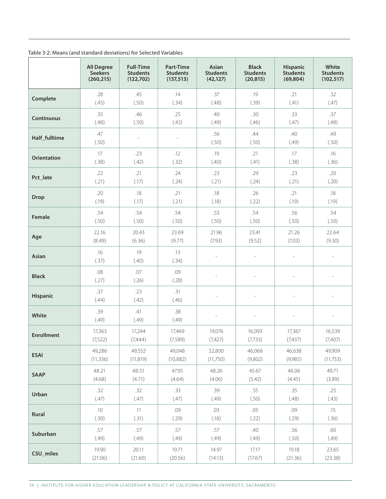| Table 3-2: Means (and standard deviations) for Selected Variables |  |  |  |  |
|-------------------------------------------------------------------|--|--|--|--|
|-------------------------------------------------------------------|--|--|--|--|

|                    | <b>All Degree</b> | <b>Full-Time</b> | <b>Part-Time</b> | Asian                    | <b>Black</b>    | <b>Hispanic</b>          | White           |
|--------------------|-------------------|------------------|------------------|--------------------------|-----------------|--------------------------|-----------------|
|                    | <b>Seekers</b>    | <b>Students</b>  | <b>Students</b>  | <b>Students</b>          | <b>Students</b> | <b>Students</b>          | <b>Students</b> |
|                    | (260, 215)        | (122, 702)       | (137, 513)       | (42, 127)                | (20, 815)       | (69, 804)                | (102, 517)      |
| Complete           | .28               | .45              | .14              | .37                      | .19             | .21                      | .32             |
|                    | (.45)             | (.50)            | (.34)            | (.48)                    | (.39)           | (.41)                    | (.47)           |
| Continuous         | .35               | .46              | .25              | .40                      | .30             | .33                      | .37             |
|                    | (.48)             | (.50)            | (.43)            | (.49)                    | (.46)           | (.47)                    | (.48)           |
| Half_fulltime      | .47<br>(.50)      |                  |                  | .56<br>(.50)             | .44<br>(.50)    | .40<br>(.49)             | .49<br>(.50)    |
| <b>Orientation</b> | .17               | .23              | .12              | .19                      | .21             | .17                      | .16             |
|                    | (.38)             | (.42)            | (.32)            | (.40)                    | (.41)           | (.38)                    | (.36)           |
| Pct_late           | .22               | .21              | .24              | .23                      | .29             | .23                      | .20             |
|                    | (.21)             | (.17)            | (.24)            | (.21)                    | (.24)           | (.21)                    | (.20)           |
| <b>Drop</b>        | .20               | .18              | .21              | .18                      | .26             | .21                      | .18             |
|                    | (.19)             | (.17)            | (.21)            | (.18)                    | (.22)           | (.19)                    | (.19)           |
| Female             | .54               | .54              | .54              | .53                      | .54             | .56                      | .54             |
|                    | (.50)             | (.50)            | (.50)            | (.50)                    | (.50)           | (.50)                    | (.50)           |
| Age                | 22.16             | 20.43            | 23.69            | 21.96                    | 23.41           | 21.26                    | 22.64           |
|                    | (8.49)            | (6.36)           | (9.77)           | (7.93)                   | (9.52)          | (7.03)                   | (9.30)          |
| Asian              | .16<br>(.37)      | .19<br>(.40)     | .13<br>(.34)     | $\overline{\phantom{a}}$ | $\overline{a}$  | $\overline{\phantom{a}}$ | $\overline{a}$  |
| <b>Black</b>       | .08<br>(.27)      | .07<br>(.26)     | .09<br>(.28)     |                          |                 |                          |                 |
| Hispanic           | .37<br>(.44)      | .23<br>(.42)     | .31<br>(.46)     |                          |                 |                          |                 |
| White              | .39<br>(.49)      | .41<br>(.49)     | .38<br>(.49)     |                          |                 |                          |                 |
| <b>Enrollment</b>  | 17,363            | 17,244           | 17,469           | 19,076                   | 16,093          | 17,367                   | 16,539          |
|                    | (7,522)           | (7, 444)         | (7,589)          | (7, 427)                 | (7, 733)        | (7, 437)                 | (7,407)         |
| <b>ESAI</b>        | 49,286            | 49,552           | 49.048           | 52,800                   | 46,068          | 46,638                   | 49,909          |
|                    | (11, 336)         | (11, 819)        | (10, 882)        | (11,750)                 | (9,802)         | (9,985)                  | (11, 753)       |
| <b>SAAP</b>        | 48.21             | 48.51            | 47.95            | 48.26                    | 45.67           | 46.06                    | 49.71           |
|                    | (4.68)            | (4.71)           | (4.64)           | (4.06)                   | (5.42)          | (4.45)                   | (3.89)          |
| Urban              | .32               | .32              | .33              | .39                      | .55             | .35                      | .25             |
|                    | (.47)             | (.47)            | (.47)            | (.49)                    | (.50)           | (.48)                    | (.43)           |
| Rural              | .10               | .11              | .09              | .03                      | .05             | .09                      | .15             |
|                    | (.30)             | (.31)            | (.29)            | (.18)                    | (.22)           | (.29)                    | (.36)           |
| Suburban           | .57               | .57              | .57              | .57                      | .40             | .56                      | .60             |
|                    | (.49)             | (.49)            | (.49)            | (.49)                    | (.49)           | (.50)                    | (.49)           |
| CSU_miles          | 19.90             | 20.11            | 19.71            | 14.97                    | 17.17           | 19.18                    | 23.65           |
|                    | (21.06)           | (21.60)          | (20.56)          | (14.13)                  | (17.67)         | (21.36)                  | (23.38)         |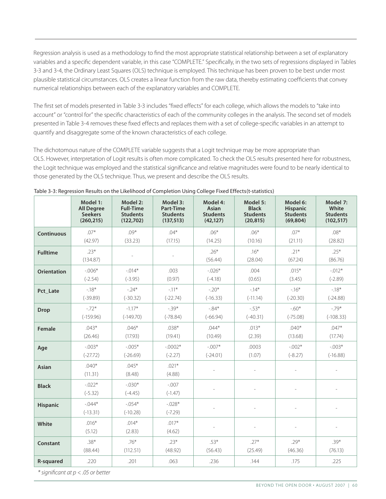Regression analysis is used as a methodology to find the most appropriate statistical relationship between a set of explanatory variables and a specific dependent variable, in this case "COMPLETE." Specifically, in the two sets of regressions displayed in Tables 3-3 and 3-4, the Ordinary Least Squares (OLS) technique is employed. This technique has been proven to be best under most plausible statistical circumstances. OLS creates a linear function from the raw data, thereby estimating coefficients that convey numerical relationships between each of the explanatory variables and COMPLETE.

The first set of models presented in Table 3-3 includes "fixed effects" for each college, which allows the models to "take into account" or "control for" the specific characteristics of each of the community colleges in the analysis. The second set of models presented in Table 3-4 removes these fixed effects and replaces them with a set of college-specific variables in an attempt to quantify and disaggregate some of the known characteristics of each college.

The dichotomous nature of the COMPLETE variable suggests that a Logit technique may be more appropriate than OLS. However, interpretation of Logit results is often more complicated. To check the OLS results presented here for robustness, the Logit technique was employed and the statistical significance and relative magnitudes were found to be nearly identical to those generated by the OLS technique. Thus, we present and describe the OLS results.

|                    | Model 1:                | Model 2:               | Model 3:              | Model 4:          | Model 5:          | Model 6:          | Model 7:          |
|--------------------|-------------------------|------------------------|-----------------------|-------------------|-------------------|-------------------|-------------------|
|                    | <b>All Degree</b>       | <b>Full-Time</b>       | <b>Part-Time</b>      | Asian             | <b>Black</b>      | <b>Hispanic</b>   | White             |
|                    | <b>Seekers</b>          | <b>Students</b>        | <b>Students</b>       | <b>Students</b>   | <b>Students</b>   | <b>Students</b>   | <b>Students</b>   |
|                    | (260, 215)              | (122, 702)             | (137, 513)            | (42, 127)         | (20, 815)         | (69, 804)         | (102, 517)        |
| <b>Continuous</b>  | $07*$                   | $.09*$                 | $.04*$                | $.06*$            | $.06*$            | $07*$             | $.08*$            |
|                    | (42.97)                 | (33.23)                | (17.15)               | (14.25)           | (10.16)           | (21.11)           | (28.82)           |
| <b>Fulltime</b>    | $.23*$<br>(134.87)      |                        |                       | $.26*$<br>(56.44) | $.16*$<br>(28.04) | $.21*$<br>(67.24) | $.25*$<br>(86.76) |
| <b>Orientation</b> | $-.006*$                | $-.014*$               | .003                  | $-.026*$          | .004              | $.015*$           | $-.012*$          |
|                    | $(-2.54)$               | $(-3.95)$              | (0.97)                | $(-4.18)$         | (0.65)            | (3.45)            | $(-2.89)$         |
| Pct Late           | $-18*$                  | $-24*$                 | $-11*$                | $-20*$            | $-14*$            | $-16*$            | $-18*$            |
|                    | $(-39.89)$              | $(-30.32)$             | $(-22.74)$            | $(-16.33)$        | $(-11.14)$        | $(-20.30)$        | $(-24.88)$        |
| <b>Drop</b>        | $-72*$                  | $-1.17*$               | $-39*$                | $-84*$            | $-53*$            | $-60*$            | $-79*$            |
|                    | $(-159.96)$             | $(-149.70)$            | $(-78.84)$            | $(-66.94)$        | $(-40.31)$        | $(-75.08)$        | $(-108.33)$       |
| <b>Female</b>      | $.043*$                 | $.046*$                | $.038*$               | $.044*$           | $.013*$           | $.040*$           | $.047*$           |
|                    | (26.46)                 | (17.93)                | (19.41)               | (10.49)           | (2.39)            | (13.68)           | (17.74)           |
| Age                | $-.003*$                | $-.005*$               | $-.0002*$             | $-.007*$          | .0003             | $-.002*$          | $-0.03*$          |
|                    | $(-27.72)$              | $(-26.69)$             | $(-2.27)$             | $(-24.01)$        | (1.07)            | $(-8.27)$         | $(-16.88)$        |
| <b>Asian</b>       | $.040*$<br>(11.31)      | $.045*$<br>(8.48)      | $.021*$<br>(4.88)     |                   |                   |                   |                   |
| <b>Black</b>       | $-.022*$<br>$(-5.32)$   | $-.030*$<br>$(-4.45)$  | $-.007$<br>$(-1.47)$  |                   |                   |                   |                   |
| <b>Hispanic</b>    | $-0.044*$<br>$(-13.31)$ | $-.054*$<br>$(-10.28)$ | $-.028*$<br>$(-7.29)$ |                   |                   |                   |                   |
| White              | $.016*$<br>(5.12)       | $.014*$<br>(2.83)      | $.017*$<br>(4.62)     |                   |                   |                   |                   |
| Constant           | $.38*$                  | $.76*$                 | $.23*$                | $.53*$            | $.27*$            | $.29*$            | $.39*$            |
|                    | (88.44)                 | (112.51)               | (48.92)               | (56.43)           | (25.49)           | (46.36)           | (76.13)           |
| <b>R-squared</b>   | .220                    | .201                   | .063                  | .236              | .144              | .175              | .225              |

Table 3-3: Regression Results on the Likelihood of Completion Using College Fixed Effects(t-statistics)

*\* significant at p < .05 or better*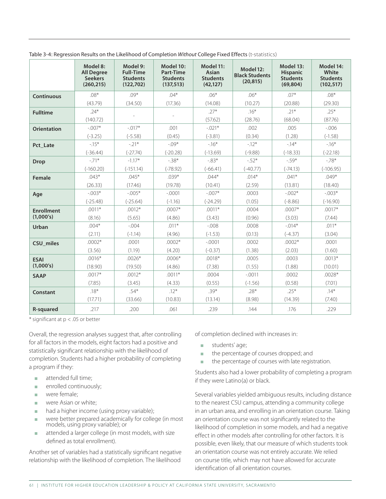|                    | Model 8:<br><b>All Degree</b><br><b>Seekers</b><br>(260, 215) | Model 9:<br><b>Full-Time</b><br><b>Students</b><br>(122, 702) | Model 10:<br>Part-Time<br><b>Students</b><br>(137, 513) | Model 11:<br><b>Asian</b><br><b>Students</b><br>(42, 127) | Model 12:<br><b>Black Students</b><br>(20, 815) | Model 13:<br><b>Hispanic</b><br><b>Students</b><br>(69, 804) | Model 14:<br>White<br><b>Students</b><br>(102, 517) |
|--------------------|---------------------------------------------------------------|---------------------------------------------------------------|---------------------------------------------------------|-----------------------------------------------------------|-------------------------------------------------|--------------------------------------------------------------|-----------------------------------------------------|
| <b>Continuous</b>  | $.08*$                                                        | $.09*$                                                        | $.04*$                                                  | $.06*$                                                    | $.06*$                                          | $.07*$                                                       | $.08*$                                              |
|                    | (43.79)                                                       | (34.50)                                                       | (17.36)                                                 | (14.08)                                                   | (10.27)                                         | (20.88)                                                      | (29.30)                                             |
| <b>Fulltime</b>    | $.24*$                                                        |                                                               |                                                         | $.27*$                                                    | $.16*$                                          | $.21*$                                                       | $.25*$                                              |
|                    | (140.72)                                                      |                                                               |                                                         | (57.62)                                                   | (28.76)                                         | (68.04)                                                      | (87.76)                                             |
| <b>Orientation</b> | $-.007*$                                                      | $-.017*$                                                      | .001                                                    | $-.021*$                                                  | .002                                            | .005                                                         | $-0.006$                                            |
|                    | $(-3.25)$                                                     | $(-5.58)$                                                     | (0.45)                                                  | $(-3.81)$                                                 | (0.34)                                          | (1.28)                                                       | $(-1.58)$                                           |
| Pct Late           | $-15*$                                                        | $-.21*$                                                       | $-0.09*$                                                | $-16*$                                                    | $-12*$                                          | $-14*$                                                       | $-16*$                                              |
|                    | $(-36.44)$                                                    | $(-27.74)$                                                    | $(-20.28)$                                              | $(-13.69)$                                                | $(-9.88)$                                       | $(-18.33)$                                                   | $(-22.18)$                                          |
| <b>Drop</b>        | $-.71*$                                                       | $-1.17*$                                                      | $-38*$                                                  | $-0.83*$                                                  | $-.52*$                                         | $-.59*$                                                      | $-78*$                                              |
|                    | $(-160.20)$                                                   | $(-151.14)$                                                   | $(-78.92)$                                              | $(-66.41)$                                                | $(-40.77)$                                      | $(-74.13)$                                                   | $(-106.95)$                                         |
| Female             | $.043*$                                                       | $.045*$                                                       | $.039*$                                                 | $.044*$                                                   | $.014*$                                         | $.041*$                                                      | $.049*$                                             |
|                    | (26.33)                                                       | (17.46)                                                       | (19.78)                                                 | (10.41)                                                   | (2.59)                                          | (13.81)                                                      | (18.40)                                             |
| Age                | $-0.03*$                                                      | $-0.005*$                                                     | $-.0001$                                                | $-.007*$                                                  | .0003                                           | $-0.002*$                                                    | $-0.03*$                                            |
|                    | $(-25.48)$                                                    | $(-25.64)$                                                    | $(-1.16)$                                               | $(-24.29)$                                                | (1.05)                                          | $(-8.86)$                                                    | $(-16.90)$                                          |
| <b>Enrollment</b>  | $.0011*$                                                      | $.0012*$                                                      | $.0007*$                                                | $.0011*$                                                  | .0004                                           | $.0007*$                                                     | $.0017*$                                            |
| (1,000's)          | (8.16)                                                        | (5.65)                                                        | (4.86)                                                  | (3.43)                                                    | (0.96)                                          | (3.03)                                                       | (7.44)                                              |
| Urban              | $.004*$                                                       | $-0.004$                                                      | $.011*$                                                 | $-0.08$                                                   | .0008                                           | $-.014*$                                                     | $.011*$                                             |
|                    | (2.11)                                                        | $(-1.14)$                                                     | (4.96)                                                  | $(-1.53)$                                                 | (0.13)                                          | $(-4.37)$                                                    | (3.04)                                              |
| CSU miles          | $.0002*$                                                      | .0001                                                         | $.0002*$                                                | $-.0001$                                                  | .0002                                           | $.0002*$                                                     | .0001                                               |
|                    | (3.56)                                                        | (1.19)                                                        | (4.20)                                                  | $(-0.37)$                                                 | (1.38)                                          | (2.03)                                                       | (1.60)                                              |
| <b>ESAI</b>        | $.0016*$                                                      | $.0026*$                                                      | $.0006*$                                                | $.0018*$                                                  | .0005                                           | .0003                                                        | $.0013*$                                            |
| (1,000's)          | (18.90)                                                       | (19.50)                                                       | (4.86)                                                  | (7.38)                                                    | (1.55)                                          | (1.88)                                                       | (10.01)                                             |
| <b>SAAP</b>        | $.0017*$                                                      | $.0012*$                                                      | $.0011*$                                                | .0004                                                     | $-.0011$                                        | .0002                                                        | $.0028*$                                            |
|                    | (7.85)                                                        | (3.45)                                                        | (4.33)                                                  | (0.55)                                                    | $(-1.56)$                                       | (0.58)                                                       | (7.01)                                              |
| Constant           | $.18*$                                                        | $.54*$                                                        | $.12*$                                                  | $.39*$                                                    | $.28*$                                          | $.25*$                                                       | $.14*$                                              |
|                    | (17.71)                                                       | (33.66)                                                       | (10.83)                                                 | (13.14)                                                   | (8.98)                                          | (14.39)                                                      | (7.40)                                              |
| <b>R-squared</b>   | .217                                                          | .200                                                          | .061                                                    | .239                                                      | .144                                            | .176                                                         | .229                                                |

Table 3-4: Regression Results on the Likelihood of Completion *Without* College Fixed Effects (t-statistics)

\* significant at p < .05 or better

Overall, the regression analyses suggest that, after controlling for all factors in the models, eight factors had a positive and statistically significant relationship with the likelihood of completion. Students had a higher probability of completing a program if they:

- $\blacksquare$  attended full time;
- $\blacksquare$  enrolled continuously;
- **n** were female:
- $\blacksquare$  were Asian or white;
- $\Box$  had a higher income (using proxy variable);
- **n** were better prepared academically for college (in most models, using proxy variable); or
- n attended a larger college (in most models, with size defined as total enrollment).

Another set of variables had a statistically significant negative relationship with the likelihood of completion. The likelihood

of completion declined with increases in:

- $\blacksquare$  students' age;
- $\blacksquare$  the percentage of courses dropped; and
- $\blacksquare$  the percentage of courses with late registration.

Students also had a lower probability of completing a program if they were Latino(a) or black.

Several variables yielded ambiguous results, including distance to the nearest CSU campus, attending a community college in an urban area, and enrolling in an orientation course. Taking an orientation course was not significantly related to the likelihood of completion in some models, and had a negative effect in other models after controlling for other factors. It is possible, even likely, that our measure of which students took an orientation course was not entirely accurate. We relied on course title, which may not have allowed for accurate identification of all orientation courses.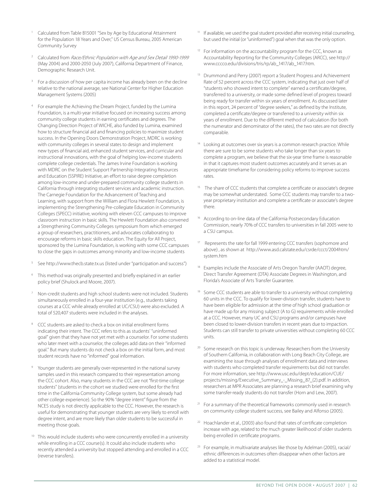- Calculated from Table B15001 "Sex by Age by Educational Attainment for the Population 18 Years and Over," US Census Bureau, 2005 American Community Survey
- <sup>2</sup> Calculated from Race/Ethnic Population with Age and Sex Detail 1990-1999 (May 2004) and 2000-2050 (July 2007), California Department of Finance, Demographic Research Unit.
- <sup>3</sup> For a discussion of how per capita income has already been on the decline relative to the national average, see National Center for Higher Education Management Systems (2005)
- <sup>4</sup> For example the Achieving the Dream Project, funded by the Lumina Foundation, is a multi-year initiative focused on increasing success among community college students in earning certificates and degrees. The Changing Direction Project of WICHE, also funded by Lumina, examined how to structure financial aid and financing policies to maximize student success. In the Opening Doors Demonstration Project, MDRC is working with community colleges in several states to design and implement new types of financial aid, enhanced student services, and curricular and instructional innovations, with the goal of helping low-income students complete college credentials. The James Irvine Foundation is working with MDRC on the Student Support Partnership Integrating Resources and Education (SSPIRE) Initiative, an effort to raise degree completion among low-income and under-prepared community college students in California through integrating student services and academic instruction. The Carnegie Foundation for the Advancement of Teaching and Learning, with support from the William and Flora Hewlett Foundation, is implementing the Strengthening Pre-collegiate Education in Community Colleges (SPECC) initiative, working with eleven CCC campuses to improve classroom instruction in basic skills. The Hewlett Foundation also convened a Strengthening Community Colleges symposium from which emerged a group of researchers, practitioners, and advocates collaborating to encourage reforms in basic skills education. The Equity for All Project, sponsored by the Lumina Foundation, is working with some CCC campuses to close the gaps in outcomes among minority and low-income students
- <sup>5</sup> See http://www.thecb.state.tx.us (listed under "participation and success")
- This method was originally presented and briefly explained in an earlier policy brief (Shulock and Moore, 2007).
- <sup>7</sup> Non-credit students and high school students were not included. Students simultaneously enrolled in a four-year institution (e.g., students taking courses at a CCC while already enrolled at UC/CSU) were also excluded. A total of 520,407 students were included in the analyses.
- CCC students are asked to check a box on initial enrollment forms indicating their intent. The CCC refers to this as students' "uninformed goal" given that they have not yet met with a counselor. For some students who later meet with a counselor, the colleges add data on their "informed goal." But many students do not check a box on the initial form, and most student records have no "informed" goal information.
- 9 Younger students are generally over-represented in the national survey samples used in this research compared to their representation among the CCC cohort. Also, many students in the CCC are not "first-time college students" (students in the cohort we studied were enrolled for the first time in the California Community College system, but some already had other college experience). So the 90% "degree intent" figure from the NCES study is not directly applicable to the CCC. However, the research is useful for demonstrating that younger students are very likely to enroll with degree intent, and are more likely than older students to be successful in meeting those goals.
- This would include students who were concurrently enrolled in a university while enrolling in a CCC course(s). It could also include students who recently attended a university but stopped attending and enrolled in a CCC (reverse transfers).
- If available, we used the goal student provided after receiving initial counseling, but used the initial (or "uninformed") goal when that was the only option.
- <sup>12</sup> For information on the accountability program for the CCC, known as Accountability Reporting for the Community Colleges (ARCC), see http:// www.cccco.edu/divisions/tris/rp/ab\_1417/ab\_1417.htm.
- Drummond and Perry (2007) report a Student Progress and Achievement Rate of 52 percent across the CCC system, indicating that just over half of "students who showed intent to complete" earned a certificate/degree, transferred to a university, or made some defined level of progress toward being ready for transfer within six years of enrollment. As discussed later in this report, 24 percent of "degree seekers," as defined by the Institute, completed a certificate/degree or transferred to a university within six years of enrollment. Due to the different method of calculation (for both the numerator and denominator of the rates), the two rates are not directly comparable.
- <sup>14</sup> Looking at outcomes over six years is a common research practice. While there are sure to be some students who take longer than six years to complete a program, we believe that the six-year time frame is reasonable in that it captures most student outcomes accurately and it serves as an appropriate timeframe for considering policy reforms to improve success rates.
- <sup>15</sup> The share of CCC students that complete a certificate or associate's degree may be somewhat understated. Some CCC students may transfer to a twoyear proprietary institution and complete a certificate or associate's degree there.
- According to on-line data of the California Postsecondary Education Commission, nearly 70% of CCC transfers to universities in fall 2005 were to a CSU campus.
- Represents the rate for fall 1999 entering CCC transfers (sophomore and above) , as shown at http://www.asd.calstate.edu/csrde/ccct/2004htm/ system.htm
- <sup>18</sup> Examples include the Associate of Arts Oregon Transfer (AAOT) degree, Direct Transfer Agreement (DTA) Associate Degrees in Washington, and Florida's Associate of Arts Transfer Guarantee.
- Some CCC students are able to transfer to a university without completing 60 units in the CCC. To qualify for lower-division transfer, students have to have been eligible for admission at the time of high school graduation or have made up for any missing subject (A to G) requirements while enrolled at a CCC. However, many UC and CSU programs and/or campuses have been closed to lower-division transfers in recent years due to impaction. Students can still transfer to private universities without completing 60 CCC units.
- <sup>20</sup> Some research on this topic is underway. Researchers from the University of Southern California, in collaboration with Long Beach City College, are examining the issue through analyses of enrollment data and interviews with students who completed transfer requirements but did not transfer. For more information, see http://www.usc.edu/dept/education/CUE/ projects/missing/Executive\_Summary\_-\_Missing\_87\_(2).pdf. In addition, researchers at MPR Associates are planning a research brief examining why some transfer-ready students do not transfer (Horn and Lew, 2007).
- <sup>21</sup> For a summary of the theoretical frameworks commonly used in research on community college student success, see Bailey and Alfonso (2005).
- <sup>22</sup> Hoachlander et al., (2003) also found that rates of certificate completion increase with age, related to the much greater likelihood of older students being enrolled in certificate programs.
- <sup>23</sup> For example, in multivariate analyses like those by Adelman (2005), racial/ ethnic differences in outcomes often disappear when other factors are added to a statistical model.